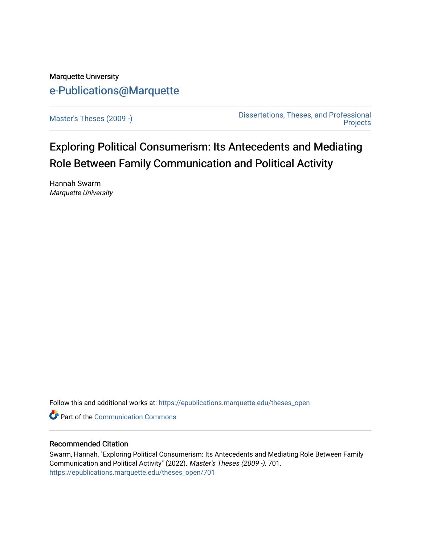# Marquette University [e-Publications@Marquette](https://epublications.marquette.edu/)

[Master's Theses \(2009 -\)](https://epublications.marquette.edu/theses_open) [Dissertations, Theses, and Professional](https://epublications.marquette.edu/diss_theses)  **Projects** 

Exploring Political Consumerism: Its Antecedents and Mediating Role Between Family Communication and Political Activity

Hannah Swarm Marquette University

Follow this and additional works at: [https://epublications.marquette.edu/theses\\_open](https://epublications.marquette.edu/theses_open?utm_source=epublications.marquette.edu%2Ftheses_open%2F701&utm_medium=PDF&utm_campaign=PDFCoverPages) 

Part of the [Communication Commons](http://network.bepress.com/hgg/discipline/325?utm_source=epublications.marquette.edu%2Ftheses_open%2F701&utm_medium=PDF&utm_campaign=PDFCoverPages) 

### Recommended Citation

Swarm, Hannah, "Exploring Political Consumerism: Its Antecedents and Mediating Role Between Family Communication and Political Activity" (2022). Master's Theses (2009 -). 701. [https://epublications.marquette.edu/theses\\_open/701](https://epublications.marquette.edu/theses_open/701?utm_source=epublications.marquette.edu%2Ftheses_open%2F701&utm_medium=PDF&utm_campaign=PDFCoverPages)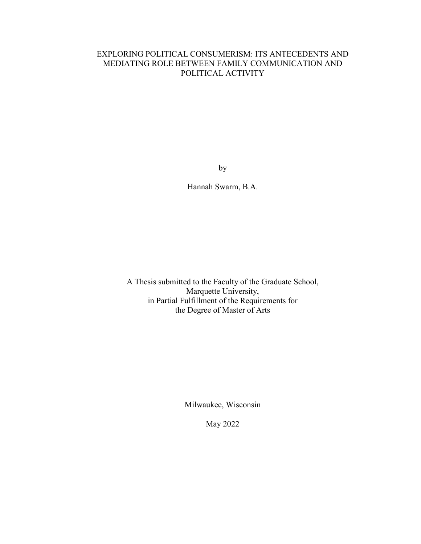## EXPLORING POLITICAL CONSUMERISM: ITS ANTECEDENTS AND MEDIATING ROLE BETWEEN FAMILY COMMUNICATION AND POLITICAL ACTIVITY

by

Hannah Swarm, B.A.

A Thesis submitted to the Faculty of the Graduate School, Marquette University, in Partial Fulfillment of the Requirements for the Degree of Master of Arts

Milwaukee, Wisconsin

May 2022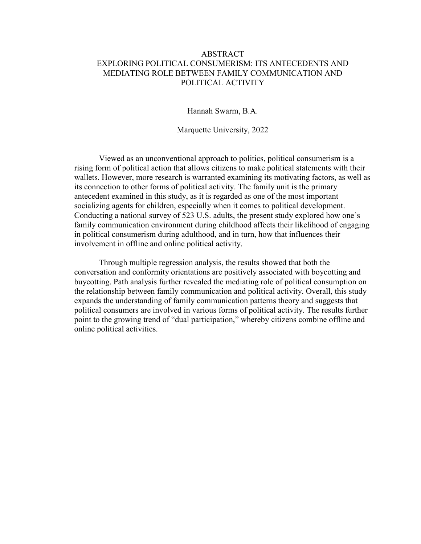### ABSTRACT EXPLORING POLITICAL CONSUMERISM: ITS ANTECEDENTS AND MEDIATING ROLE BETWEEN FAMILY COMMUNICATION AND POLITICAL ACTIVITY

Hannah Swarm, B.A.

Marquette University, 2022

Viewed as an unconventional approach to politics, political consumerism is a rising form of political action that allows citizens to make political statements with their wallets. However, more research is warranted examining its motivating factors, as well as its connection to other forms of political activity. The family unit is the primary antecedent examined in this study, as it is regarded as one of the most important socializing agents for children, especially when it comes to political development. Conducting a national survey of 523 U.S. adults, the present study explored how one's family communication environment during childhood affects their likelihood of engaging in political consumerism during adulthood, and in turn, how that influences their involvement in offline and online political activity.

Through multiple regression analysis, the results showed that both the conversation and conformity orientations are positively associated with boycotting and buycotting. Path analysis further revealed the mediating role of political consumption on the relationship between family communication and political activity. Overall, this study expands the understanding of family communication patterns theory and suggests that political consumers are involved in various forms of political activity. The results further point to the growing trend of "dual participation," whereby citizens combine offline and online political activities.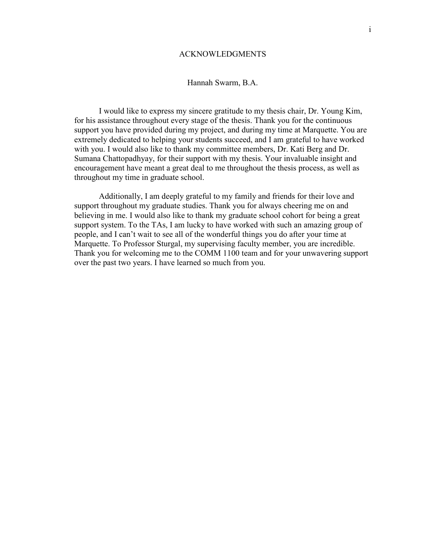### ACKNOWLEDGMENTS

#### Hannah Swarm, B.A.

 I would like to express my sincere gratitude to my thesis chair, Dr. Young Kim, for his assistance throughout every stage of the thesis. Thank you for the continuous support you have provided during my project, and during my time at Marquette. You are extremely dedicated to helping your students succeed, and I am grateful to have worked with you. I would also like to thank my committee members, Dr. Kati Berg and Dr. Sumana Chattopadhyay, for their support with my thesis. Your invaluable insight and encouragement have meant a great deal to me throughout the thesis process, as well as throughout my time in graduate school.

 Additionally, I am deeply grateful to my family and friends for their love and support throughout my graduate studies. Thank you for always cheering me on and believing in me. I would also like to thank my graduate school cohort for being a great support system. To the TAs, I am lucky to have worked with such an amazing group of people, and I can't wait to see all of the wonderful things you do after your time at Marquette. To Professor Sturgal, my supervising faculty member, you are incredible. Thank you for welcoming me to the COMM 1100 team and for your unwavering support over the past two years. I have learned so much from you.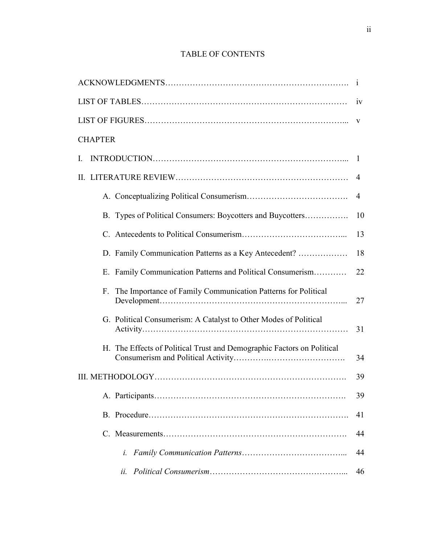## TABLE OF CONTENTS

|                                                                        | -1           |  |  |
|------------------------------------------------------------------------|--------------|--|--|
| 1V                                                                     |              |  |  |
|                                                                        |              |  |  |
| <b>CHAPTER</b>                                                         |              |  |  |
| $\mathbf{L}$                                                           | $\mathbf{I}$ |  |  |
| $\mathbf{H}$                                                           | 4            |  |  |
|                                                                        | 4            |  |  |
| B. Types of Political Consumers: Boycotters and Buycotters             | 10           |  |  |
|                                                                        | 13           |  |  |
| D. Family Communication Patterns as a Key Antecedent?                  | 18           |  |  |
| E. Family Communication Patterns and Political Consumerism             | 22           |  |  |
| The Importance of Family Communication Patterns for Political<br>F.    | 27           |  |  |
| G. Political Consumerism: A Catalyst to Other Modes of Political       | 31           |  |  |
| H. The Effects of Political Trust and Demographic Factors on Political | 34           |  |  |
| 39                                                                     |              |  |  |
|                                                                        | 39           |  |  |
|                                                                        | 41           |  |  |
|                                                                        | 44           |  |  |
| i.                                                                     | 44           |  |  |
| ii.                                                                    | 46           |  |  |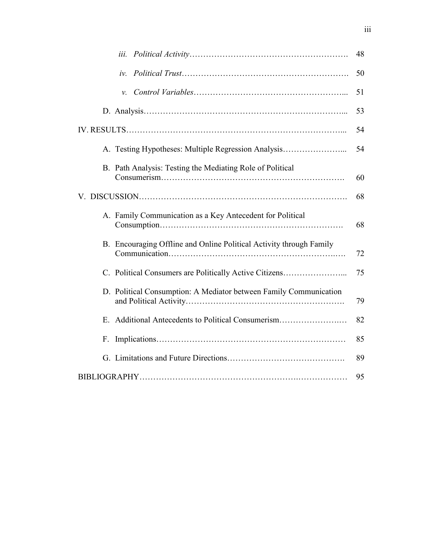| iii.                                                                | 48 |
|---------------------------------------------------------------------|----|
| $iv_{-}$                                                            | 50 |
| ν.                                                                  | 51 |
|                                                                     | 53 |
|                                                                     | 54 |
| A. Testing Hypotheses: Multiple Regression Analysis                 | 54 |
| B. Path Analysis: Testing the Mediating Role of Political           | 60 |
|                                                                     | 68 |
| A. Family Communication as a Key Antecedent for Political           | 68 |
| B. Encouraging Offline and Online Political Activity through Family | 72 |
| C. Political Consumers are Politically Active Citizens              | 75 |
| D. Political Consumption: A Mediator between Family Communication   | 79 |
| E.                                                                  | 82 |
| F.                                                                  | 85 |
|                                                                     | 89 |
|                                                                     | 95 |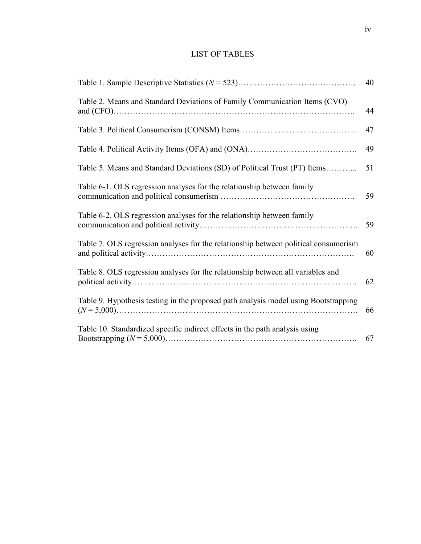## LIST OF TABLES

|                                                                                     | 40 |
|-------------------------------------------------------------------------------------|----|
| Table 2. Means and Standard Deviations of Family Communication Items (CVO)          | 44 |
| 47                                                                                  |    |
| 49                                                                                  |    |
| Table 5. Means and Standard Deviations (SD) of Political Trust (PT) Items           | 51 |
| Table 6-1. OLS regression analyses for the relationship between family              | 59 |
| Table 6-2. OLS regression analyses for the relationship between family              | 59 |
| Table 7. OLS regression analyses for the relationship between political consumerism | 60 |
| Table 8. OLS regression analyses for the relationship between all variables and     | 62 |
| Table 9. Hypothesis testing in the proposed path analysis model using Bootstrapping | 66 |
| Table 10. Standardized specific indirect effects in the path analysis using<br>67   |    |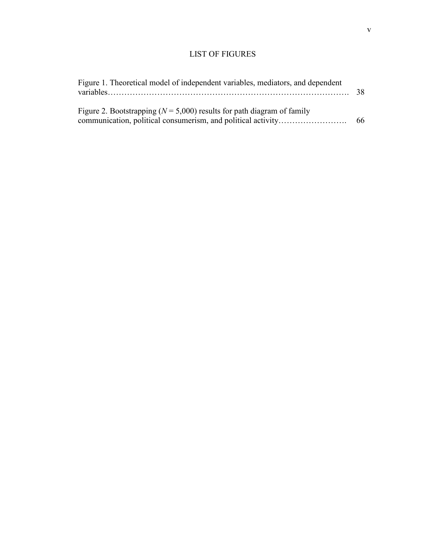## LIST OF FIGURES

| Figure 1. Theoretical model of independent variables, mediators, and dependent | 38 |
|--------------------------------------------------------------------------------|----|
| Figure 2. Bootstrapping ( $N = 5,000$ ) results for path diagram of family     | 66 |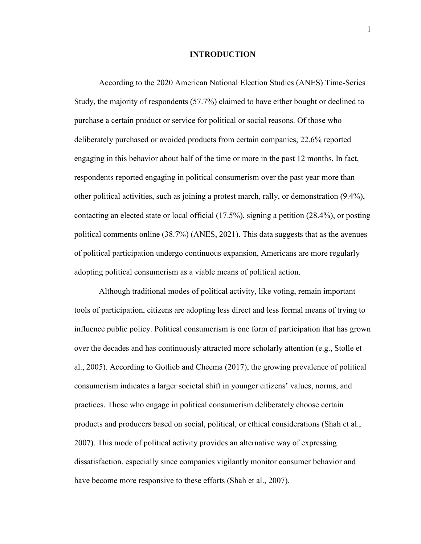#### **INTRODUCTION**

According to the 2020 American National Election Studies (ANES) Time-Series Study, the majority of respondents (57.7%) claimed to have either bought or declined to purchase a certain product or service for political or social reasons. Of those who deliberately purchased or avoided products from certain companies, 22.6% reported engaging in this behavior about half of the time or more in the past 12 months. In fact, respondents reported engaging in political consumerism over the past year more than other political activities, such as joining a protest march, rally, or demonstration (9.4%), contacting an elected state or local official (17.5%), signing a petition (28.4%), or posting political comments online (38.7%) (ANES, 2021). This data suggests that as the avenues of political participation undergo continuous expansion, Americans are more regularly adopting political consumerism as a viable means of political action.

Although traditional modes of political activity, like voting, remain important tools of participation, citizens are adopting less direct and less formal means of trying to influence public policy. Political consumerism is one form of participation that has grown over the decades and has continuously attracted more scholarly attention (e.g., Stolle et al., 2005). According to Gotlieb and Cheema (2017), the growing prevalence of political consumerism indicates a larger societal shift in younger citizens' values, norms, and practices. Those who engage in political consumerism deliberately choose certain products and producers based on social, political, or ethical considerations (Shah et al., 2007). This mode of political activity provides an alternative way of expressing dissatisfaction, especially since companies vigilantly monitor consumer behavior and have become more responsive to these efforts (Shah et al., 2007).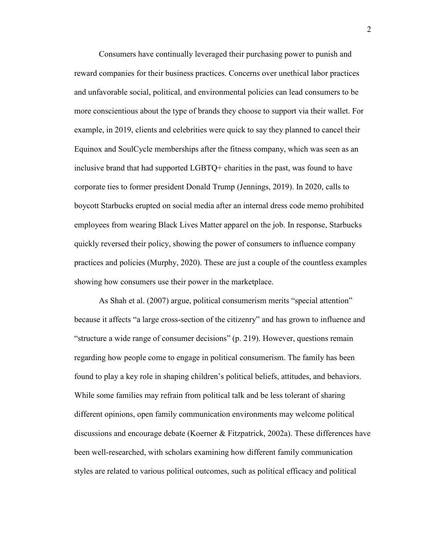Consumers have continually leveraged their purchasing power to punish and reward companies for their business practices. Concerns over unethical labor practices and unfavorable social, political, and environmental policies can lead consumers to be more conscientious about the type of brands they choose to support via their wallet. For example, in 2019, clients and celebrities were quick to say they planned to cancel their Equinox and SoulCycle memberships after the fitness company, which was seen as an inclusive brand that had supported LGBTQ+ charities in the past, was found to have corporate ties to former president Donald Trump (Jennings, 2019). In 2020, calls to boycott Starbucks erupted on social media after an internal dress code memo prohibited employees from wearing Black Lives Matter apparel on the job. In response, Starbucks quickly reversed their policy, showing the power of consumers to influence company practices and policies (Murphy, 2020). These are just a couple of the countless examples showing how consumers use their power in the marketplace.

As Shah et al. (2007) argue, political consumerism merits "special attention" because it affects "a large cross-section of the citizenry" and has grown to influence and "structure a wide range of consumer decisions" (p. 219). However, questions remain regarding how people come to engage in political consumerism. The family has been found to play a key role in shaping children's political beliefs, attitudes, and behaviors. While some families may refrain from political talk and be less tolerant of sharing different opinions, open family communication environments may welcome political discussions and encourage debate (Koerner & Fitzpatrick, 2002a). These differences have been well-researched, with scholars examining how different family communication styles are related to various political outcomes, such as political efficacy and political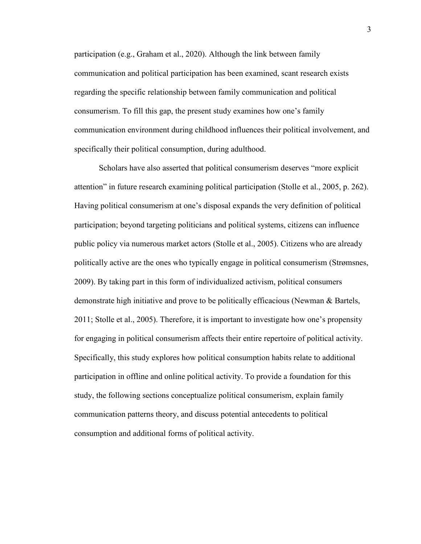participation (e.g., Graham et al., 2020). Although the link between family communication and political participation has been examined, scant research exists regarding the specific relationship between family communication and political consumerism. To fill this gap, the present study examines how one's family communication environment during childhood influences their political involvement, and specifically their political consumption, during adulthood.

Scholars have also asserted that political consumerism deserves "more explicit attention" in future research examining political participation (Stolle et al., 2005, p. 262). Having political consumerism at one's disposal expands the very definition of political participation; beyond targeting politicians and political systems, citizens can influence public policy via numerous market actors (Stolle et al., 2005). Citizens who are already politically active are the ones who typically engage in political consumerism (Strømsnes, 2009). By taking part in this form of individualized activism, political consumers demonstrate high initiative and prove to be politically efficacious (Newman & Bartels, 2011; Stolle et al., 2005). Therefore, it is important to investigate how one's propensity for engaging in political consumerism affects their entire repertoire of political activity. Specifically, this study explores how political consumption habits relate to additional participation in offline and online political activity. To provide a foundation for this study, the following sections conceptualize political consumerism, explain family communication patterns theory, and discuss potential antecedents to political consumption and additional forms of political activity.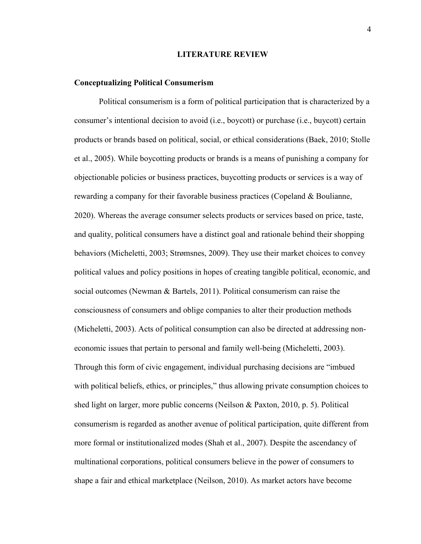#### **LITERATURE REVIEW**

#### **Conceptualizing Political Consumerism**

 Political consumerism is a form of political participation that is characterized by a consumer's intentional decision to avoid (i.e., boycott) or purchase (i.e., buycott) certain products or brands based on political, social, or ethical considerations (Baek, 2010; Stolle et al., 2005). While boycotting products or brands is a means of punishing a company for objectionable policies or business practices, buycotting products or services is a way of rewarding a company for their favorable business practices (Copeland & Boulianne, 2020). Whereas the average consumer selects products or services based on price, taste, and quality, political consumers have a distinct goal and rationale behind their shopping behaviors (Micheletti, 2003; Strømsnes, 2009). They use their market choices to convey political values and policy positions in hopes of creating tangible political, economic, and social outcomes (Newman & Bartels, 2011). Political consumerism can raise the consciousness of consumers and oblige companies to alter their production methods (Micheletti, 2003). Acts of political consumption can also be directed at addressing noneconomic issues that pertain to personal and family well-being (Micheletti, 2003). Through this form of civic engagement, individual purchasing decisions are "imbued with political beliefs, ethics, or principles," thus allowing private consumption choices to shed light on larger, more public concerns (Neilson & Paxton, 2010, p. 5). Political consumerism is regarded as another avenue of political participation, quite different from more formal or institutionalized modes (Shah et al., 2007). Despite the ascendancy of multinational corporations, political consumers believe in the power of consumers to shape a fair and ethical marketplace (Neilson, 2010). As market actors have become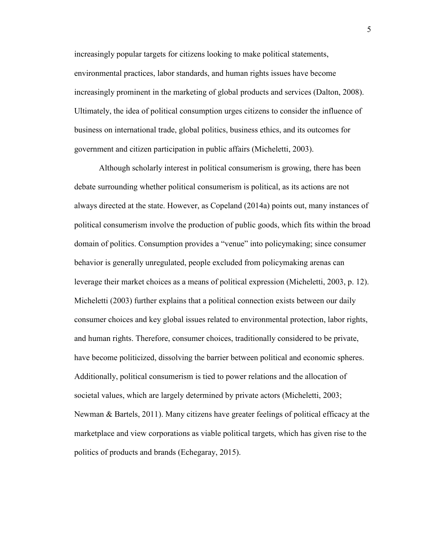increasingly popular targets for citizens looking to make political statements, environmental practices, labor standards, and human rights issues have become increasingly prominent in the marketing of global products and services (Dalton, 2008). Ultimately, the idea of political consumption urges citizens to consider the influence of business on international trade, global politics, business ethics, and its outcomes for government and citizen participation in public affairs (Micheletti, 2003).

Although scholarly interest in political consumerism is growing, there has been debate surrounding whether political consumerism is political, as its actions are not always directed at the state. However, as Copeland (2014a) points out, many instances of political consumerism involve the production of public goods, which fits within the broad domain of politics. Consumption provides a "venue" into policymaking; since consumer behavior is generally unregulated, people excluded from policymaking arenas can leverage their market choices as a means of political expression (Micheletti, 2003, p. 12). Micheletti (2003) further explains that a political connection exists between our daily consumer choices and key global issues related to environmental protection, labor rights, and human rights. Therefore, consumer choices, traditionally considered to be private, have become politicized, dissolving the barrier between political and economic spheres. Additionally, political consumerism is tied to power relations and the allocation of societal values, which are largely determined by private actors (Micheletti, 2003; Newman & Bartels, 2011). Many citizens have greater feelings of political efficacy at the marketplace and view corporations as viable political targets, which has given rise to the politics of products and brands (Echegaray, 2015).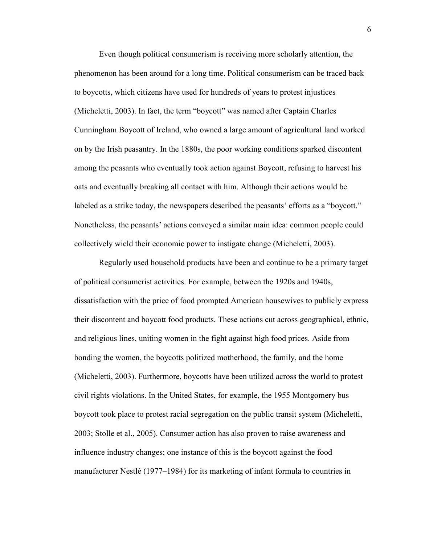Even though political consumerism is receiving more scholarly attention, the phenomenon has been around for a long time. Political consumerism can be traced back to boycotts, which citizens have used for hundreds of years to protest injustices (Micheletti, 2003). In fact, the term "boycott" was named after Captain Charles Cunningham Boycott of Ireland, who owned a large amount of agricultural land worked on by the Irish peasantry. In the 1880s, the poor working conditions sparked discontent among the peasants who eventually took action against Boycott, refusing to harvest his oats and eventually breaking all contact with him. Although their actions would be labeled as a strike today, the newspapers described the peasants' efforts as a "boycott." Nonetheless, the peasants' actions conveyed a similar main idea: common people could collectively wield their economic power to instigate change (Micheletti, 2003).

Regularly used household products have been and continue to be a primary target of political consumerist activities. For example, between the 1920s and 1940s, dissatisfaction with the price of food prompted American housewives to publicly express their discontent and boycott food products. These actions cut across geographical, ethnic, and religious lines, uniting women in the fight against high food prices. Aside from bonding the women, the boycotts politized motherhood, the family, and the home (Micheletti, 2003). Furthermore, boycotts have been utilized across the world to protest civil rights violations. In the United States, for example, the 1955 Montgomery bus boycott took place to protest racial segregation on the public transit system (Micheletti, 2003; Stolle et al., 2005). Consumer action has also proven to raise awareness and influence industry changes; one instance of this is the boycott against the food manufacturer Nestlé (1977–1984) for its marketing of infant formula to countries in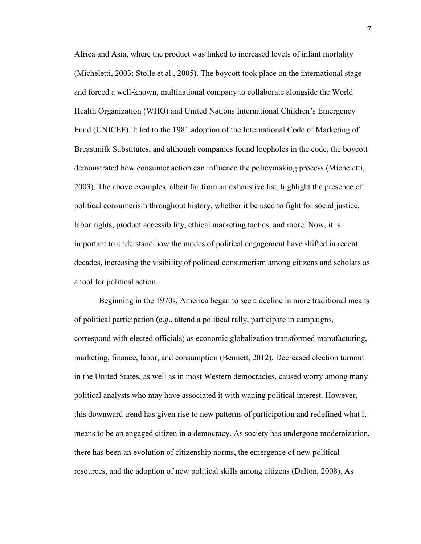Africa and Asia, where the product was linked to increased levels of infant mortality (Micheletti, 2003; Stolle et al., 2005). The boycott took place on the international stage and forced a well-known, multinational company to collaborate alongside the World Health Organization (WHO) and United Nations International Children's Emergency Fund (UNICEF). It led to the 1981 adoption of the International Code of Marketing of Breastmilk Substitutes, and although companies found loopholes in the code, the boycott demonstrated how consumer action can influence the policymaking process (Micheletti, 2003). The above examples, albeit far from an exhaustive list, highlight the presence of political consumerism throughout history, whether it be used to fight for social justice, labor rights, product accessibility, ethical marketing tactics, and more. Now, it is important to understand how the modes of political engagement have shifted in recent decades, increasing the visibility of political consumerism among citizens and scholars as a tool for political action.

Beginning in the 1970s, America began to see a decline in more traditional means of political participation (e.g., attend a political rally, participate in campaigns, correspond with elected officials) as economic globalization transformed manufacturing, marketing, finance, labor, and consumption (Bennett, 2012). Decreased election turnout in the United States, as well as in most Western democracies, caused worry among many political analysts who may have associated it with waning political interest. However, this downward trend has given rise to new patterns of participation and redefined what it means to be an engaged citizen in a democracy. As society has undergone modernization, there has been an evolution of citizenship norms, the emergence of new political resources, and the adoption of new political skills among citizens (Dalton, 2008). As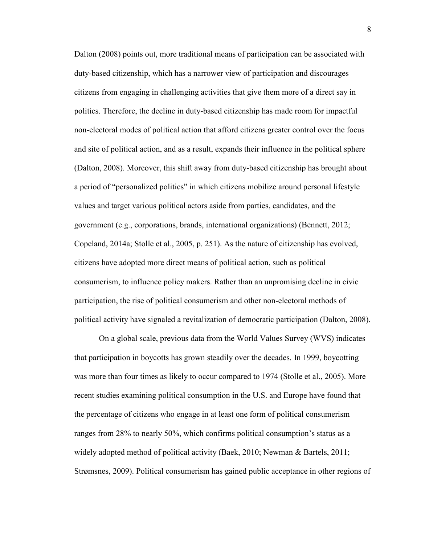Dalton (2008) points out, more traditional means of participation can be associated with duty-based citizenship, which has a narrower view of participation and discourages citizens from engaging in challenging activities that give them more of a direct say in politics. Therefore, the decline in duty-based citizenship has made room for impactful non-electoral modes of political action that afford citizens greater control over the focus and site of political action, and as a result, expands their influence in the political sphere (Dalton, 2008). Moreover, this shift away from duty-based citizenship has brought about a period of "personalized politics" in which citizens mobilize around personal lifestyle values and target various political actors aside from parties, candidates, and the government (e.g., corporations, brands, international organizations) (Bennett, 2012; Copeland, 2014a; Stolle et al., 2005, p. 251). As the nature of citizenship has evolved, citizens have adopted more direct means of political action, such as political consumerism, to influence policy makers. Rather than an unpromising decline in civic participation, the rise of political consumerism and other non-electoral methods of political activity have signaled a revitalization of democratic participation (Dalton, 2008).

On a global scale, previous data from the World Values Survey (WVS) indicates that participation in boycotts has grown steadily over the decades. In 1999, boycotting was more than four times as likely to occur compared to 1974 (Stolle et al., 2005). More recent studies examining political consumption in the U.S. and Europe have found that the percentage of citizens who engage in at least one form of political consumerism ranges from 28% to nearly 50%, which confirms political consumption's status as a widely adopted method of political activity (Baek, 2010; Newman & Bartels, 2011; Strømsnes, 2009). Political consumerism has gained public acceptance in other regions of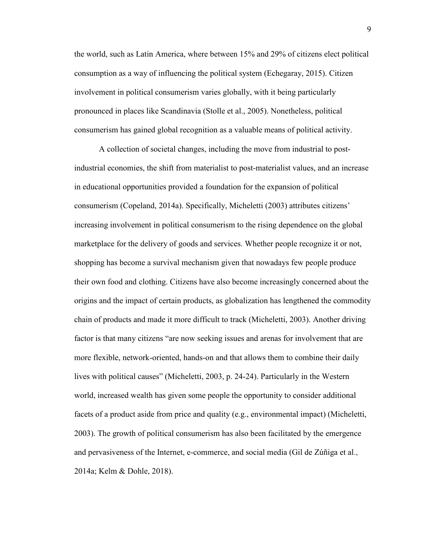the world, such as Latin America, where between 15% and 29% of citizens elect political consumption as a way of influencing the political system (Echegaray, 2015). Citizen involvement in political consumerism varies globally, with it being particularly pronounced in places like Scandinavia (Stolle et al., 2005). Nonetheless, political consumerism has gained global recognition as a valuable means of political activity.

A collection of societal changes, including the move from industrial to postindustrial economies, the shift from materialist to post-materialist values, and an increase in educational opportunities provided a foundation for the expansion of political consumerism (Copeland, 2014a). Specifically, Micheletti (2003) attributes citizens' increasing involvement in political consumerism to the rising dependence on the global marketplace for the delivery of goods and services. Whether people recognize it or not, shopping has become a survival mechanism given that nowadays few people produce their own food and clothing. Citizens have also become increasingly concerned about the origins and the impact of certain products, as globalization has lengthened the commodity chain of products and made it more difficult to track (Micheletti, 2003). Another driving factor is that many citizens "are now seeking issues and arenas for involvement that are more flexible, network-oriented, hands-on and that allows them to combine their daily lives with political causes" (Micheletti, 2003, p. 24-24). Particularly in the Western world, increased wealth has given some people the opportunity to consider additional facets of a product aside from price and quality (e.g., environmental impact) (Micheletti, 2003). The growth of political consumerism has also been facilitated by the emergence and pervasiveness of the Internet, e-commerce, and social media (Gil de Zúñiga et al., 2014a; Kelm & Dohle, 2018).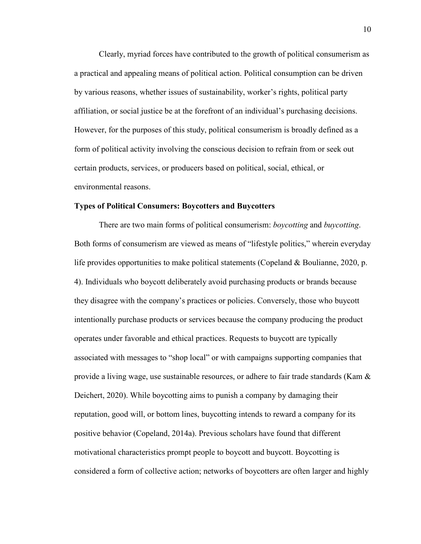Clearly, myriad forces have contributed to the growth of political consumerism as a practical and appealing means of political action. Political consumption can be driven by various reasons, whether issues of sustainability, worker's rights, political party affiliation, or social justice be at the forefront of an individual's purchasing decisions. However, for the purposes of this study, political consumerism is broadly defined as a form of political activity involving the conscious decision to refrain from or seek out certain products, services, or producers based on political, social, ethical, or environmental reasons.

#### **Types of Political Consumers: Boycotters and Buycotters**

There are two main forms of political consumerism: *boycotting* and *buycotting*. Both forms of consumerism are viewed as means of "lifestyle politics," wherein everyday life provides opportunities to make political statements (Copeland & Boulianne, 2020, p. 4). Individuals who boycott deliberately avoid purchasing products or brands because they disagree with the company's practices or policies. Conversely, those who buycott intentionally purchase products or services because the company producing the product operates under favorable and ethical practices. Requests to buycott are typically associated with messages to "shop local" or with campaigns supporting companies that provide a living wage, use sustainable resources, or adhere to fair trade standards (Kam & Deichert, 2020). While boycotting aims to punish a company by damaging their reputation, good will, or bottom lines, buycotting intends to reward a company for its positive behavior (Copeland, 2014a). Previous scholars have found that different motivational characteristics prompt people to boycott and buycott. Boycotting is considered a form of collective action; networks of boycotters are often larger and highly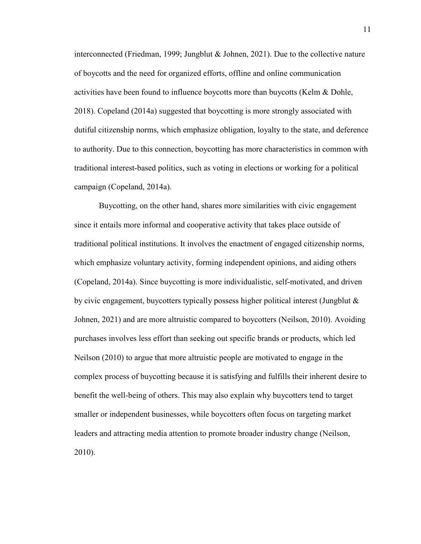interconnected (Friedman, 1999; Jungblut & Johnen, 2021). Due to the collective nature of boycotts and the need for organized efforts, offline and online communication activities have been found to influence boycotts more than buycotts (Kelm & Dohle, 2018). Copeland (2014a) suggested that boycotting is more strongly associated with dutiful citizenship norms, which emphasize obligation, loyalty to the state, and deference to authority. Due to this connection, boycotting has more characteristics in common with traditional interest-based politics, such as voting in elections or working for a political campaign (Copeland, 2014a).

Buycotting, on the other hand, shares more similarities with civic engagement since it entails more informal and cooperative activity that takes place outside of traditional political institutions. It involves the enactment of engaged citizenship norms, which emphasize voluntary activity, forming independent opinions, and aiding others (Copeland, 2014a). Since buycotting is more individualistic, self-motivated, and driven by civic engagement, buycotters typically possess higher political interest (Jungblut  $\&$ Johnen, 2021) and are more altruistic compared to boycotters (Neilson, 2010). Avoiding purchases involves less effort than seeking out specific brands or products, which led Neilson (2010) to argue that more altruistic people are motivated to engage in the complex process of buycotting because it is satisfying and fulfills their inherent desire to benefit the well-being of others. This may also explain why buycotters tend to target smaller or independent businesses, while boycotters often focus on targeting market leaders and attracting media attention to promote broader industry change (Neilson, 2010).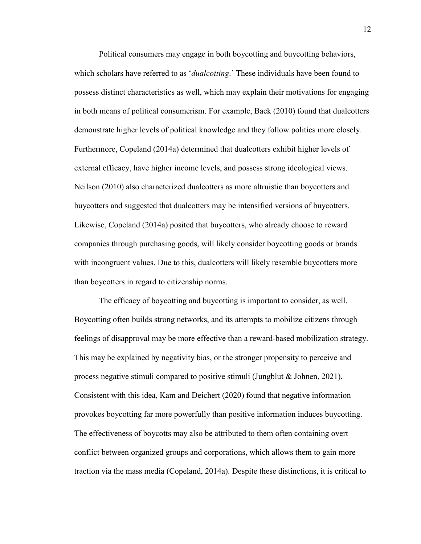Political consumers may engage in both boycotting and buycotting behaviors, which scholars have referred to as '*dualcotting*.' These individuals have been found to possess distinct characteristics as well, which may explain their motivations for engaging in both means of political consumerism. For example, Baek (2010) found that dualcotters demonstrate higher levels of political knowledge and they follow politics more closely. Furthermore, Copeland (2014a) determined that dualcotters exhibit higher levels of external efficacy, have higher income levels, and possess strong ideological views. Neilson (2010) also characterized dualcotters as more altruistic than boycotters and buycotters and suggested that dualcotters may be intensified versions of buycotters. Likewise, Copeland (2014a) posited that buycotters, who already choose to reward companies through purchasing goods, will likely consider boycotting goods or brands with incongruent values. Due to this, dualcotters will likely resemble buycotters more than boycotters in regard to citizenship norms.

The efficacy of boycotting and buycotting is important to consider, as well. Boycotting often builds strong networks, and its attempts to mobilize citizens through feelings of disapproval may be more effective than a reward-based mobilization strategy. This may be explained by negativity bias, or the stronger propensity to perceive and process negative stimuli compared to positive stimuli (Jungblut & Johnen, 2021). Consistent with this idea, Kam and Deichert (2020) found that negative information provokes boycotting far more powerfully than positive information induces buycotting. The effectiveness of boycotts may also be attributed to them often containing overt conflict between organized groups and corporations, which allows them to gain more traction via the mass media (Copeland, 2014a). Despite these distinctions, it is critical to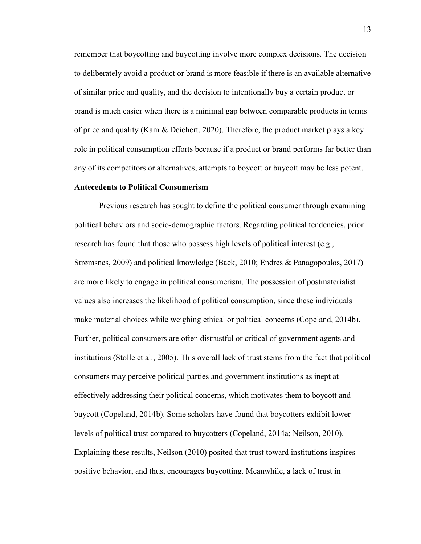remember that boycotting and buycotting involve more complex decisions. The decision to deliberately avoid a product or brand is more feasible if there is an available alternative of similar price and quality, and the decision to intentionally buy a certain product or brand is much easier when there is a minimal gap between comparable products in terms of price and quality (Kam & Deichert, 2020). Therefore, the product market plays a key role in political consumption efforts because if a product or brand performs far better than any of its competitors or alternatives, attempts to boycott or buycott may be less potent.

#### **Antecedents to Political Consumerism**

Previous research has sought to define the political consumer through examining political behaviors and socio-demographic factors. Regarding political tendencies, prior research has found that those who possess high levels of political interest (e.g., Strømsnes, 2009) and political knowledge (Baek, 2010; Endres & Panagopoulos, 2017) are more likely to engage in political consumerism. The possession of postmaterialist values also increases the likelihood of political consumption, since these individuals make material choices while weighing ethical or political concerns (Copeland, 2014b). Further, political consumers are often distrustful or critical of government agents and institutions (Stolle et al., 2005). This overall lack of trust stems from the fact that political consumers may perceive political parties and government institutions as inept at effectively addressing their political concerns, which motivates them to boycott and buycott (Copeland, 2014b). Some scholars have found that boycotters exhibit lower levels of political trust compared to buycotters (Copeland, 2014a; Neilson, 2010). Explaining these results, Neilson (2010) posited that trust toward institutions inspires positive behavior, and thus, encourages buycotting. Meanwhile, a lack of trust in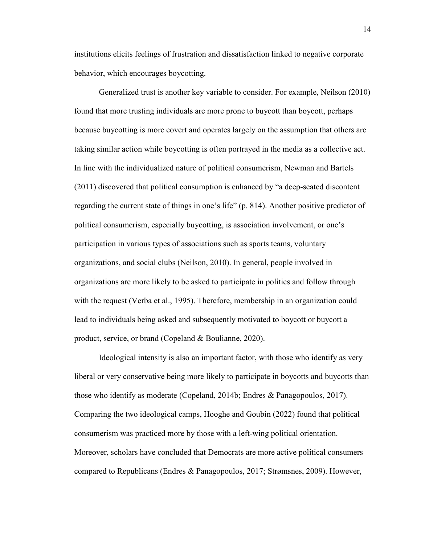institutions elicits feelings of frustration and dissatisfaction linked to negative corporate behavior, which encourages boycotting.

Generalized trust is another key variable to consider. For example, Neilson (2010) found that more trusting individuals are more prone to buycott than boycott, perhaps because buycotting is more covert and operates largely on the assumption that others are taking similar action while boycotting is often portrayed in the media as a collective act. In line with the individualized nature of political consumerism, Newman and Bartels (2011) discovered that political consumption is enhanced by "a deep-seated discontent regarding the current state of things in one's life" (p. 814). Another positive predictor of political consumerism, especially buycotting, is association involvement, or one's participation in various types of associations such as sports teams, voluntary organizations, and social clubs (Neilson, 2010). In general, people involved in organizations are more likely to be asked to participate in politics and follow through with the request (Verba et al., 1995). Therefore, membership in an organization could lead to individuals being asked and subsequently motivated to boycott or buycott a product, service, or brand (Copeland & Boulianne, 2020).

Ideological intensity is also an important factor, with those who identify as very liberal or very conservative being more likely to participate in boycotts and buycotts than those who identify as moderate (Copeland, 2014b; Endres & Panagopoulos, 2017). Comparing the two ideological camps, Hooghe and Goubin (2022) found that political consumerism was practiced more by those with a left-wing political orientation. Moreover, scholars have concluded that Democrats are more active political consumers compared to Republicans (Endres & Panagopoulos, 2017; Strømsnes, 2009). However,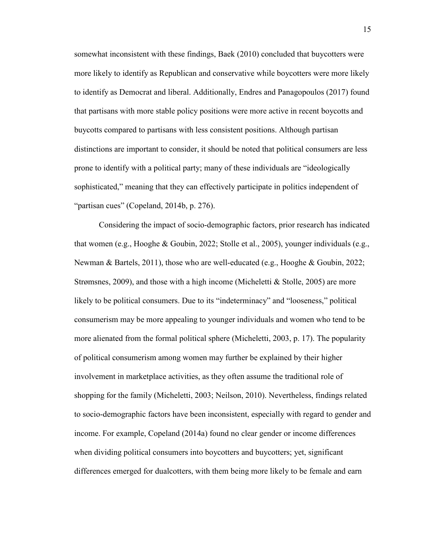somewhat inconsistent with these findings, Baek (2010) concluded that buycotters were more likely to identify as Republican and conservative while boycotters were more likely to identify as Democrat and liberal. Additionally, Endres and Panagopoulos (2017) found that partisans with more stable policy positions were more active in recent boycotts and buycotts compared to partisans with less consistent positions. Although partisan distinctions are important to consider, it should be noted that political consumers are less prone to identify with a political party; many of these individuals are "ideologically sophisticated," meaning that they can effectively participate in politics independent of "partisan cues" (Copeland, 2014b, p. 276).

Considering the impact of socio-demographic factors, prior research has indicated that women (e.g., Hooghe & Goubin, 2022; Stolle et al., 2005), younger individuals (e.g., Newman & Bartels, 2011), those who are well-educated (e.g., Hooghe & Goubin, 2022; Strømsnes, 2009), and those with a high income (Micheletti & Stolle, 2005) are more likely to be political consumers. Due to its "indeterminacy" and "looseness," political consumerism may be more appealing to younger individuals and women who tend to be more alienated from the formal political sphere (Micheletti, 2003, p. 17). The popularity of political consumerism among women may further be explained by their higher involvement in marketplace activities, as they often assume the traditional role of shopping for the family (Micheletti, 2003; Neilson, 2010). Nevertheless, findings related to socio-demographic factors have been inconsistent, especially with regard to gender and income. For example, Copeland (2014a) found no clear gender or income differences when dividing political consumers into boycotters and buycotters; yet, significant differences emerged for dualcotters, with them being more likely to be female and earn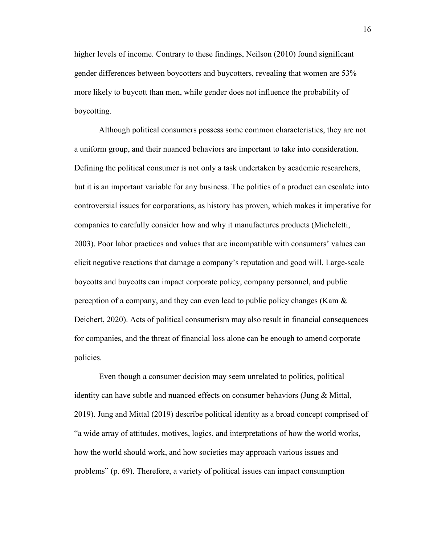higher levels of income. Contrary to these findings, Neilson (2010) found significant gender differences between boycotters and buycotters, revealing that women are 53% more likely to buycott than men, while gender does not influence the probability of boycotting.

Although political consumers possess some common characteristics, they are not a uniform group, and their nuanced behaviors are important to take into consideration. Defining the political consumer is not only a task undertaken by academic researchers, but it is an important variable for any business. The politics of a product can escalate into controversial issues for corporations, as history has proven, which makes it imperative for companies to carefully consider how and why it manufactures products (Micheletti, 2003). Poor labor practices and values that are incompatible with consumers' values can elicit negative reactions that damage a company's reputation and good will. Large-scale boycotts and buycotts can impact corporate policy, company personnel, and public perception of a company, and they can even lead to public policy changes (Kam & Deichert, 2020). Acts of political consumerism may also result in financial consequences for companies, and the threat of financial loss alone can be enough to amend corporate policies.

Even though a consumer decision may seem unrelated to politics, political identity can have subtle and nuanced effects on consumer behaviors (Jung & Mittal, 2019). Jung and Mittal (2019) describe political identity as a broad concept comprised of "a wide array of attitudes, motives, logics, and interpretations of how the world works, how the world should work, and how societies may approach various issues and problems" (p. 69). Therefore, a variety of political issues can impact consumption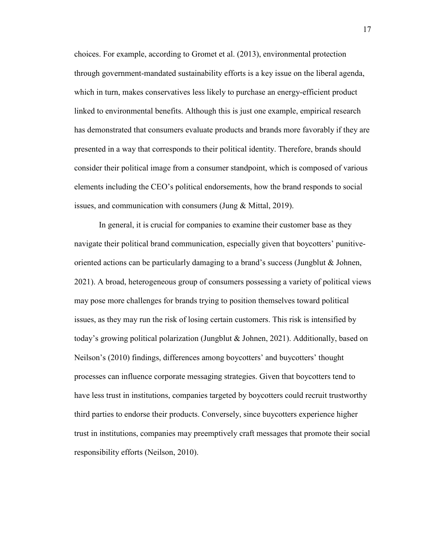choices. For example, according to Gromet et al. (2013), environmental protection through government-mandated sustainability efforts is a key issue on the liberal agenda, which in turn, makes conservatives less likely to purchase an energy-efficient product linked to environmental benefits. Although this is just one example, empirical research has demonstrated that consumers evaluate products and brands more favorably if they are presented in a way that corresponds to their political identity. Therefore, brands should consider their political image from a consumer standpoint, which is composed of various elements including the CEO's political endorsements, how the brand responds to social issues, and communication with consumers (Jung & Mittal, 2019).

In general, it is crucial for companies to examine their customer base as they navigate their political brand communication, especially given that boycotters' punitiveoriented actions can be particularly damaging to a brand's success (Jungblut  $\&$  Johnen, 2021). A broad, heterogeneous group of consumers possessing a variety of political views may pose more challenges for brands trying to position themselves toward political issues, as they may run the risk of losing certain customers. This risk is intensified by today's growing political polarization (Jungblut & Johnen, 2021). Additionally, based on Neilson's (2010) findings, differences among boycotters' and buycotters' thought processes can influence corporate messaging strategies. Given that boycotters tend to have less trust in institutions, companies targeted by boycotters could recruit trustworthy third parties to endorse their products. Conversely, since buycotters experience higher trust in institutions, companies may preemptively craft messages that promote their social responsibility efforts (Neilson, 2010).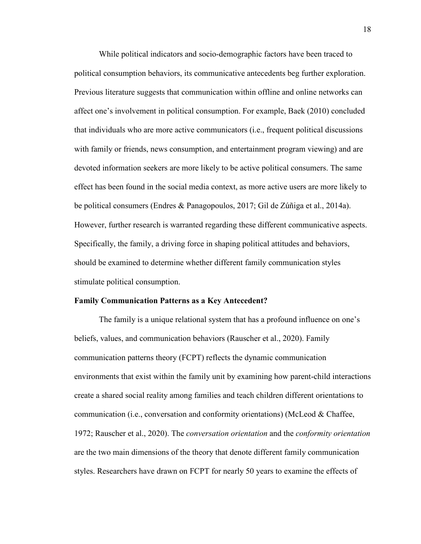While political indicators and socio-demographic factors have been traced to political consumption behaviors, its communicative antecedents beg further exploration. Previous literature suggests that communication within offline and online networks can affect one's involvement in political consumption. For example, Baek (2010) concluded that individuals who are more active communicators (i.e., frequent political discussions with family or friends, news consumption, and entertainment program viewing) and are devoted information seekers are more likely to be active political consumers. The same effect has been found in the social media context, as more active users are more likely to be political consumers (Endres & Panagopoulos, 2017; Gil de Zúñiga et al., 2014a). However, further research is warranted regarding these different communicative aspects. Specifically, the family, a driving force in shaping political attitudes and behaviors, should be examined to determine whether different family communication styles stimulate political consumption.

#### **Family Communication Patterns as a Key Antecedent?**

 The family is a unique relational system that has a profound influence on one's beliefs, values, and communication behaviors (Rauscher et al., 2020). Family communication patterns theory (FCPT) reflects the dynamic communication environments that exist within the family unit by examining how parent-child interactions create a shared social reality among families and teach children different orientations to communication (i.e., conversation and conformity orientations) (McLeod & Chaffee, 1972; Rauscher et al., 2020). The *conversation orientation* and the *conformity orientation* are the two main dimensions of the theory that denote different family communication styles. Researchers have drawn on FCPT for nearly 50 years to examine the effects of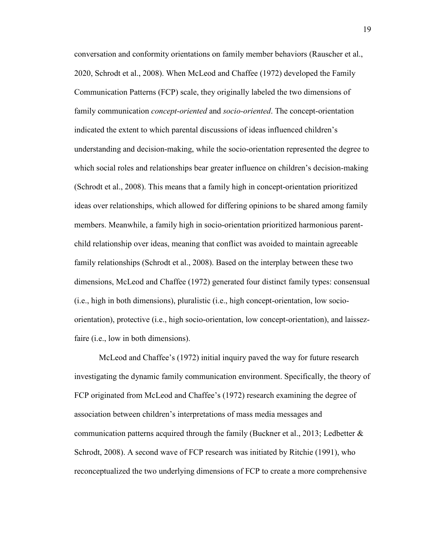conversation and conformity orientations on family member behaviors (Rauscher et al., 2020, Schrodt et al., 2008). When McLeod and Chaffee (1972) developed the Family Communication Patterns (FCP) scale, they originally labeled the two dimensions of family communication *concept-oriented* and *socio-oriented*. The concept-orientation indicated the extent to which parental discussions of ideas influenced children's understanding and decision-making, while the socio-orientation represented the degree to which social roles and relationships bear greater influence on children's decision-making (Schrodt et al., 2008). This means that a family high in concept-orientation prioritized ideas over relationships, which allowed for differing opinions to be shared among family members. Meanwhile, a family high in socio-orientation prioritized harmonious parentchild relationship over ideas, meaning that conflict was avoided to maintain agreeable family relationships (Schrodt et al., 2008). Based on the interplay between these two dimensions, McLeod and Chaffee (1972) generated four distinct family types: consensual (i.e., high in both dimensions), pluralistic (i.e., high concept-orientation, low socioorientation), protective (i.e., high socio-orientation, low concept-orientation), and laissezfaire (*i.e.*, low in both dimensions).

 McLeod and Chaffee's (1972) initial inquiry paved the way for future research investigating the dynamic family communication environment. Specifically, the theory of FCP originated from McLeod and Chaffee's (1972) research examining the degree of association between children's interpretations of mass media messages and communication patterns acquired through the family (Buckner et al., 2013; Ledbetter  $\&$ Schrodt, 2008). A second wave of FCP research was initiated by Ritchie (1991), who reconceptualized the two underlying dimensions of FCP to create a more comprehensive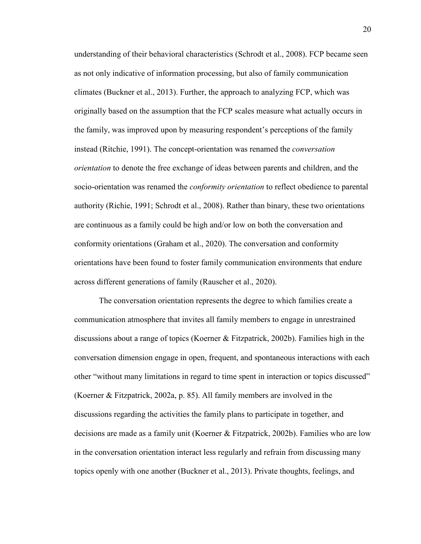understanding of their behavioral characteristics (Schrodt et al., 2008). FCP became seen as not only indicative of information processing, but also of family communication climates (Buckner et al., 2013). Further, the approach to analyzing FCP, which was originally based on the assumption that the FCP scales measure what actually occurs in the family, was improved upon by measuring respondent's perceptions of the family instead (Ritchie, 1991). The concept-orientation was renamed the *conversation orientation* to denote the free exchange of ideas between parents and children, and the socio-orientation was renamed the *conformity orientation* to reflect obedience to parental authority (Richie, 1991; Schrodt et al., 2008). Rather than binary, these two orientations are continuous as a family could be high and/or low on both the conversation and conformity orientations (Graham et al., 2020). The conversation and conformity orientations have been found to foster family communication environments that endure across different generations of family (Rauscher et al., 2020).

The conversation orientation represents the degree to which families create a communication atmosphere that invites all family members to engage in unrestrained discussions about a range of topics (Koerner & Fitzpatrick, 2002b). Families high in the conversation dimension engage in open, frequent, and spontaneous interactions with each other "without many limitations in regard to time spent in interaction or topics discussed" (Koerner & Fitzpatrick, 2002a, p. 85). All family members are involved in the discussions regarding the activities the family plans to participate in together, and decisions are made as a family unit (Koerner & Fitzpatrick, 2002b). Families who are low in the conversation orientation interact less regularly and refrain from discussing many topics openly with one another (Buckner et al., 2013). Private thoughts, feelings, and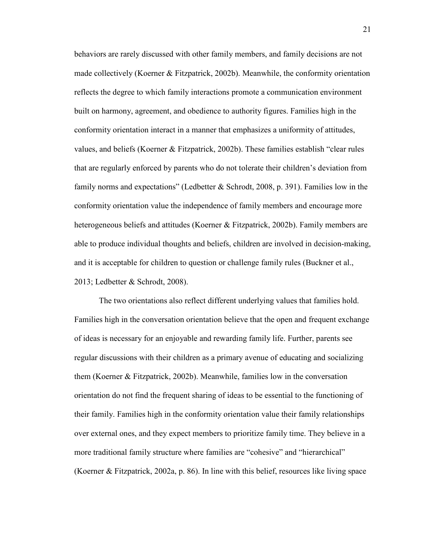behaviors are rarely discussed with other family members, and family decisions are not made collectively (Koerner & Fitzpatrick, 2002b). Meanwhile, the conformity orientation reflects the degree to which family interactions promote a communication environment built on harmony, agreement, and obedience to authority figures. Families high in the conformity orientation interact in a manner that emphasizes a uniformity of attitudes, values, and beliefs (Koerner & Fitzpatrick, 2002b). These families establish "clear rules that are regularly enforced by parents who do not tolerate their children's deviation from family norms and expectations" (Ledbetter  $\&$  Schrodt, 2008, p. 391). Families low in the conformity orientation value the independence of family members and encourage more heterogeneous beliefs and attitudes (Koerner & Fitzpatrick, 2002b). Family members are able to produce individual thoughts and beliefs, children are involved in decision-making, and it is acceptable for children to question or challenge family rules (Buckner et al., 2013; Ledbetter & Schrodt, 2008).

The two orientations also reflect different underlying values that families hold. Families high in the conversation orientation believe that the open and frequent exchange of ideas is necessary for an enjoyable and rewarding family life. Further, parents see regular discussions with their children as a primary avenue of educating and socializing them (Koerner & Fitzpatrick, 2002b). Meanwhile, families low in the conversation orientation do not find the frequent sharing of ideas to be essential to the functioning of their family. Families high in the conformity orientation value their family relationships over external ones, and they expect members to prioritize family time. They believe in a more traditional family structure where families are "cohesive" and "hierarchical" (Koerner & Fitzpatrick, 2002a, p. 86). In line with this belief, resources like living space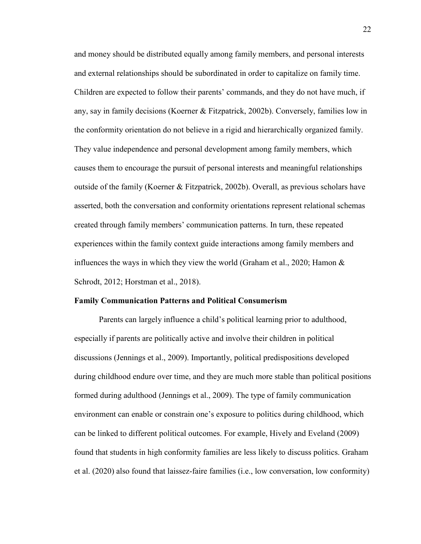and money should be distributed equally among family members, and personal interests and external relationships should be subordinated in order to capitalize on family time. Children are expected to follow their parents' commands, and they do not have much, if any, say in family decisions (Koerner & Fitzpatrick, 2002b). Conversely, families low in the conformity orientation do not believe in a rigid and hierarchically organized family. They value independence and personal development among family members, which causes them to encourage the pursuit of personal interests and meaningful relationships outside of the family (Koerner & Fitzpatrick, 2002b). Overall, as previous scholars have asserted, both the conversation and conformity orientations represent relational schemas created through family members' communication patterns. In turn, these repeated experiences within the family context guide interactions among family members and influences the ways in which they view the world (Graham et al., 2020; Hamon  $\&$ Schrodt, 2012; Horstman et al., 2018).

#### **Family Communication Patterns and Political Consumerism**

Parents can largely influence a child's political learning prior to adulthood, especially if parents are politically active and involve their children in political discussions (Jennings et al., 2009). Importantly, political predispositions developed during childhood endure over time, and they are much more stable than political positions formed during adulthood (Jennings et al., 2009). The type of family communication environment can enable or constrain one's exposure to politics during childhood, which can be linked to different political outcomes. For example, Hively and Eveland (2009) found that students in high conformity families are less likely to discuss politics. Graham et al. (2020) also found that laissez-faire families (i.e., low conversation, low conformity)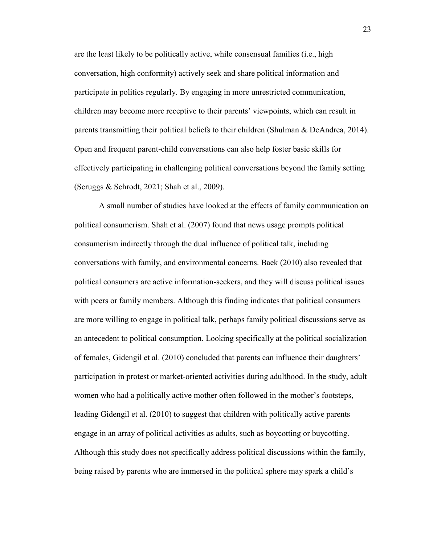are the least likely to be politically active, while consensual families (i.e., high conversation, high conformity) actively seek and share political information and participate in politics regularly. By engaging in more unrestricted communication, children may become more receptive to their parents' viewpoints, which can result in parents transmitting their political beliefs to their children (Shulman & DeAndrea, 2014). Open and frequent parent-child conversations can also help foster basic skills for effectively participating in challenging political conversations beyond the family setting (Scruggs & Schrodt, 2021; Shah et al., 2009).

 A small number of studies have looked at the effects of family communication on political consumerism. Shah et al. (2007) found that news usage prompts political consumerism indirectly through the dual influence of political talk, including conversations with family, and environmental concerns. Baek (2010) also revealed that political consumers are active information-seekers, and they will discuss political issues with peers or family members. Although this finding indicates that political consumers are more willing to engage in political talk, perhaps family political discussions serve as an antecedent to political consumption. Looking specifically at the political socialization of females, Gidengil et al. (2010) concluded that parents can influence their daughters' participation in protest or market-oriented activities during adulthood. In the study, adult women who had a politically active mother often followed in the mother's footsteps, leading Gidengil et al. (2010) to suggest that children with politically active parents engage in an array of political activities as adults, such as boycotting or buycotting. Although this study does not specifically address political discussions within the family, being raised by parents who are immersed in the political sphere may spark a child's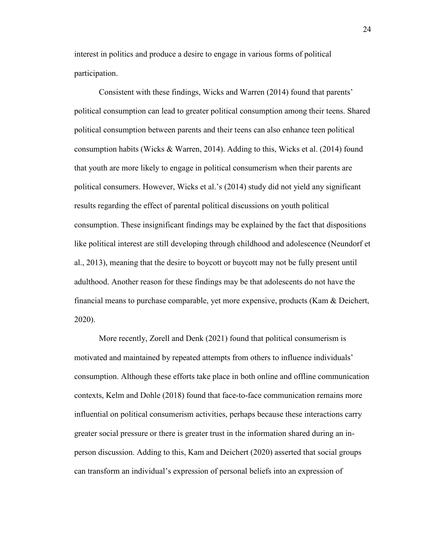interest in politics and produce a desire to engage in various forms of political participation.

Consistent with these findings, Wicks and Warren (2014) found that parents' political consumption can lead to greater political consumption among their teens. Shared political consumption between parents and their teens can also enhance teen political consumption habits (Wicks & Warren, 2014). Adding to this, Wicks et al. (2014) found that youth are more likely to engage in political consumerism when their parents are political consumers. However, Wicks et al.'s (2014) study did not yield any significant results regarding the effect of parental political discussions on youth political consumption. These insignificant findings may be explained by the fact that dispositions like political interest are still developing through childhood and adolescence (Neundorf et al., 2013), meaning that the desire to boycott or buycott may not be fully present until adulthood. Another reason for these findings may be that adolescents do not have the financial means to purchase comparable, yet more expensive, products (Kam & Deichert, 2020).

More recently, Zorell and Denk (2021) found that political consumerism is motivated and maintained by repeated attempts from others to influence individuals' consumption. Although these efforts take place in both online and offline communication contexts, Kelm and Dohle (2018) found that face-to-face communication remains more influential on political consumerism activities, perhaps because these interactions carry greater social pressure or there is greater trust in the information shared during an inperson discussion. Adding to this, Kam and Deichert (2020) asserted that social groups can transform an individual's expression of personal beliefs into an expression of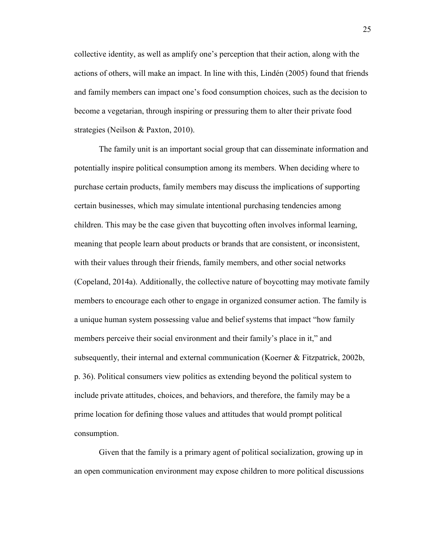collective identity, as well as amplify one's perception that their action, along with the actions of others, will make an impact. In line with this, Lindén (2005) found that friends and family members can impact one's food consumption choices, such as the decision to become a vegetarian, through inspiring or pressuring them to alter their private food strategies (Neilson & Paxton, 2010).

The family unit is an important social group that can disseminate information and potentially inspire political consumption among its members. When deciding where to purchase certain products, family members may discuss the implications of supporting certain businesses, which may simulate intentional purchasing tendencies among children. This may be the case given that buycotting often involves informal learning, meaning that people learn about products or brands that are consistent, or inconsistent, with their values through their friends, family members, and other social networks (Copeland, 2014a). Additionally, the collective nature of boycotting may motivate family members to encourage each other to engage in organized consumer action. The family is a unique human system possessing value and belief systems that impact "how family members perceive their social environment and their family's place in it," and subsequently, their internal and external communication (Koerner & Fitzpatrick, 2002b, p. 36). Political consumers view politics as extending beyond the political system to include private attitudes, choices, and behaviors, and therefore, the family may be a prime location for defining those values and attitudes that would prompt political consumption.

Given that the family is a primary agent of political socialization, growing up in an open communication environment may expose children to more political discussions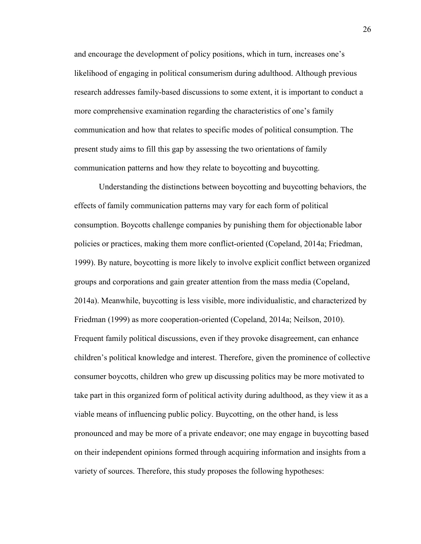and encourage the development of policy positions, which in turn, increases one's likelihood of engaging in political consumerism during adulthood. Although previous research addresses family-based discussions to some extent, it is important to conduct a more comprehensive examination regarding the characteristics of one's family communication and how that relates to specific modes of political consumption. The present study aims to fill this gap by assessing the two orientations of family communication patterns and how they relate to boycotting and buycotting.

Understanding the distinctions between boycotting and buycotting behaviors, the effects of family communication patterns may vary for each form of political consumption. Boycotts challenge companies by punishing them for objectionable labor policies or practices, making them more conflict-oriented (Copeland, 2014a; Friedman, 1999). By nature, boycotting is more likely to involve explicit conflict between organized groups and corporations and gain greater attention from the mass media (Copeland, 2014a). Meanwhile, buycotting is less visible, more individualistic, and characterized by Friedman (1999) as more cooperation-oriented (Copeland, 2014a; Neilson, 2010). Frequent family political discussions, even if they provoke disagreement, can enhance children's political knowledge and interest. Therefore, given the prominence of collective consumer boycotts, children who grew up discussing politics may be more motivated to take part in this organized form of political activity during adulthood, as they view it as a viable means of influencing public policy. Buycotting, on the other hand, is less pronounced and may be more of a private endeavor; one may engage in buycotting based on their independent opinions formed through acquiring information and insights from a variety of sources. Therefore, this study proposes the following hypotheses: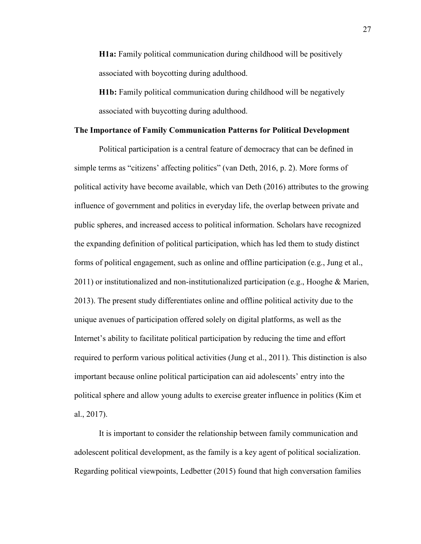**H1a:** Family political communication during childhood will be positively associated with boycotting during adulthood.

**H1b:** Family political communication during childhood will be negatively associated with buycotting during adulthood.

#### **The Importance of Family Communication Patterns for Political Development**

Political participation is a central feature of democracy that can be defined in simple terms as "citizens' affecting politics" (van Deth, 2016, p. 2). More forms of political activity have become available, which van Deth (2016) attributes to the growing influence of government and politics in everyday life, the overlap between private and public spheres, and increased access to political information. Scholars have recognized the expanding definition of political participation, which has led them to study distinct forms of political engagement, such as online and offline participation (e.g., Jung et al., 2011) or institutionalized and non-institutionalized participation (e.g., Hooghe & Marien, 2013). The present study differentiates online and offline political activity due to the unique avenues of participation offered solely on digital platforms, as well as the Internet's ability to facilitate political participation by reducing the time and effort required to perform various political activities (Jung et al., 2011). This distinction is also important because online political participation can aid adolescents' entry into the political sphere and allow young adults to exercise greater influence in politics (Kim et al., 2017).

It is important to consider the relationship between family communication and adolescent political development, as the family is a key agent of political socialization. Regarding political viewpoints, Ledbetter (2015) found that high conversation families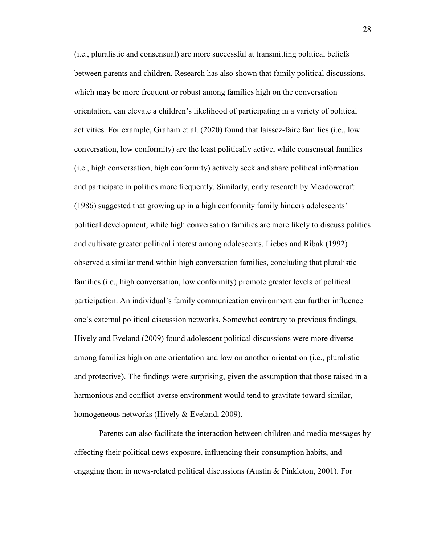(i.e., pluralistic and consensual) are more successful at transmitting political beliefs between parents and children. Research has also shown that family political discussions, which may be more frequent or robust among families high on the conversation orientation, can elevate a children's likelihood of participating in a variety of political activities. For example, Graham et al. (2020) found that laissez-faire families (i.e., low conversation, low conformity) are the least politically active, while consensual families (i.e., high conversation, high conformity) actively seek and share political information and participate in politics more frequently. Similarly, early research by Meadowcroft (1986) suggested that growing up in a high conformity family hinders adolescents' political development, while high conversation families are more likely to discuss politics and cultivate greater political interest among adolescents. Liebes and Ribak (1992) observed a similar trend within high conversation families, concluding that pluralistic families (i.e., high conversation, low conformity) promote greater levels of political participation. An individual's family communication environment can further influence one's external political discussion networks. Somewhat contrary to previous findings, Hively and Eveland (2009) found adolescent political discussions were more diverse among families high on one orientation and low on another orientation (i.e., pluralistic and protective). The findings were surprising, given the assumption that those raised in a harmonious and conflict-averse environment would tend to gravitate toward similar, homogeneous networks (Hively & Eveland, 2009).

Parents can also facilitate the interaction between children and media messages by affecting their political news exposure, influencing their consumption habits, and engaging them in news-related political discussions (Austin & Pinkleton, 2001). For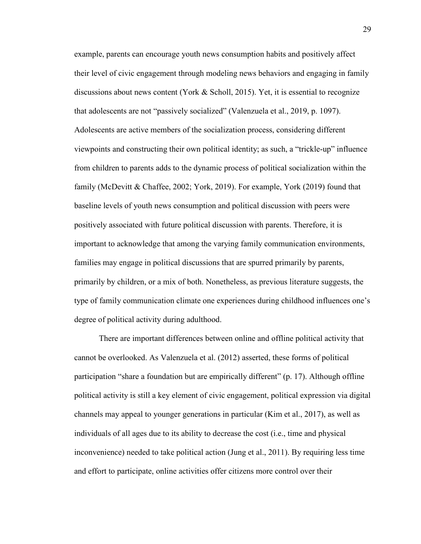example, parents can encourage youth news consumption habits and positively affect their level of civic engagement through modeling news behaviors and engaging in family discussions about news content (York  $&$  Scholl, 2015). Yet, it is essential to recognize that adolescents are not "passively socialized" (Valenzuela et al., 2019, p. 1097). Adolescents are active members of the socialization process, considering different viewpoints and constructing their own political identity; as such, a "trickle-up" influence from children to parents adds to the dynamic process of political socialization within the family (McDevitt & Chaffee, 2002; York, 2019). For example, York (2019) found that baseline levels of youth news consumption and political discussion with peers were positively associated with future political discussion with parents. Therefore, it is important to acknowledge that among the varying family communication environments, families may engage in political discussions that are spurred primarily by parents, primarily by children, or a mix of both. Nonetheless, as previous literature suggests, the type of family communication climate one experiences during childhood influences one's degree of political activity during adulthood.

There are important differences between online and offline political activity that cannot be overlooked. As Valenzuela et al. (2012) asserted, these forms of political participation "share a foundation but are empirically different" (p. 17). Although offline political activity is still a key element of civic engagement, political expression via digital channels may appeal to younger generations in particular (Kim et al., 2017), as well as individuals of all ages due to its ability to decrease the cost (i.e., time and physical inconvenience) needed to take political action (Jung et al., 2011). By requiring less time and effort to participate, online activities offer citizens more control over their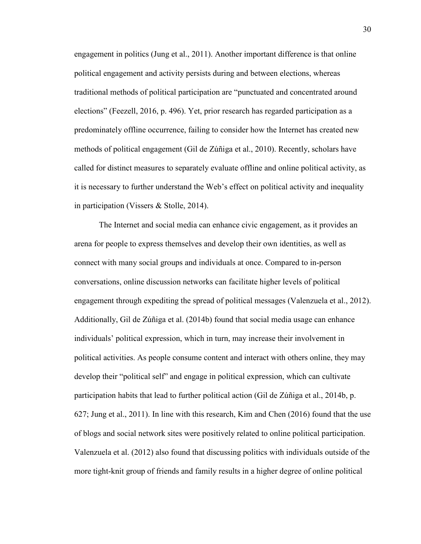engagement in politics (Jung et al., 2011). Another important difference is that online political engagement and activity persists during and between elections, whereas traditional methods of political participation are "punctuated and concentrated around elections" (Feezell, 2016, p. 496). Yet, prior research has regarded participation as a predominately offline occurrence, failing to consider how the Internet has created new methods of political engagement (Gil de Zúñiga et al., 2010). Recently, scholars have called for distinct measures to separately evaluate offline and online political activity, as it is necessary to further understand the Web's effect on political activity and inequality in participation (Vissers & Stolle, 2014).

The Internet and social media can enhance civic engagement, as it provides an arena for people to express themselves and develop their own identities, as well as connect with many social groups and individuals at once. Compared to in-person conversations, online discussion networks can facilitate higher levels of political engagement through expediting the spread of political messages (Valenzuela et al., 2012). Additionally, Gil de Zúñiga et al. (2014b) found that social media usage can enhance individuals' political expression, which in turn, may increase their involvement in political activities. As people consume content and interact with others online, they may develop their "political self" and engage in political expression, which can cultivate participation habits that lead to further political action (Gil de Zúñiga et al., 2014b, p. 627; Jung et al., 2011). In line with this research, Kim and Chen (2016) found that the use of blogs and social network sites were positively related to online political participation. Valenzuela et al. (2012) also found that discussing politics with individuals outside of the more tight-knit group of friends and family results in a higher degree of online political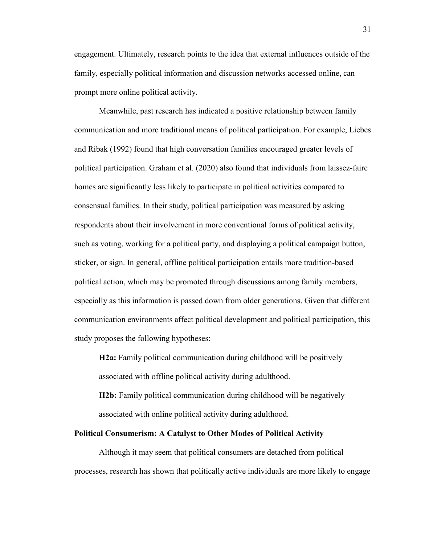engagement. Ultimately, research points to the idea that external influences outside of the family, especially political information and discussion networks accessed online, can prompt more online political activity.

Meanwhile, past research has indicated a positive relationship between family communication and more traditional means of political participation. For example, Liebes and Ribak (1992) found that high conversation families encouraged greater levels of political participation. Graham et al. (2020) also found that individuals from laissez-faire homes are significantly less likely to participate in political activities compared to consensual families. In their study, political participation was measured by asking respondents about their involvement in more conventional forms of political activity, such as voting, working for a political party, and displaying a political campaign button, sticker, or sign. In general, offline political participation entails more tradition-based political action, which may be promoted through discussions among family members, especially as this information is passed down from older generations. Given that different communication environments affect political development and political participation, this study proposes the following hypotheses:

**H2a:** Family political communication during childhood will be positively associated with offline political activity during adulthood.

**H2b:** Family political communication during childhood will be negatively associated with online political activity during adulthood.

#### **Political Consumerism: A Catalyst to Other Modes of Political Activity**

Although it may seem that political consumers are detached from political processes, research has shown that politically active individuals are more likely to engage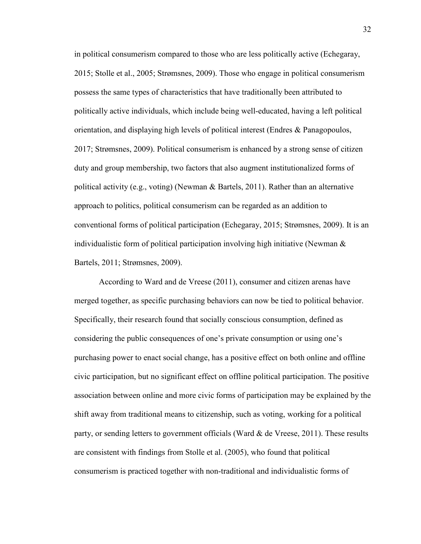in political consumerism compared to those who are less politically active (Echegaray, 2015; Stolle et al., 2005; Strømsnes, 2009). Those who engage in political consumerism possess the same types of characteristics that have traditionally been attributed to politically active individuals, which include being well-educated, having a left political orientation, and displaying high levels of political interest (Endres & Panagopoulos, 2017; Strømsnes, 2009). Political consumerism is enhanced by a strong sense of citizen duty and group membership, two factors that also augment institutionalized forms of political activity (e.g., voting) (Newman & Bartels, 2011). Rather than an alternative approach to politics, political consumerism can be regarded as an addition to conventional forms of political participation (Echegaray, 2015; Strømsnes, 2009). It is an individualistic form of political participation involving high initiative (Newman & Bartels, 2011; Strømsnes, 2009).

According to Ward and de Vreese (2011), consumer and citizen arenas have merged together, as specific purchasing behaviors can now be tied to political behavior. Specifically, their research found that socially conscious consumption, defined as considering the public consequences of one's private consumption or using one's purchasing power to enact social change, has a positive effect on both online and offline civic participation, but no significant effect on offline political participation. The positive association between online and more civic forms of participation may be explained by the shift away from traditional means to citizenship, such as voting, working for a political party, or sending letters to government officials (Ward & de Vreese, 2011). These results are consistent with findings from Stolle et al. (2005), who found that political consumerism is practiced together with non-traditional and individualistic forms of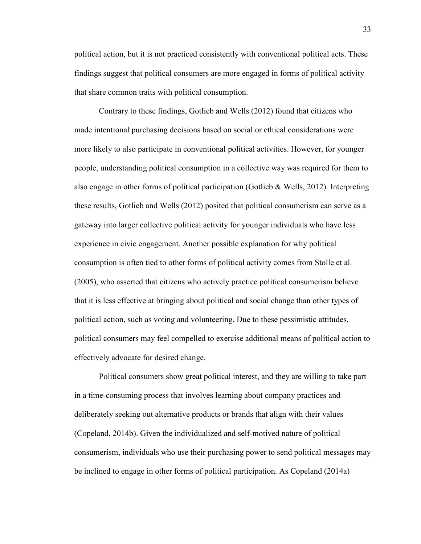political action, but it is not practiced consistently with conventional political acts. These findings suggest that political consumers are more engaged in forms of political activity that share common traits with political consumption.

Contrary to these findings, Gotlieb and Wells (2012) found that citizens who made intentional purchasing decisions based on social or ethical considerations were more likely to also participate in conventional political activities. However, for younger people, understanding political consumption in a collective way was required for them to also engage in other forms of political participation (Gotlieb & Wells, 2012). Interpreting these results, Gotlieb and Wells (2012) posited that political consumerism can serve as a gateway into larger collective political activity for younger individuals who have less experience in civic engagement. Another possible explanation for why political consumption is often tied to other forms of political activity comes from Stolle et al. (2005), who asserted that citizens who actively practice political consumerism believe that it is less effective at bringing about political and social change than other types of political action, such as voting and volunteering. Due to these pessimistic attitudes, political consumers may feel compelled to exercise additional means of political action to effectively advocate for desired change.

Political consumers show great political interest, and they are willing to take part in a time-consuming process that involves learning about company practices and deliberately seeking out alternative products or brands that align with their values (Copeland, 2014b). Given the individualized and self-motived nature of political consumerism, individuals who use their purchasing power to send political messages may be inclined to engage in other forms of political participation. As Copeland (2014a)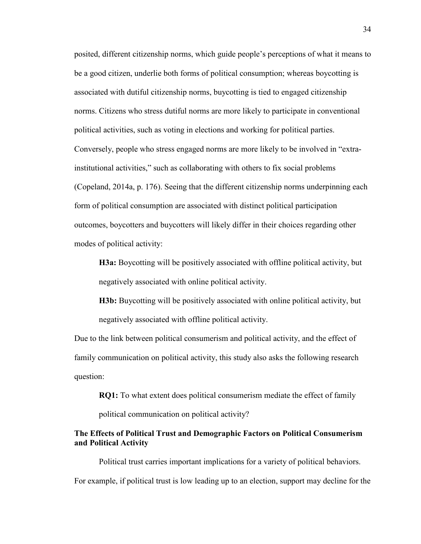posited, different citizenship norms, which guide people's perceptions of what it means to be a good citizen, underlie both forms of political consumption; whereas boycotting is associated with dutiful citizenship norms, buycotting is tied to engaged citizenship norms. Citizens who stress dutiful norms are more likely to participate in conventional political activities, such as voting in elections and working for political parties. Conversely, people who stress engaged norms are more likely to be involved in "extrainstitutional activities," such as collaborating with others to fix social problems (Copeland, 2014a, p. 176). Seeing that the different citizenship norms underpinning each form of political consumption are associated with distinct political participation outcomes, boycotters and buycotters will likely differ in their choices regarding other modes of political activity:

**H3a:** Boycotting will be positively associated with offline political activity, but negatively associated with online political activity.

**H3b:** Buycotting will be positively associated with online political activity, but negatively associated with offline political activity.

Due to the link between political consumerism and political activity, and the effect of family communication on political activity, this study also asks the following research question:

**RQ1:** To what extent does political consumerism mediate the effect of family

political communication on political activity?

#### **The Effects of Political Trust and Demographic Factors on Political Consumerism and Political Activity**

Political trust carries important implications for a variety of political behaviors. For example, if political trust is low leading up to an election, support may decline for the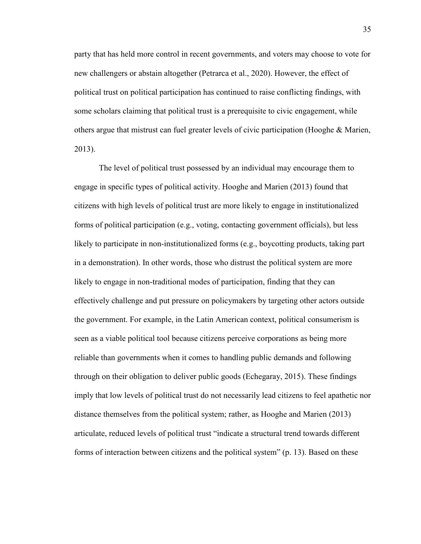party that has held more control in recent governments, and voters may choose to vote for new challengers or abstain altogether (Petrarca et al., 2020). However, the effect of political trust on political participation has continued to raise conflicting findings, with some scholars claiming that political trust is a prerequisite to civic engagement, while others argue that mistrust can fuel greater levels of civic participation (Hooghe & Marien, 2013).

The level of political trust possessed by an individual may encourage them to engage in specific types of political activity. Hooghe and Marien (2013) found that citizens with high levels of political trust are more likely to engage in institutionalized forms of political participation (e.g., voting, contacting government officials), but less likely to participate in non-institutionalized forms (e.g., boycotting products, taking part in a demonstration). In other words, those who distrust the political system are more likely to engage in non-traditional modes of participation, finding that they can effectively challenge and put pressure on policymakers by targeting other actors outside the government. For example, in the Latin American context, political consumerism is seen as a viable political tool because citizens perceive corporations as being more reliable than governments when it comes to handling public demands and following through on their obligation to deliver public goods (Echegaray, 2015). These findings imply that low levels of political trust do not necessarily lead citizens to feel apathetic nor distance themselves from the political system; rather, as Hooghe and Marien (2013) articulate, reduced levels of political trust "indicate a structural trend towards different forms of interaction between citizens and the political system" (p. 13). Based on these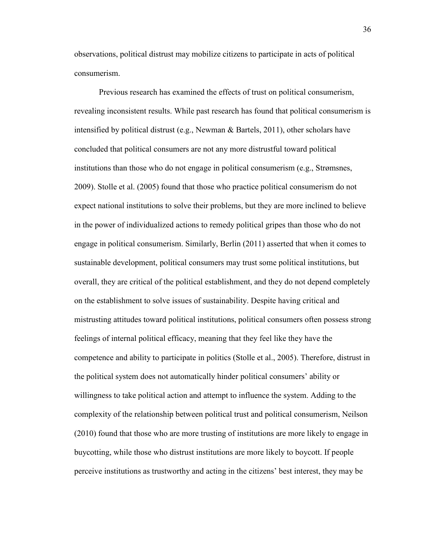observations, political distrust may mobilize citizens to participate in acts of political consumerism.

Previous research has examined the effects of trust on political consumerism, revealing inconsistent results. While past research has found that political consumerism is intensified by political distrust (e.g., Newman & Bartels, 2011), other scholars have concluded that political consumers are not any more distrustful toward political institutions than those who do not engage in political consumerism (e.g., Strømsnes, 2009). Stolle et al. (2005) found that those who practice political consumerism do not expect national institutions to solve their problems, but they are more inclined to believe in the power of individualized actions to remedy political gripes than those who do not engage in political consumerism. Similarly, Berlin (2011) asserted that when it comes to sustainable development, political consumers may trust some political institutions, but overall, they are critical of the political establishment, and they do not depend completely on the establishment to solve issues of sustainability. Despite having critical and mistrusting attitudes toward political institutions, political consumers often possess strong feelings of internal political efficacy, meaning that they feel like they have the competence and ability to participate in politics (Stolle et al., 2005). Therefore, distrust in the political system does not automatically hinder political consumers' ability or willingness to take political action and attempt to influence the system. Adding to the complexity of the relationship between political trust and political consumerism, Neilson (2010) found that those who are more trusting of institutions are more likely to engage in buycotting, while those who distrust institutions are more likely to boycott. If people perceive institutions as trustworthy and acting in the citizens' best interest, they may be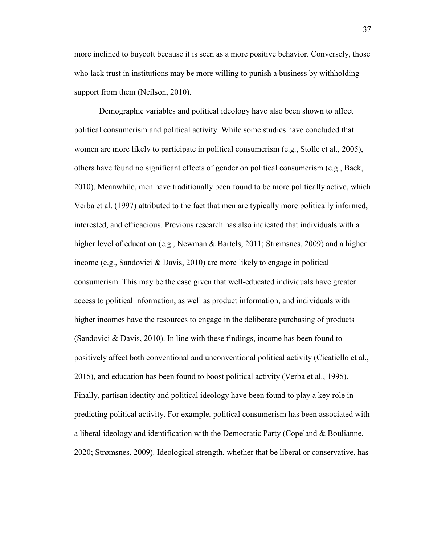more inclined to buycott because it is seen as a more positive behavior. Conversely, those who lack trust in institutions may be more willing to punish a business by withholding support from them (Neilson, 2010).

Demographic variables and political ideology have also been shown to affect political consumerism and political activity. While some studies have concluded that women are more likely to participate in political consumerism (e.g., Stolle et al., 2005), others have found no significant effects of gender on political consumerism (e.g., Baek, 2010). Meanwhile, men have traditionally been found to be more politically active, which Verba et al. (1997) attributed to the fact that men are typically more politically informed, interested, and efficacious. Previous research has also indicated that individuals with a higher level of education (e.g., Newman & Bartels, 2011; Strømsnes, 2009) and a higher income (e.g., Sandovici & Davis, 2010) are more likely to engage in political consumerism. This may be the case given that well-educated individuals have greater access to political information, as well as product information, and individuals with higher incomes have the resources to engage in the deliberate purchasing of products (Sandovici & Davis, 2010). In line with these findings, income has been found to positively affect both conventional and unconventional political activity (Cicatiello et al., 2015), and education has been found to boost political activity (Verba et al., 1995). Finally, partisan identity and political ideology have been found to play a key role in predicting political activity. For example, political consumerism has been associated with a liberal ideology and identification with the Democratic Party (Copeland & Boulianne, 2020; Strømsnes, 2009). Ideological strength, whether that be liberal or conservative, has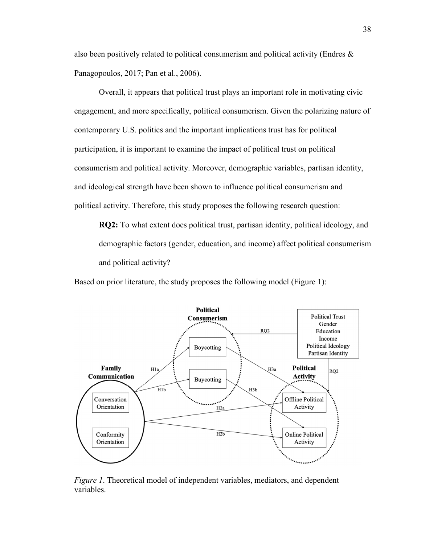also been positively related to political consumerism and political activity (Endres  $\&$ Panagopoulos, 2017; Pan et al., 2006).

Overall, it appears that political trust plays an important role in motivating civic engagement, and more specifically, political consumerism. Given the polarizing nature of contemporary U.S. politics and the important implications trust has for political participation, it is important to examine the impact of political trust on political consumerism and political activity. Moreover, demographic variables, partisan identity, and ideological strength have been shown to influence political consumerism and political activity. Therefore, this study proposes the following research question:

**RQ2:** To what extent does political trust, partisan identity, political ideology, and demographic factors (gender, education, and income) affect political consumerism and political activity?

Based on prior literature, the study proposes the following model (Figure 1):



*Figure 1*. Theoretical model of independent variables, mediators, and dependent variables.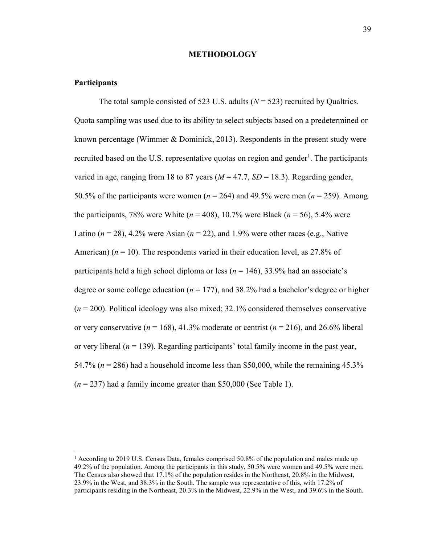#### **METHODOLOGY**

#### **Participants**

 $\overline{a}$ 

The total sample consisted of 523 U.S. adults  $(N = 523)$  recruited by Qualtrics. Quota sampling was used due to its ability to select subjects based on a predetermined or known percentage (Wimmer & Dominick, 2013). Respondents in the present study were recruited based on the U.S. representative quotas on region and gender<sup>1</sup>. The participants varied in age, ranging from 18 to 87 years  $(M = 47.7, SD = 18.3)$ . Regarding gender, 50.5% of the participants were women (*n* = 264) and 49.5% were men (*n* = 259). Among the participants, 78% were White  $(n = 408)$ , 10.7% were Black  $(n = 56)$ , 5.4% were Latino  $(n = 28)$ , 4.2% were Asian  $(n = 22)$ , and 1.9% were other races (e.g., Native American)  $(n = 10)$ . The respondents varied in their education level, as 27.8% of participants held a high school diploma or less (*n* = 146), 33.9% had an associate's degree or some college education (*n* = 177), and 38.2% had a bachelor's degree or higher (*n* = 200). Political ideology was also mixed; 32.1% considered themselves conservative or very conservative ( $n = 168$ ), 41.3% moderate or centrist ( $n = 216$ ), and 26.6% liberal or very liberal  $(n = 139)$ . Regarding participants' total family income in the past year, 54.7% (*n* = 286) had a household income less than \$50,000, while the remaining 45.3%  $(n = 237)$  had a family income greater than \$50,000 (See Table 1).

<sup>&</sup>lt;sup>1</sup> According to 2019 U.S. Census Data, females comprised 50.8% of the population and males made up 49.2% of the population. Among the participants in this study, 50.5% were women and 49.5% were men. The Census also showed that 17.1% of the population resides in the Northeast, 20.8% in the Midwest, 23.9% in the West, and 38.3% in the South. The sample was representative of this, with 17.2% of participants residing in the Northeast, 20.3% in the Midwest, 22.9% in the West, and 39.6% in the South.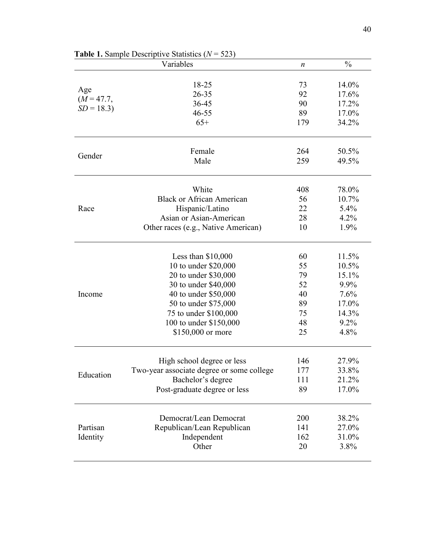|              | <b>Each 1.</b> Sample Descriptive Statistics ( <i>Iv</i><br>ا ر∠ر |                  |               |
|--------------|-------------------------------------------------------------------|------------------|---------------|
|              | Variables                                                         | $\boldsymbol{n}$ | $\frac{0}{0}$ |
|              | 18-25                                                             | 73               | 14.0%         |
| Age          | 26-35                                                             | 92               | 17.6%         |
| $(M = 47.7,$ | 36-45                                                             | 90               | 17.2%         |
| $SD = 18.3$  | 46-55                                                             | 89               | 17.0%         |
|              | $65+$                                                             | 179              | 34.2%         |
|              | Female                                                            | 264              | 50.5%         |
| Gender       | Male                                                              | 259              | 49.5%         |
|              |                                                                   |                  |               |
|              | White                                                             | 408              | 78.0%         |
|              | <b>Black or African American</b>                                  | 56               | 10.7%         |
| Race         | Hispanic/Latino                                                   | 22               | 5.4%          |
|              | Asian or Asian-American                                           | 28               | 4.2%          |
|              | Other races (e.g., Native American)                               | 10               | 1.9%          |
|              | Less than $$10,000$                                               | 60               | 11.5%         |
|              | 10 to under \$20,000                                              | 55               | 10.5%         |
|              | 20 to under \$30,000                                              | 79               | 15.1%         |
|              | 30 to under \$40,000                                              | 52               | 9.9%          |
| Income       | 40 to under \$50,000                                              | 40               | 7.6%          |
|              | 50 to under \$75,000                                              | 89               | 17.0%         |
|              | 75 to under \$100,000                                             | 75               | 14.3%         |
|              | 100 to under \$150,000                                            | 48               | 9.2%          |
|              | \$150,000 or more                                                 | 25               | 4.8%          |
|              |                                                                   |                  |               |
|              | High school degree or less                                        | 146              | 27.9%         |
| Education    | Two-year associate degree or some college                         | 177              | 33.8%         |
|              | Bachelor's degree                                                 | 111              | 21.2%         |
|              | Post-graduate degree or less                                      | 89               | 17.0%         |
|              | Democrat/Lean Democrat                                            | 200              | 38.2%         |
| Partisan     | Republican/Lean Republican                                        | 141              | 27.0%         |
| Identity     | Independent                                                       | 162              | 31.0%         |
|              | Other                                                             | 20               | 3.8%          |
|              |                                                                   |                  |               |

**Table 1.** Sample Descriptive Statistics (*N* = 523)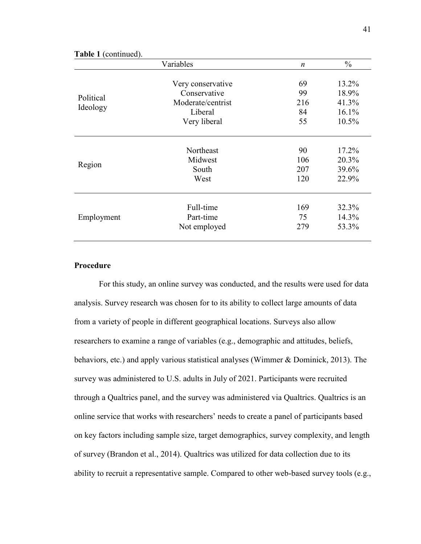|                       | Variables                                                                         | $\boldsymbol{n}$            | $\frac{0}{0}$                             |  |
|-----------------------|-----------------------------------------------------------------------------------|-----------------------------|-------------------------------------------|--|
| Political<br>Ideology | Very conservative<br>Conservative<br>Moderate/centrist<br>Liberal<br>Very liberal | 69<br>99<br>216<br>84<br>55 | 13.2%<br>18.9%<br>41.3%<br>16.1%<br>10.5% |  |
| Region                | Northeast                                                                         | 90                          | 17.2%                                     |  |
|                       | Midwest                                                                           | 106                         | 20.3%                                     |  |
|                       | South                                                                             | 207                         | 39.6%                                     |  |
|                       | West                                                                              | 120                         | 22.9%                                     |  |
| Employment            | Full-time                                                                         | 169                         | 32.3%                                     |  |
|                       | Part-time                                                                         | 75                          | 14.3%                                     |  |
|                       | Not employed                                                                      | 279                         | 53.3%                                     |  |

#### **Table 1** (continued).

## **Procedure**

For this study, an online survey was conducted, and the results were used for data analysis. Survey research was chosen for to its ability to collect large amounts of data from a variety of people in different geographical locations. Surveys also allow researchers to examine a range of variables (e.g., demographic and attitudes, beliefs, behaviors, etc.) and apply various statistical analyses (Wimmer & Dominick, 2013). The survey was administered to U.S. adults in July of 2021. Participants were recruited through a Qualtrics panel, and the survey was administered via Qualtrics. Qualtrics is an online service that works with researchers' needs to create a panel of participants based on key factors including sample size, target demographics, survey complexity, and length of survey (Brandon et al., 2014). Qualtrics was utilized for data collection due to its ability to recruit a representative sample. Compared to other web-based survey tools (e.g.,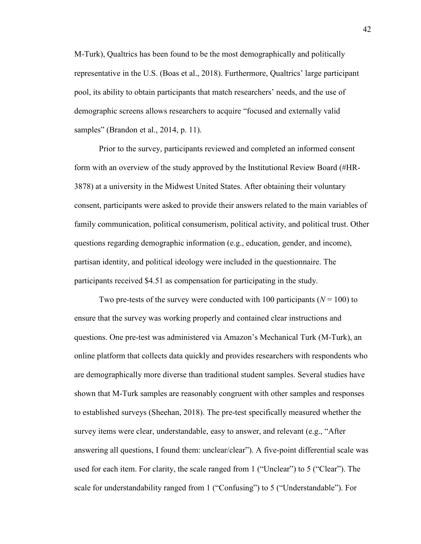M-Turk), Qualtrics has been found to be the most demographically and politically representative in the U.S. (Boas et al., 2018). Furthermore, Qualtrics' large participant pool, its ability to obtain participants that match researchers' needs, and the use of demographic screens allows researchers to acquire "focused and externally valid samples" (Brandon et al., 2014, p. 11).

Prior to the survey, participants reviewed and completed an informed consent form with an overview of the study approved by the Institutional Review Board (#HR-3878) at a university in the Midwest United States. After obtaining their voluntary consent, participants were asked to provide their answers related to the main variables of family communication, political consumerism, political activity, and political trust. Other questions regarding demographic information (e.g., education, gender, and income), partisan identity, and political ideology were included in the questionnaire. The participants received \$4.51 as compensation for participating in the study.

Two pre-tests of the survey were conducted with 100 participants  $(N = 100)$  to ensure that the survey was working properly and contained clear instructions and questions. One pre-test was administered via Amazon's Mechanical Turk (M-Turk), an online platform that collects data quickly and provides researchers with respondents who are demographically more diverse than traditional student samples. Several studies have shown that M-Turk samples are reasonably congruent with other samples and responses to established surveys (Sheehan, 2018). The pre-test specifically measured whether the survey items were clear, understandable, easy to answer, and relevant (e.g., "After answering all questions, I found them: unclear/clear"). A five-point differential scale was used for each item. For clarity, the scale ranged from 1 ("Unclear") to 5 ("Clear"). The scale for understandability ranged from 1 ("Confusing") to 5 ("Understandable"). For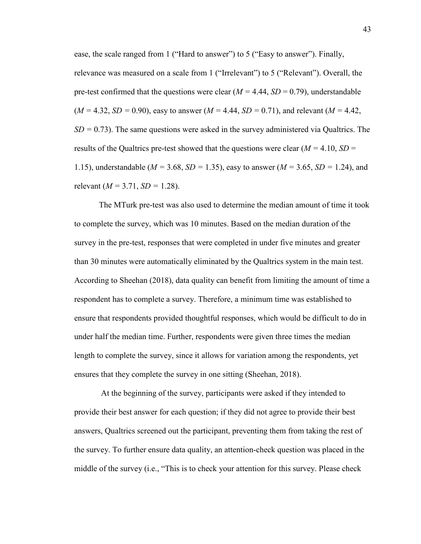ease, the scale ranged from 1 ("Hard to answer") to 5 ("Easy to answer"). Finally, relevance was measured on a scale from 1 ("Irrelevant") to 5 ("Relevant"). Overall, the pre-test confirmed that the questions were clear  $(M = 4.44, SD = 0.79)$ , understandable  $(M = 4.32, SD = 0.90)$ , easy to answer  $(M = 4.44, SD = 0.71)$ , and relevant  $(M = 4.42,$ *SD =* 0.73). The same questions were asked in the survey administered via Qualtrics. The results of the Qualtrics pre-test showed that the questions were clear (*M =* 4.10, *SD* = 1.15), understandable (*M =* 3.68, *SD =* 1.35), easy to answer (*M =* 3.65, *SD =* 1.24), and relevant (*M =* 3.71, *SD =* 1.28).

The MTurk pre-test was also used to determine the median amount of time it took to complete the survey, which was 10 minutes. Based on the median duration of the survey in the pre-test, responses that were completed in under five minutes and greater than 30 minutes were automatically eliminated by the Qualtrics system in the main test. According to Sheehan (2018), data quality can benefit from limiting the amount of time a respondent has to complete a survey. Therefore, a minimum time was established to ensure that respondents provided thoughtful responses, which would be difficult to do in under half the median time. Further, respondents were given three times the median length to complete the survey, since it allows for variation among the respondents, yet ensures that they complete the survey in one sitting (Sheehan, 2018).

 At the beginning of the survey, participants were asked if they intended to provide their best answer for each question; if they did not agree to provide their best answers, Qualtrics screened out the participant, preventing them from taking the rest of the survey. To further ensure data quality, an attention-check question was placed in the middle of the survey (i.e., "This is to check your attention for this survey. Please check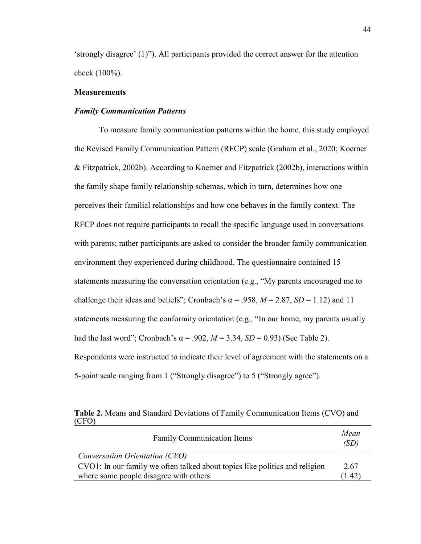'strongly disagree' (1)"). All participants provided the correct answer for the attention check (100%).

#### **Measurements**

#### *Family Communication Patterns*

 To measure family communication patterns within the home, this study employed the Revised Family Communication Pattern (RFCP) scale (Graham et al., 2020; Koerner & Fitzpatrick, 2002b). According to Koerner and Fitzpatrick (2002b), interactions within the family shape family relationship schemas, which in turn, determines how one perceives their familial relationships and how one behaves in the family context. The RFCP does not require participants to recall the specific language used in conversations with parents; rather participants are asked to consider the broader family communication environment they experienced during childhood. The questionnaire contained 15 statements measuring the conversation orientation (e.g., "My parents encouraged me to challenge their ideas and beliefs"; Cronbach's  $\alpha$  = .958,  $M$  = 2.87,  $SD$  = 1.12) and 11 statements measuring the conformity orientation (e.g., "In our home, my parents usually had the last word"; Cronbach's  $\alpha$  = .902,  $M$  = 3.34,  $SD$  = 0.93) (See Table 2). Respondents were instructed to indicate their level of agreement with the statements on a 5-point scale ranging from 1 ("Strongly disagree") to 5 ("Strongly agree").

**Table 2.** Means and Standard Deviations of Family Communication Items (CVO) and (CFO)

| <b>Family Communication Items</b>                                           | Mean<br>(SD) |
|-----------------------------------------------------------------------------|--------------|
| Conversation Orientation (CVO)                                              |              |
| CVO1: In our family we often talked about topics like politics and religion | 2.67         |
| where some people disagree with others.                                     | (1.42)       |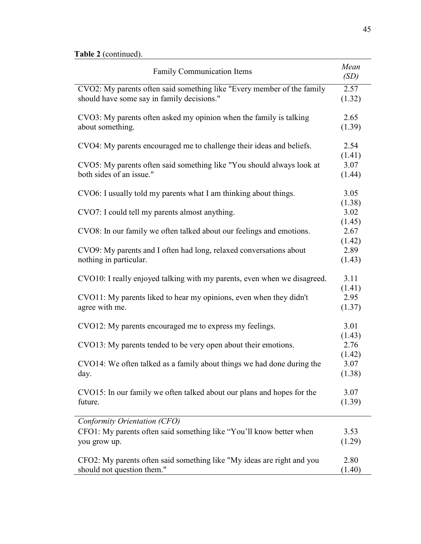| <b>Family Communication Items</b>                                                                                    | Mean<br>(SD)             |
|----------------------------------------------------------------------------------------------------------------------|--------------------------|
| CVO2: My parents often said something like "Every member of the family<br>should have some say in family decisions." | 2.57<br>(1.32)           |
| CVO3: My parents often asked my opinion when the family is talking<br>about something.                               | 2.65<br>(1.39)           |
| CVO4: My parents encouraged me to challenge their ideas and beliefs.                                                 | 2.54                     |
| CVO5: My parents often said something like "You should always look at<br>both sides of an issue."                    | (1.41)<br>3.07<br>(1.44) |
| CVO6: I usually told my parents what I am thinking about things.                                                     | 3.05<br>(1.38)           |
| CVO7: I could tell my parents almost anything.                                                                       | 3.02<br>(1.45)           |
| CVO8: In our family we often talked about our feelings and emotions.                                                 | 2.67                     |
| CVO9: My parents and I often had long, relaxed conversations about<br>nothing in particular.                         | (1.42)<br>2.89<br>(1.43) |
| CVO10: I really enjoyed talking with my parents, even when we disagreed.                                             | 3.11                     |
| CVO11: My parents liked to hear my opinions, even when they didn't<br>agree with me.                                 | (1.41)<br>2.95<br>(1.37) |
| CVO12: My parents encouraged me to express my feelings.                                                              | 3.01<br>(1.43)           |
| CVO13: My parents tended to be very open about their emotions.                                                       | 2.76                     |
| CVO14: We often talked as a family about things we had done during the<br>day.                                       | (1.42)<br>3.07<br>(1.38) |
| CVO15: In our family we often talked about our plans and hopes for the<br>future.                                    | 3.07<br>(1.39)           |
| Conformity Orientation (CFO)                                                                                         |                          |
| CFO1: My parents often said something like "You'll know better when<br>you grow up.                                  | 3.53<br>(1.29)           |
| CFO2: My parents often said something like "My ideas are right and you<br>should not question them."                 | 2.80<br>(1.40)           |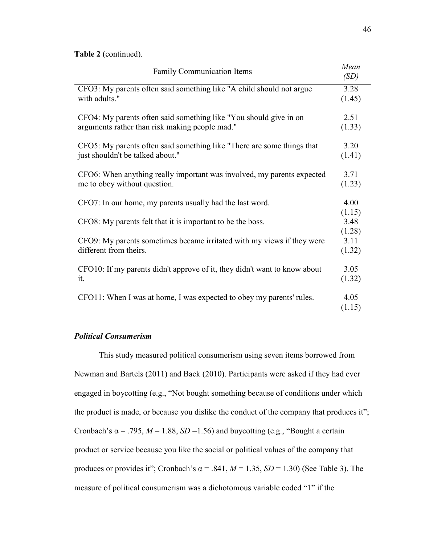| <b>Family Communication Items</b>                                                                |                          |  |
|--------------------------------------------------------------------------------------------------|--------------------------|--|
| CFO3: My parents often said something like "A child should not argue                             | 3.28                     |  |
| with adults."                                                                                    | (1.45)                   |  |
| CFO4: My parents often said something like "You should give in on                                | 2.51                     |  |
| arguments rather than risk making people mad."                                                   | (1.33)                   |  |
| CFO5: My parents often said something like "There are some things that                           | 3.20                     |  |
| just shouldn't be talked about."                                                                 | (1.41)                   |  |
| CFO6: When anything really important was involved, my parents expected                           | 3.71                     |  |
| me to obey without question.                                                                     | (1.23)                   |  |
| CFO7: In our home, my parents usually had the last word.                                         | 4.00                     |  |
| CFO8: My parents felt that it is important to be the boss.                                       | (1.15)<br>3.48           |  |
| CFO9: My parents sometimes became irritated with my views if they were<br>different from theirs. | (1.28)<br>3.11<br>(1.32) |  |
| CFO10: If my parents didn't approve of it, they didn't want to know about                        | 3.05                     |  |
| it.                                                                                              | (1.32)                   |  |
| CFO11: When I was at home, I was expected to obey my parents' rules.                             | 4.05<br>(1.15)           |  |

## *Political Consumerism*

 This study measured political consumerism using seven items borrowed from Newman and Bartels (2011) and Baek (2010). Participants were asked if they had ever engaged in boycotting (e.g., "Not bought something because of conditions under which the product is made, or because you dislike the conduct of the company that produces it"; Cronbach's  $\alpha$  = .795,  $M = 1.88$ ,  $SD = 1.56$ ) and buycotting (e.g., "Bought a certain product or service because you like the social or political values of the company that produces or provides it"; Cronbach's  $\alpha$  = .841,  $M$  = 1.35,  $SD$  = 1.30) (See Table 3). The measure of political consumerism was a dichotomous variable coded "1" if the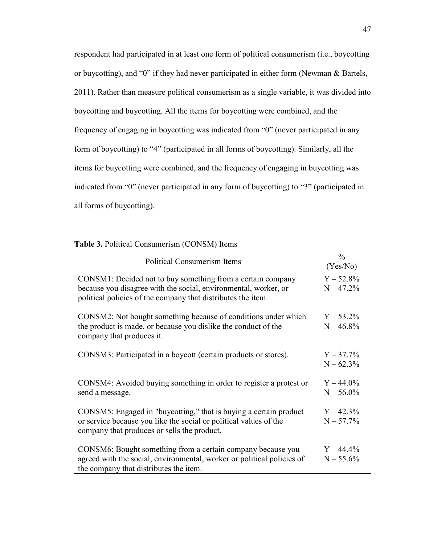respondent had participated in at least one form of political consumerism (i.e., boycotting or buycotting), and "0" if they had never participated in either form (Newman & Bartels, 2011). Rather than measure political consumerism as a single variable, it was divided into boycotting and buycotting. All the items for boycotting were combined, and the frequency of engaging in boycotting was indicated from "0" (never participated in any form of boycotting) to "4" (participated in all forms of boycotting). Similarly, all the items for buycotting were combined, and the frequency of engaging in buycotting was indicated from "0" (never participated in any form of buycotting) to "3" (participated in all forms of buycotting).

#### **Table 3.** Political Consumerism (CONSM) Items

| <b>Political Consumerism Items</b>                                                                                                                                                             | $\frac{0}{0}$<br>(Yes/No)    |
|------------------------------------------------------------------------------------------------------------------------------------------------------------------------------------------------|------------------------------|
| CONSM1: Decided not to buy something from a certain company<br>because you disagree with the social, environmental, worker, or<br>political policies of the company that distributes the item. | $Y - 52.8\%$<br>$N - 47.2%$  |
| CONSM2: Not bought something because of conditions under which<br>the product is made, or because you dislike the conduct of the<br>company that produces it.                                  | $Y - 53.2\%$<br>$N - 46.8\%$ |
| CONSM3: Participated in a boycott (certain products or stores).                                                                                                                                | $Y - 37.7\%$<br>$N - 62.3%$  |
| CONSM4: Avoided buying something in order to register a protest or<br>send a message.                                                                                                          | $Y - 44.0\%$<br>$N - 56.0\%$ |
| CONSM5: Engaged in "buycotting," that is buying a certain product<br>or service because you like the social or political values of the<br>company that produces or sells the product.          | $Y - 42.3\%$<br>$N - 57.7%$  |
| CONSM6: Bought something from a certain company because you<br>agreed with the social, environmental, worker or political policies of<br>the company that distributes the item.                | $Y - 44.4\%$<br>$N - 55.6%$  |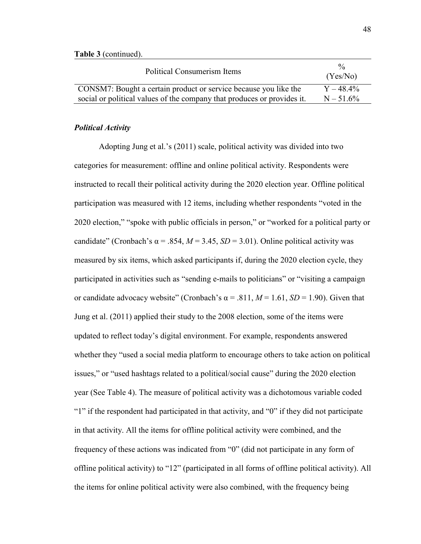| Political Consumerism Items                                             | $\frac{0}{6}$<br>(Yes/No) |
|-------------------------------------------------------------------------|---------------------------|
| CONSM7: Bought a certain product or service because you like the        | $Y - 48.4\%$              |
| social or political values of the company that produces or provides it. | $N - 51.6%$               |

#### *Political Activity*

 Adopting Jung et al.'s (2011) scale, political activity was divided into two categories for measurement: offline and online political activity. Respondents were instructed to recall their political activity during the 2020 election year. Offline political participation was measured with 12 items, including whether respondents "voted in the 2020 election," "spoke with public officials in person," or "worked for a political party or candidate" (Cronbach's  $\alpha$  = .854, *M* = 3.45, *SD* = 3.01). Online political activity was measured by six items, which asked participants if, during the 2020 election cycle, they participated in activities such as "sending e-mails to politicians" or "visiting a campaign or candidate advocacy website" (Cronbach's  $\alpha$  = .811, *M* = 1.61, *SD* = 1.90). Given that Jung et al. (2011) applied their study to the 2008 election, some of the items were updated to reflect today's digital environment. For example, respondents answered whether they "used a social media platform to encourage others to take action on political issues," or "used hashtags related to a political/social cause" during the 2020 election year (See Table 4). The measure of political activity was a dichotomous variable coded "1" if the respondent had participated in that activity, and "0" if they did not participate in that activity. All the items for offline political activity were combined, and the frequency of these actions was indicated from "0" (did not participate in any form of offline political activity) to "12" (participated in all forms of offline political activity). All the items for online political activity were also combined, with the frequency being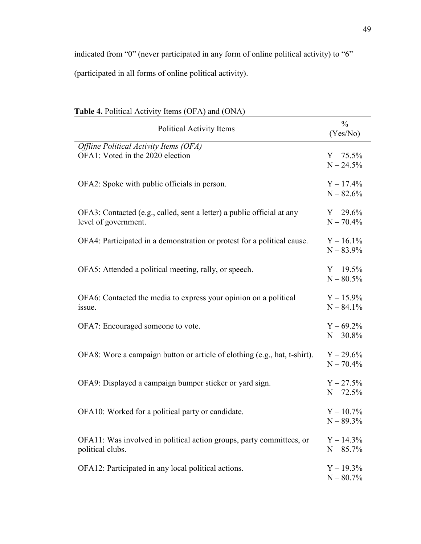indicated from "0" (never participated in any form of online political activity) to "6" (participated in all forms of online political activity).

| <b>Each 4.</b> Follocal Activity Tichis (OT A) and (OTVA)                 |                           |
|---------------------------------------------------------------------------|---------------------------|
| Political Activity Items                                                  | $\frac{0}{0}$<br>(Yes/No) |
| Offline Political Activity Items (OFA)                                    |                           |
|                                                                           |                           |
| OFA1: Voted in the 2020 election                                          | $Y - 75.5\%$              |
|                                                                           | $N - 24.5%$               |
|                                                                           |                           |
| OFA2: Spoke with public officials in person.                              | $Y - 17.4\%$              |
|                                                                           | $N - 82.6%$               |
| OFA3: Contacted (e.g., called, sent a letter) a public official at any    | $Y - 29.6\%$              |
| level of government.                                                      | $N - 70.4\%$              |
|                                                                           |                           |
| OFA4: Participated in a demonstration or protest for a political cause.   | $Y - 16.1\%$              |
|                                                                           | $N - 83.9%$               |
|                                                                           |                           |
| OFA5: Attended a political meeting, rally, or speech.                     | $Y - 19.5\%$              |
|                                                                           |                           |
|                                                                           | $N - 80.5%$               |
| OFA6: Contacted the media to express your opinion on a political          | $Y - 15.9\%$              |
|                                                                           |                           |
| issue.                                                                    | $N - 84.1\%$              |
| OFA7: Encouraged someone to vote.                                         | $Y - 69.2\%$              |
|                                                                           | $N - 30.8%$               |
|                                                                           |                           |
| OFA8: Wore a campaign button or article of clothing (e.g., hat, t-shirt). | $Y - 29.6\%$              |
|                                                                           | $N - 70.4%$               |
|                                                                           |                           |
| OFA9: Displayed a campaign bumper sticker or yard sign.                   | $Y - 27.5%$               |
|                                                                           | $N - 72.5%$               |
|                                                                           |                           |
| OFA10: Worked for a political party or candidate.                         | $Y - 10.7\%$              |
|                                                                           |                           |
|                                                                           | $N - 89.3\%$              |
| OFA11: Was involved in political action groups, party committees, or      | $Y - 14.3\%$              |
| political clubs.                                                          | $N - 85.7%$               |
|                                                                           |                           |
| OFA12: Participated in any local political actions.                       | $Y - 19.3\%$              |
|                                                                           | $N - 80.7%$               |

## **Table 4.** Political Activity Items (OFA) and (ONA)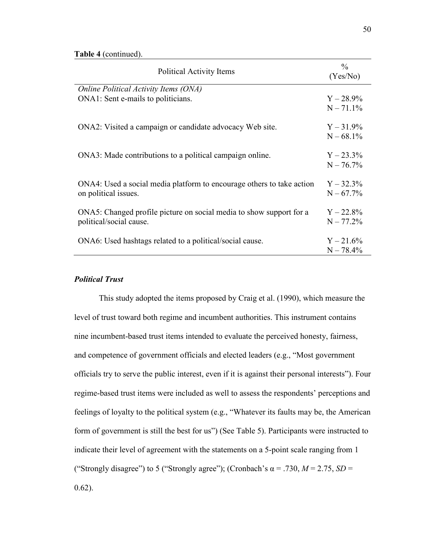| Political Activity Items                                              | $\frac{0}{0}$<br>(Yes/No) |
|-----------------------------------------------------------------------|---------------------------|
| Online Political Activity Items (ONA)                                 |                           |
| ONA1: Sent e-mails to politicians.                                    | $Y - 28.9\%$              |
|                                                                       | $N - 71.1\%$              |
| ONA2: Visited a campaign or candidate advocacy Web site.              | $Y - 31.9\%$              |
|                                                                       | $N - 68.1\%$              |
| ONA3: Made contributions to a political campaign online.              | $Y - 23.3\%$              |
|                                                                       | $N - 76.7%$               |
| ONA4: Used a social media platform to encourage others to take action | $Y - 32.3\%$              |
| on political issues.                                                  | $N - 67.7%$               |
| ONA5: Changed profile picture on social media to show support for a   | $Y - 22.8\%$              |
| political/social cause.                                               | $N - 77.2%$               |
| ONA6: Used hashtags related to a political/social cause.              | $Y - 21.6\%$              |
|                                                                       | $N - 78.4%$               |

## *Political Trust*

 This study adopted the items proposed by Craig et al. (1990), which measure the level of trust toward both regime and incumbent authorities. This instrument contains nine incumbent-based trust items intended to evaluate the perceived honesty, fairness, and competence of government officials and elected leaders (e.g., "Most government officials try to serve the public interest, even if it is against their personal interests"). Four regime-based trust items were included as well to assess the respondents' perceptions and feelings of loyalty to the political system (e.g., "Whatever its faults may be, the American form of government is still the best for us") (See Table 5). Participants were instructed to indicate their level of agreement with the statements on a 5-point scale ranging from 1 ("Strongly disagree") to 5 ("Strongly agree"); (Cronbach's  $\alpha$  = .730,  $M$  = 2.75, *SD* = 0.62).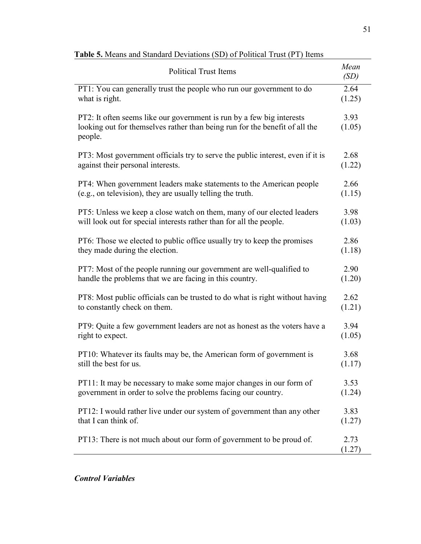| <b>Political Trust Items</b>                                                                                                                                    |                |  |
|-----------------------------------------------------------------------------------------------------------------------------------------------------------------|----------------|--|
| PT1: You can generally trust the people who run our government to do                                                                                            | 2.64           |  |
| what is right.                                                                                                                                                  | (1.25)         |  |
| PT2: It often seems like our government is run by a few big interests<br>looking out for themselves rather than being run for the benefit of all the<br>people. | 3.93<br>(1.05) |  |
| PT3: Most government officials try to serve the public interest, even if it is                                                                                  | 2.68           |  |
| against their personal interests.                                                                                                                               | (1.22)         |  |
| PT4: When government leaders make statements to the American people                                                                                             | 2.66           |  |
| (e.g., on television), they are usually telling the truth.                                                                                                      | (1.15)         |  |
| PT5: Unless we keep a close watch on them, many of our elected leaders                                                                                          | 3.98           |  |
| will look out for special interests rather than for all the people.                                                                                             | (1.03)         |  |
| PT6: Those we elected to public office usually try to keep the promises                                                                                         | 2.86           |  |
| they made during the election.                                                                                                                                  | (1.18)         |  |
| PT7: Most of the people running our government are well-qualified to                                                                                            | 2.90           |  |
| handle the problems that we are facing in this country.                                                                                                         | (1.20)         |  |
| PT8: Most public officials can be trusted to do what is right without having                                                                                    | 2.62           |  |
| to constantly check on them.                                                                                                                                    | (1.21)         |  |
| PT9: Quite a few government leaders are not as honest as the voters have a                                                                                      | 3.94           |  |
| right to expect.                                                                                                                                                | (1.05)         |  |
| PT10: Whatever its faults may be, the American form of government is                                                                                            | 3.68           |  |
| still the best for us.                                                                                                                                          | (1.17)         |  |
| PT11: It may be necessary to make some major changes in our form of                                                                                             | 3.53           |  |
| government in order to solve the problems facing our country.                                                                                                   | (1.24)         |  |
| PT12: I would rather live under our system of government than any other                                                                                         | 3.83           |  |
| that I can think of.                                                                                                                                            | (1.27)         |  |
| PT13: There is not much about our form of government to be proud of.                                                                                            | 2.73<br>(1.27) |  |

# **Table 5.** Means and Standard Deviations (SD) of Political Trust (PT) Items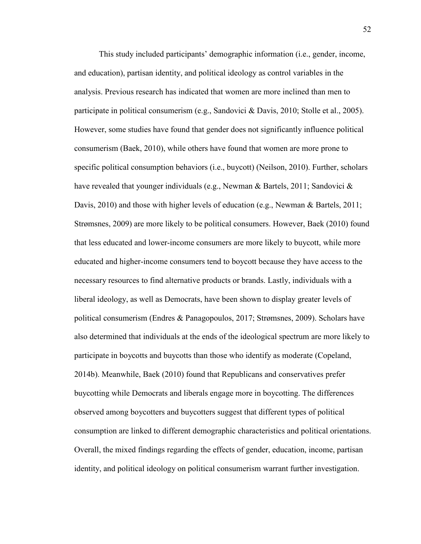This study included participants' demographic information (i.e., gender, income, and education), partisan identity, and political ideology as control variables in the analysis. Previous research has indicated that women are more inclined than men to participate in political consumerism (e.g., Sandovici & Davis, 2010; Stolle et al., 2005). However, some studies have found that gender does not significantly influence political consumerism (Baek, 2010), while others have found that women are more prone to specific political consumption behaviors (i.e., buycott) (Neilson, 2010). Further, scholars have revealed that younger individuals (e.g., Newman & Bartels, 2011; Sandovici & Davis, 2010) and those with higher levels of education (e.g., Newman & Bartels, 2011; Strømsnes, 2009) are more likely to be political consumers. However, Baek (2010) found that less educated and lower-income consumers are more likely to buycott, while more educated and higher-income consumers tend to boycott because they have access to the necessary resources to find alternative products or brands. Lastly, individuals with a liberal ideology, as well as Democrats, have been shown to display greater levels of political consumerism (Endres & Panagopoulos, 2017; Strømsnes, 2009). Scholars have also determined that individuals at the ends of the ideological spectrum are more likely to participate in boycotts and buycotts than those who identify as moderate (Copeland, 2014b). Meanwhile, Baek (2010) found that Republicans and conservatives prefer buycotting while Democrats and liberals engage more in boycotting. The differences observed among boycotters and buycotters suggest that different types of political consumption are linked to different demographic characteristics and political orientations. Overall, the mixed findings regarding the effects of gender, education, income, partisan identity, and political ideology on political consumerism warrant further investigation.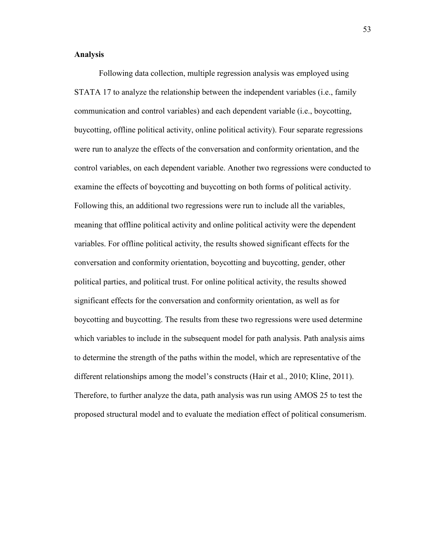#### **Analysis**

Following data collection, multiple regression analysis was employed using STATA 17 to analyze the relationship between the independent variables (i.e., family communication and control variables) and each dependent variable (i.e., boycotting, buycotting, offline political activity, online political activity). Four separate regressions were run to analyze the effects of the conversation and conformity orientation, and the control variables, on each dependent variable. Another two regressions were conducted to examine the effects of boycotting and buycotting on both forms of political activity. Following this, an additional two regressions were run to include all the variables, meaning that offline political activity and online political activity were the dependent variables. For offline political activity, the results showed significant effects for the conversation and conformity orientation, boycotting and buycotting, gender, other political parties, and political trust. For online political activity, the results showed significant effects for the conversation and conformity orientation, as well as for boycotting and buycotting. The results from these two regressions were used determine which variables to include in the subsequent model for path analysis. Path analysis aims to determine the strength of the paths within the model, which are representative of the different relationships among the model's constructs (Hair et al., 2010; Kline, 2011). Therefore, to further analyze the data, path analysis was run using AMOS 25 to test the proposed structural model and to evaluate the mediation effect of political consumerism.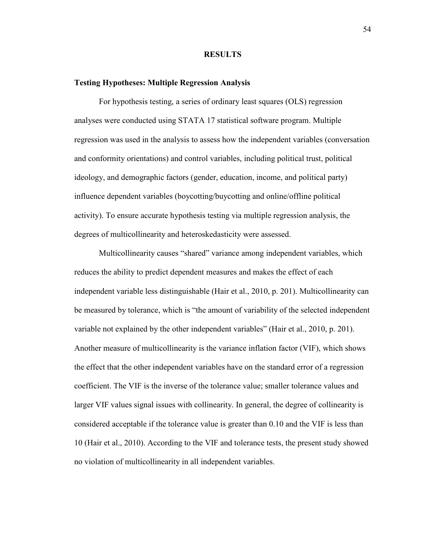#### **RESULTS**

#### **Testing Hypotheses: Multiple Regression Analysis**

For hypothesis testing, a series of ordinary least squares (OLS) regression analyses were conducted using STATA 17 statistical software program. Multiple regression was used in the analysis to assess how the independent variables (conversation and conformity orientations) and control variables, including political trust, political ideology, and demographic factors (gender, education, income, and political party) influence dependent variables (boycotting/buycotting and online/offline political activity). To ensure accurate hypothesis testing via multiple regression analysis, the degrees of multicollinearity and heteroskedasticity were assessed.

Multicollinearity causes "shared" variance among independent variables, which reduces the ability to predict dependent measures and makes the effect of each independent variable less distinguishable (Hair et al., 2010, p. 201). Multicollinearity can be measured by tolerance, which is "the amount of variability of the selected independent variable not explained by the other independent variables" (Hair et al., 2010, p. 201). Another measure of multicollinearity is the variance inflation factor (VIF), which shows the effect that the other independent variables have on the standard error of a regression coefficient. The VIF is the inverse of the tolerance value; smaller tolerance values and larger VIF values signal issues with collinearity. In general, the degree of collinearity is considered acceptable if the tolerance value is greater than 0.10 and the VIF is less than 10 (Hair et al., 2010). According to the VIF and tolerance tests, the present study showed no violation of multicollinearity in all independent variables.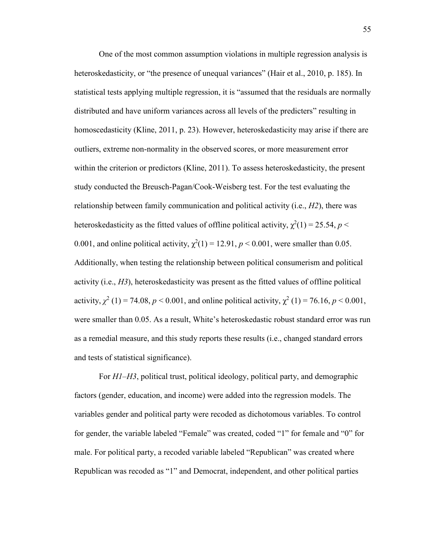One of the most common assumption violations in multiple regression analysis is heteroskedasticity, or "the presence of unequal variances" (Hair et al., 2010, p. 185). In statistical tests applying multiple regression, it is "assumed that the residuals are normally distributed and have uniform variances across all levels of the predicters" resulting in homoscedasticity (Kline, 2011, p. 23). However, heteroskedasticity may arise if there are outliers, extreme non-normality in the observed scores, or more measurement error within the criterion or predictors (Kline, 2011). To assess heteroskedasticity, the present study conducted the Breusch-Pagan/Cook-Weisberg test. For the test evaluating the relationship between family communication and political activity (i.e., *H2*), there was heteroskedasticity as the fitted values of offline political activity,  $\chi^2(1) = 25.54$ ,  $p <$ 0.001, and online political activity,  $\chi^2(1) = 12.91$ ,  $p < 0.001$ , were smaller than 0.05. Additionally, when testing the relationship between political consumerism and political activity (i.e., *H3*), heteroskedasticity was present as the fitted values of offline political activity,  $\chi^2$  (1) = 74.08, *p* < 0.001, and online political activity,  $\chi^2$  (1) = 76.16, *p* < 0.001, were smaller than 0.05. As a result, White's heteroskedastic robust standard error was run as a remedial measure, and this study reports these results (i.e., changed standard errors and tests of statistical significance).

For *H1–H3*, political trust, political ideology, political party, and demographic factors (gender, education, and income) were added into the regression models. The variables gender and political party were recoded as dichotomous variables. To control for gender, the variable labeled "Female" was created, coded "1" for female and "0" for male. For political party, a recoded variable labeled "Republican" was created where Republican was recoded as "1" and Democrat, independent, and other political parties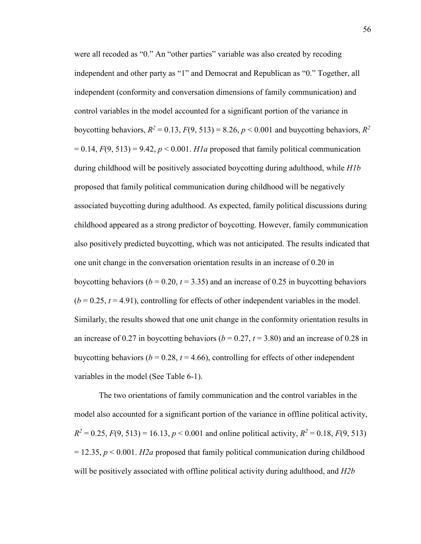were all recoded as "0." An "other parties" variable was also created by recoding independent and other party as "1" and Democrat and Republican as "0." Together, all independent (conformity and conversation dimensions of family communication) and control variables in the model accounted for a significant portion of the variance in boycotting behaviors,  $R^2 = 0.13$ ,  $F(9, 513) = 8.26$ ,  $p < 0.001$  and buycotting behaviors,  $R^2$  $= 0.14, F(9, 513) = 9.42, p < 0.001$ . *H1a* proposed that family political communication during childhood will be positively associated boycotting during adulthood, while *H1b*  proposed that family political communication during childhood will be negatively associated buycotting during adulthood. As expected, family political discussions during childhood appeared as a strong predictor of boycotting. However, family communication also positively predicted buycotting, which was not anticipated. The results indicated that one unit change in the conversation orientation results in an increase of 0.20 in boycotting behaviors ( $b = 0.20$ ,  $t = 3.35$ ) and an increase of 0.25 in buycotting behaviors  $(b = 0.25, t = 4.91)$ , controlling for effects of other independent variables in the model. Similarly, the results showed that one unit change in the conformity orientation results in an increase of 0.27 in boycotting behaviors ( $b = 0.27$ ,  $t = 3.80$ ) and an increase of 0.28 in buycotting behaviors ( $b = 0.28$ ,  $t = 4.66$ ), controlling for effects of other independent variables in the model (See Table 6-1).

The two orientations of family communication and the control variables in the model also accounted for a significant portion of the variance in offline political activity,  $R^2 = 0.25$ ,  $F(9, 513) = 16.13$ ,  $p < 0.001$  and online political activity,  $R^2 = 0.18$ ,  $F(9, 513)$  $= 12.35, p \le 0.001$ . *H2a* proposed that family political communication during childhood will be positively associated with offline political activity during adulthood, and *H2b*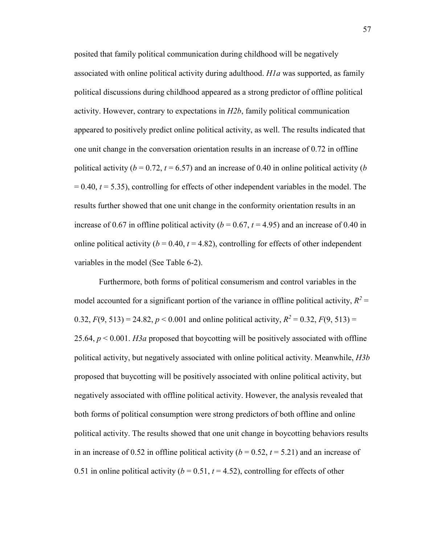posited that family political communication during childhood will be negatively associated with online political activity during adulthood. *H1a* was supported, as family political discussions during childhood appeared as a strong predictor of offline political activity. However, contrary to expectations in *H2b*, family political communication appeared to positively predict online political activity, as well. The results indicated that one unit change in the conversation orientation results in an increase of 0.72 in offline political activity ( $b = 0.72$ ,  $t = 6.57$ ) and an increase of 0.40 in online political activity ( $b$ = 0.40, *t* = 5.35), controlling for effects of other independent variables in the model. The results further showed that one unit change in the conformity orientation results in an increase of 0.67 in offline political activity ( $b = 0.67$ ,  $t = 4.95$ ) and an increase of 0.40 in online political activity ( $b = 0.40$ ,  $t = 4.82$ ), controlling for effects of other independent variables in the model (See Table 6-2).

Furthermore, both forms of political consumerism and control variables in the model accounted for a significant portion of the variance in offline political activity,  $R^2$  = 0.32,  $F(9, 513) = 24.82$ ,  $p < 0.001$  and online political activity,  $R^2 = 0.32$ ,  $F(9, 513) =$ 25.64, *p* < 0.001. *H3a* proposed that boycotting will be positively associated with offline political activity, but negatively associated with online political activity. Meanwhile, *H3b* proposed that buycotting will be positively associated with online political activity, but negatively associated with offline political activity. However, the analysis revealed that both forms of political consumption were strong predictors of both offline and online political activity. The results showed that one unit change in boycotting behaviors results in an increase of 0.52 in offline political activity ( $b = 0.52$ ,  $t = 5.21$ ) and an increase of 0.51 in online political activity  $(b = 0.51, t = 4.52)$ , controlling for effects of other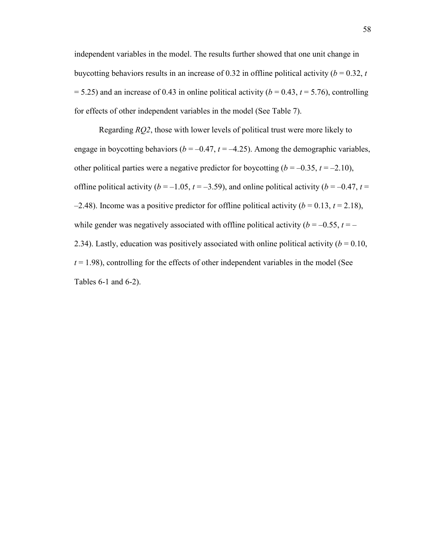independent variables in the model. The results further showed that one unit change in buy cotting behaviors results in an increase of 0.32 in offline political activity ( $b = 0.32$ ,  $t$  $= 5.25$ ) and an increase of 0.43 in online political activity ( $b = 0.43$ ,  $t = 5.76$ ), controlling for effects of other independent variables in the model (See Table 7).

Regarding *RQ2*, those with lower levels of political trust were more likely to engage in boycotting behaviors ( $b = -0.47$ ,  $t = -4.25$ ). Among the demographic variables, other political parties were a negative predictor for boycotting  $(b = -0.35, t = -2.10)$ , offline political activity ( $b = -1.05$ ,  $t = -3.59$ ), and online political activity ( $b = -0.47$ ,  $t =$  $-2.48$ ). Income was a positive predictor for offline political activity ( $b = 0.13$ ,  $t = 2.18$ ), while gender was negatively associated with offline political activity ( $b = -0.55$ ,  $t = -1$ 2.34). Lastly, education was positively associated with online political activity  $(b = 0.10,$  $t = 1.98$ ), controlling for the effects of other independent variables in the model (See Tables 6-1 and 6-2).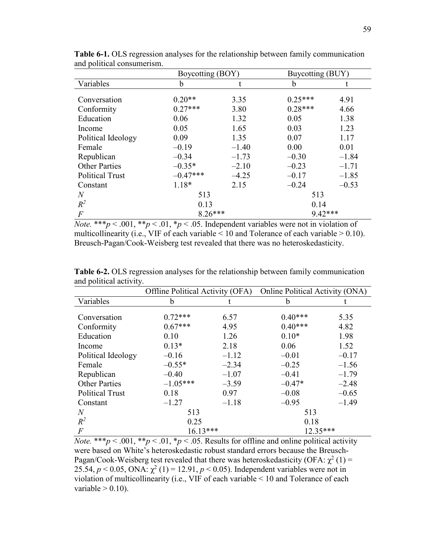|                        | Boycotting (BOY) |         | Buycotting (BUY) |         |
|------------------------|------------------|---------|------------------|---------|
| Variables              | b                |         | b                |         |
| Conversation           | $0.20**$         | 3.35    | $0.25***$        | 4.91    |
| Conformity             | $0.27***$        | 3.80    | $0.28***$        | 4.66    |
| Education              | 0.06             | 1.32    | 0.05             | 1.38    |
| Income                 | 0.05             | 1.65    | 0.03             | 1.23    |
| Political Ideology     | 0.09             | 1.35    | 0.07             | 1.17    |
| Female                 | $-0.19$          | $-1.40$ | 0.00             | 0.01    |
| Republican             | $-0.34$          | $-1.73$ | $-0.30$          | $-1.84$ |
| <b>Other Parties</b>   | $-0.35*$         | $-2.10$ | $-0.23$          | $-1.71$ |
| <b>Political Trust</b> | $-0.47***$       | $-4.25$ | $-0.17$          | $-1.85$ |
| Constant               | 1.18*            | 2.15    | $-0.24$          | $-0.53$ |
| $\overline{N}$         | 513              |         | 513              |         |
| $R^2$                  | 0.13             |         | 0.14             |         |
| $\overline{F}$         | $8.26***$        |         | 9.42***          |         |

**Table 6-1.** OLS regression analyses for the relationship between family communication and political consumerism.

*Note.* \*\*\* $p < .001$ , \*\* $p < .01$ , \* $p < .05$ . Independent variables were not in violation of multicollinearity (i.e., VIF of each variable  $< 10$  and Tolerance of each variable  $> 0.10$ ). Breusch-Pagan/Cook-Weisberg test revealed that there was no heteroskedasticity.

|                        | Offline Political Activity (OFA) |         | Online Political Activity (ONA) |         |
|------------------------|----------------------------------|---------|---------------------------------|---------|
| Variables              | b                                |         | b                               |         |
|                        |                                  |         |                                 |         |
| Conversation           | $0.72***$                        | 6.57    | $0.40***$                       | 5.35    |
| Conformity             | $0.67***$                        | 4.95    | $0.40***$                       | 4.82    |
| Education              | 0.10                             | 1.26    | $0.10*$                         | 1.98    |
| Income                 | $0.13*$                          | 2.18    | 0.06                            | 1.52    |
| Political Ideology     | $-0.16$                          | $-1.12$ | $-0.01$                         | $-0.17$ |
| Female                 | $-0.55*$                         | $-2.34$ | $-0.25$                         | $-1.56$ |
| Republican             | $-0.40$                          | $-1.07$ | $-0.41$                         | $-1.79$ |
| <b>Other Parties</b>   | $-1.05***$                       | $-3.59$ | $-0.47*$                        | $-2.48$ |
| <b>Political Trust</b> | 0.18                             | 0.97    | $-0.08$                         | $-0.65$ |
| Constant               | $-1.27$                          | $-1.18$ | $-0.95$                         | $-1.49$ |
| $\overline{N}$         | 513                              |         | 513                             |         |
| $R^2$                  | 0.25                             |         | 0.18                            |         |
| $\overline{F}$         | $16.13***$                       |         | $12.35***$                      |         |

**Table 6-2.** OLS regression analyses for the relationship between family communication and political activity.

*Note.* \*\*\* $p < .001$ , \*\* $p < .01$ , \* $p < .05$ . Results for offline and online political activity were based on White's heteroskedastic robust standard errors because the Breusch-Pagan/Cook-Weisberg test revealed that there was heteroskedasticity (OFA:  $\chi^2$  (1) = 25.54,  $p < 0.05$ , ONA:  $\chi^2(1) = 12.91$ ,  $p < 0.05$ ). Independent variables were not in violation of multicollinearity (i.e., VIF of each variable < 10 and Tolerance of each variable  $> 0.10$ ).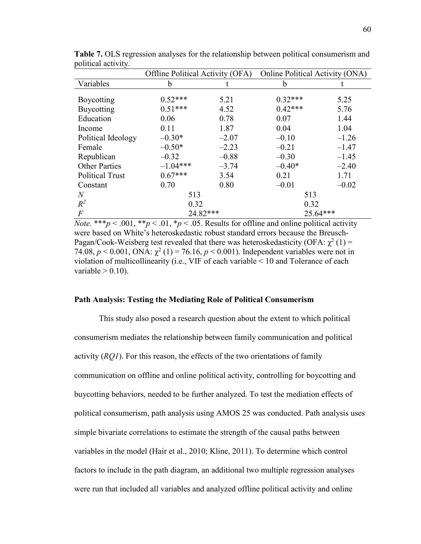|                        | Offline Political Activity (OFA) |         | Online Political Activity (ONA) |         |
|------------------------|----------------------------------|---------|---------------------------------|---------|
| Variables              | b                                | t       | b                               |         |
|                        |                                  |         |                                 |         |
| Boycotting             | $0.52***$                        | 5.21    | $0.32***$                       | 5.25    |
| Buycotting             | $0.51***$                        | 4.52    | $0.42***$                       | 5.76    |
| Education              | 0.06                             | 0.78    | 0.07                            | 1.44    |
| Income                 | 0.11                             | 1.87    | 0.04                            | 1.04    |
| Political Ideology     | $-0.30*$                         | $-2.07$ | $-0.10$                         | $-1.26$ |
| Female                 | $-0.50*$                         | $-2.23$ | $-0.21$                         | $-1.47$ |
| Republican             | $-0.32$                          | $-0.88$ | $-0.30$                         | $-1.45$ |
| <b>Other Parties</b>   | $-1.04***$                       | $-3.74$ | $-0.40*$                        | $-2.40$ |
| <b>Political Trust</b> | $0.67***$                        | 3.54    | 0.21                            | 1.71    |
| Constant               | 0.70                             | 0.80    | $-0.01$                         | $-0.02$ |
| $\overline{N}$         | 513                              |         | 513                             |         |
| $R^2$                  | 0.32                             |         | 0.32                            |         |
| $\overline{F}$         | 24.82***                         |         | 25.64***                        |         |

**Table 7.** OLS regression analyses for the relationship between political consumerism and political activity.

*Note.* \*\*\**p* < .001, \*\**p* < .01, \**p* < .05. Results for offline and online political activity were based on White's heteroskedastic robust standard errors because the Breusch-Pagan/Cook-Weisberg test revealed that there was heteroskedasticity (OFA:  $\chi^2$  (1) = 74.08,  $p < 0.001$ , ONA:  $\chi^2(1) = 76.16$ ,  $p < 0.001$ ). Independent variables were not in violation of multicollinearity (i.e., VIF of each variable < 10 and Tolerance of each variable  $> 0.10$ ).

#### **Path Analysis: Testing the Mediating Role of Political Consumerism**

This study also posed a research question about the extent to which political consumerism mediates the relationship between family communication and political activity (*RQ1*). For this reason, the effects of the two orientations of family communication on offline and online political activity, controlling for boycotting and buycotting behaviors, needed to be further analyzed. To test the mediation effects of political consumerism, path analysis using AMOS 25 was conducted. Path analysis uses simple bivariate correlations to estimate the strength of the causal paths between variables in the model (Hair et al., 2010; Kline, 2011). To determine which control factors to include in the path diagram, an additional two multiple regression analyses were run that included all variables and analyzed offline political activity and online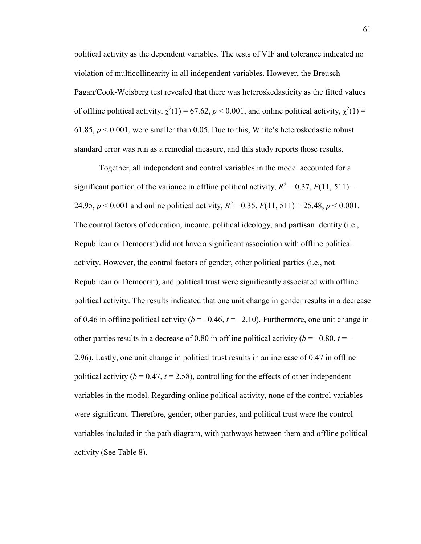political activity as the dependent variables. The tests of VIF and tolerance indicated no violation of multicollinearity in all independent variables. However, the Breusch-Pagan/Cook-Weisberg test revealed that there was heteroskedasticity as the fitted values of offline political activity,  $\chi^2(1) = 67.62$ ,  $p < 0.001$ , and online political activity,  $\chi^2(1) =$ 61.85, *p* < 0.001, were smaller than 0.05. Due to this, White's heteroskedastic robust standard error was run as a remedial measure, and this study reports those results.

Together, all independent and control variables in the model accounted for a significant portion of the variance in offline political activity,  $R^2 = 0.37$ ,  $F(11, 511) =$ 24.95,  $p < 0.001$  and online political activity,  $R^2 = 0.35$ ,  $F(11, 511) = 25.48$ ,  $p < 0.001$ . The control factors of education, income, political ideology, and partisan identity (i.e., Republican or Democrat) did not have a significant association with offline political activity. However, the control factors of gender, other political parties (i.e., not Republican or Democrat), and political trust were significantly associated with offline political activity. The results indicated that one unit change in gender results in a decrease of 0.46 in offline political activity  $(b = -0.46, t = -2.10)$ . Furthermore, one unit change in other parties results in a decrease of 0.80 in offline political activity ( $b = -0.80$ ,  $t = -1$ 2.96). Lastly, one unit change in political trust results in an increase of 0.47 in offline political activity ( $b = 0.47$ ,  $t = 2.58$ ), controlling for the effects of other independent variables in the model. Regarding online political activity, none of the control variables were significant. Therefore, gender, other parties, and political trust were the control variables included in the path diagram, with pathways between them and offline political activity (See Table 8).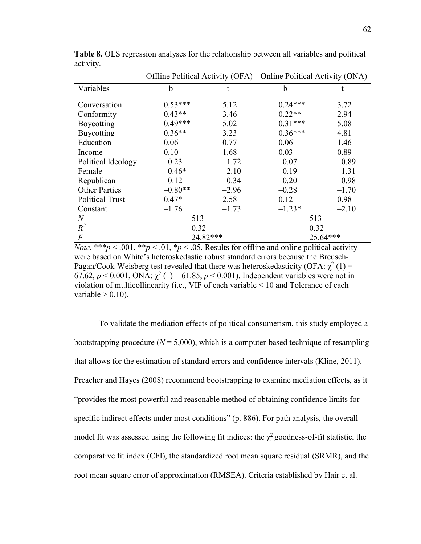|                        |           |         | Offline Political Activity (OFA) Online Political Activity (ONA) |         |
|------------------------|-----------|---------|------------------------------------------------------------------|---------|
| Variables              | b         | t       | b                                                                |         |
| Conversation           | $0.53***$ | 5.12    | $0.24***$                                                        | 3.72    |
| Conformity             | $0.43**$  | 3.46    | $0.22**$                                                         | 2.94    |
| Boycotting             | $0.49***$ | 5.02    | $0.31***$                                                        | 5.08    |
| Buycotting             | $0.36**$  | 3.23    | $0.36***$                                                        | 4.81    |
| Education              | 0.06      | 0.77    | 0.06                                                             | 1.46    |
| Income                 | 0.10      | 1.68    | 0.03                                                             | 0.89    |
| Political Ideology     | $-0.23$   | $-1.72$ | $-0.07$                                                          | $-0.89$ |
| Female                 | $-0.46*$  | $-2.10$ | $-0.19$                                                          | $-1.31$ |
| Republican             | $-0.12$   | $-0.34$ | $-0.20$                                                          | $-0.98$ |
| <b>Other Parties</b>   | $-0.80**$ | $-2.96$ | $-0.28$                                                          | $-1.70$ |
| <b>Political Trust</b> | $0.47*$   | 2.58    | 0.12                                                             | 0.98    |
| Constant               | $-1.76$   | $-1.73$ | $-1.23*$                                                         | $-2.10$ |
| $\overline{N}$         | 513       |         | 513                                                              |         |
| $R^2$                  | 0.32      |         | 0.32                                                             |         |
| $\overline{F}$         | 24.82***  |         | 25.64***                                                         |         |

**Table 8.** OLS regression analyses for the relationship between all variables and political activity.

*Note.* \*\*\**p* < .001, \*\**p* < .01, \**p* < .05. Results for offline and online political activity were based on White's heteroskedastic robust standard errors because the Breusch-Pagan/Cook-Weisberg test revealed that there was heteroskedasticity (OFA:  $\chi^2$  (1) = 67.62,  $p < 0.001$ , ONA:  $\chi^2(1) = 61.85$ ,  $p < 0.001$ ). Independent variables were not in violation of multicollinearity (i.e., VIF of each variable < 10 and Tolerance of each variable  $> 0.10$ ).

To validate the mediation effects of political consumerism, this study employed a bootstrapping procedure  $(N = 5,000)$ , which is a computer-based technique of resampling that allows for the estimation of standard errors and confidence intervals (Kline, 2011). Preacher and Hayes (2008) recommend bootstrapping to examine mediation effects, as it "provides the most powerful and reasonable method of obtaining confidence limits for specific indirect effects under most conditions" (p. 886). For path analysis, the overall model fit was assessed using the following fit indices: the  $\chi^2$  goodness-of-fit statistic, the comparative fit index (CFI), the standardized root mean square residual (SRMR), and the root mean square error of approximation (RMSEA). Criteria established by Hair et al.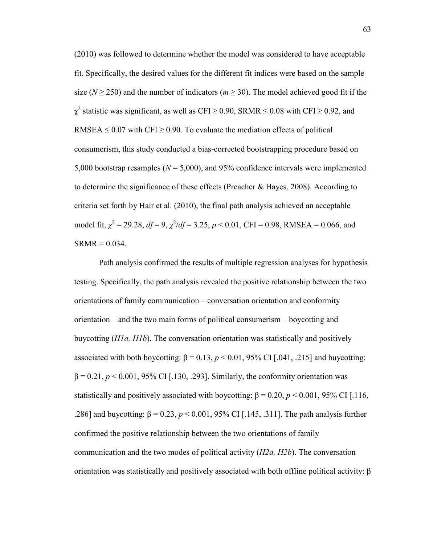(2010) was followed to determine whether the model was considered to have acceptable fit. Specifically, the desired values for the different fit indices were based on the sample size ( $N \ge 250$ ) and the number of indicators ( $m \ge 30$ ). The model achieved good fit if the  $\chi^2$  statistic was significant, as well as CFI  $\geq$  0.90, SRMR  $\leq$  0.08 with CFI  $\geq$  0.92, and RMSEA  $\leq$  0.07 with CFI  $\geq$  0.90. To evaluate the mediation effects of political consumerism, this study conducted a bias-corrected bootstrapping procedure based on 5,000 bootstrap resamples (*N* = 5,000), and 95% confidence intervals were implemented to determine the significance of these effects (Preacher & Hayes, 2008). According to criteria set forth by Hair et al. (2010), the final path analysis achieved an acceptable model fit,  $\chi^2 = 29.28$ ,  $df = 9$ ,  $\chi^2/df = 3.25$ ,  $p < 0.01$ , CFI = 0.98, RMSEA = 0.066, and  $SRMR = 0.034$ .

Path analysis confirmed the results of multiple regression analyses for hypothesis testing. Specifically, the path analysis revealed the positive relationship between the two orientations of family communication – conversation orientation and conformity orientation – and the two main forms of political consumerism – boycotting and buycotting (*H1a, H1b*). The conversation orientation was statistically and positively associated with both boycotting:  $β = 0.13, p < 0.01, 95%$  CI [.041, .215] and buycotting:  $\beta = 0.21$ ,  $p < 0.001$ , 95% CI [.130, .293]. Similarly, the conformity orientation was statistically and positively associated with boycotting:  $\beta = 0.20$ ,  $p < 0.001$ , 95% CI [.116, .286] and buycotting: β = 0.23, *p* < 0.001, 95% CI [.145, .311]. The path analysis further confirmed the positive relationship between the two orientations of family communication and the two modes of political activity (*H2a, H2b*). The conversation orientation was statistically and positively associated with both offline political activity: β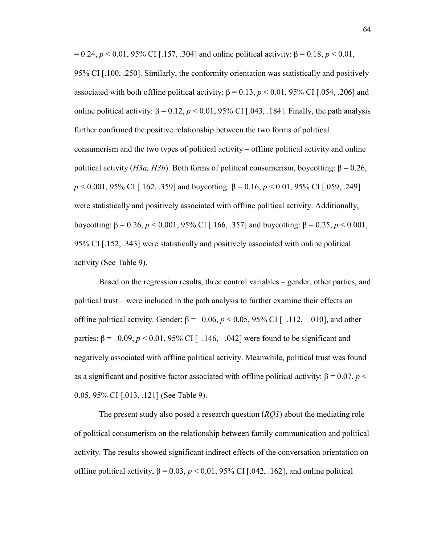= 0.24, *p* < 0.01, 95% CI [.157, .304] and online political activity: β = 0.18, *p* < 0.01, 95% CI [.100, .250]. Similarly, the conformity orientation was statistically and positively associated with both offline political activity:  $β = 0.13$ ,  $p < 0.01$ , 95% CI [.054, .206] and online political activity:  $\beta = 0.12$ ,  $p < 0.01$ , 95% CI [.043, .184]. Finally, the path analysis further confirmed the positive relationship between the two forms of political consumerism and the two types of political activity – offline political activity and online political activity (*H3a, H3b*). Both forms of political consumerism, boycotting:  $β = 0.26$ , *p* < 0.001, 95% CI [.162, .359] and buycotting: β = 0.16, *p* < 0.01, 95% CI [.059, .249] were statistically and positively associated with offline political activity. Additionally, boycotting: β = 0.26, *p* < 0.001, 95% CI [.166, .357] and buycotting: β = 0.25, *p* < 0.001, 95% CI [.152, .343] were statistically and positively associated with online political activity (See Table 9).

Based on the regression results, three control variables – gender, other parties, and political trust – were included in the path analysis to further examine their effects on offline political activity. Gender:  $β = -0.06$ ,  $p < 0.05$ , 95% CI [-.112, -.010], and other parties:  $β = -0.09$ ,  $p < 0.01$ , 95% CI [-.146, -.042] were found to be significant and negatively associated with offline political activity. Meanwhile, political trust was found as a significant and positive factor associated with offline political activity:  $\beta = 0.07$ ,  $p <$ 0.05, 95% CI [.013, .121] (See Table 9).

The present study also posed a research question (*RQ1*) about the mediating role of political consumerism on the relationship between family communication and political activity. The results showed significant indirect effects of the conversation orientation on offline political activity,  $β = 0.03$ ,  $p < 0.01$ , 95% CI [.042, .162], and online political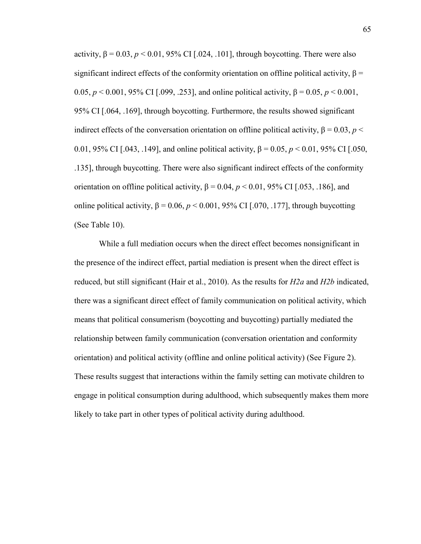activity,  $\beta = 0.03$ ,  $p < 0.01$ , 95% CI [.024, .101], through boycotting. There were also significant indirect effects of the conformity orientation on offline political activity,  $\beta$  = 0.05,  $p < 0.001$ , 95% CI [.099, .253], and online political activity,  $β = 0.05$ ,  $p < 0.001$ , 95% CI [.064, .169], through boycotting. Furthermore, the results showed significant indirect effects of the conversation orientation on offline political activity,  $β = 0.03$ ,  $p <$ 0.01, 95% CI [.043, .149], and online political activity, β = 0.05, *p* < 0.01, 95% CI [.050, .135], through buycotting. There were also significant indirect effects of the conformity orientation on offline political activity,  $β = 0.04$ ,  $p < 0.01$ , 95% CI [.053, .186], and online political activity,  $β = 0.06$ ,  $p < 0.001$ , 95% CI [.070, .177], through buycotting (See Table 10).

While a full mediation occurs when the direct effect becomes nonsignificant in the presence of the indirect effect, partial mediation is present when the direct effect is reduced, but still significant (Hair et al., 2010). As the results for *H2a* and *H2b* indicated, there was a significant direct effect of family communication on political activity, which means that political consumerism (boycotting and buycotting) partially mediated the relationship between family communication (conversation orientation and conformity orientation) and political activity (offline and online political activity) (See Figure 2). These results suggest that interactions within the family setting can motivate children to engage in political consumption during adulthood, which subsequently makes them more likely to take part in other types of political activity during adulthood.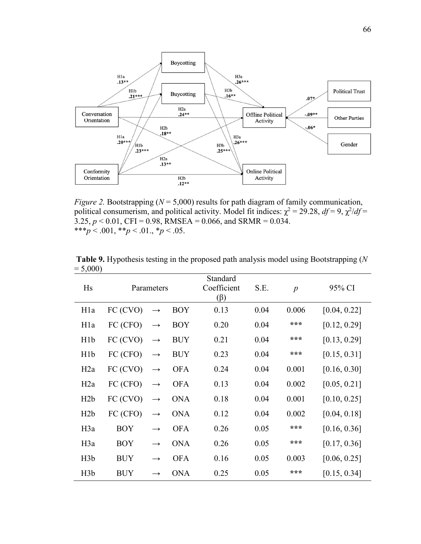

*Figure 2.* Bootstrapping ( $N = 5,000$ ) results for path diagram of family communication, political consumerism, and political activity. Model fit indices:  $\chi^2 = 29.28$ ,  $df = 9$ ,  $\chi^2/df =$  $3.25, p < 0.01$ , CFI = 0.98, RMSEA = 0.066, and SRMR = 0.034. \*\*\**p* < .001, \*\**p* < .01., \**p* < .05.

| Hs               | Parameters                    |                   |            | Standard<br>Coefficient<br>$(\beta)$ | S.E. | p     | 95% CI       |
|------------------|-------------------------------|-------------------|------------|--------------------------------------|------|-------|--------------|
| H <sub>1</sub> a | FC (CVO)<br>$\longrightarrow$ |                   | <b>BOY</b> | 0.13                                 | 0.04 | 0.006 | [0.04, 0.22] |
| H <sub>1</sub> a | FC (CFO)                      | $\longrightarrow$ | <b>BOY</b> | 0.20                                 | 0.04 | ***   | [0.12, 0.29] |
| H <sub>1</sub> b | FC (CVO)                      | $\longrightarrow$ | <b>BUY</b> | 0.21                                 | 0.04 | ***   | [0.13, 0.29] |
| H1b              | FC (CFO)                      | $\rightarrow$     | <b>BUY</b> | 0.23                                 | 0.04 | ***   | [0.15, 0.31] |
| H2a              | FC (CVO)                      | $\longrightarrow$ | <b>OFA</b> | 0.24                                 | 0.04 | 0.001 | [0.16, 0.30] |
| H2a              | FC (CFO)                      | $\longrightarrow$ | <b>OFA</b> | 0.13                                 | 0.04 | 0.002 | [0.05, 0.21] |
| H2b              | FC (CVO)                      | $\rightarrow$     | <b>ONA</b> | 0.18                                 | 0.04 | 0.001 | [0.10, 0.25] |
| H2b              | FC (CFO)                      | $\longrightarrow$ | <b>ONA</b> | 0.12                                 | 0.04 | 0.002 | [0.04, 0.18] |
| H <sub>3</sub> a | <b>BOY</b>                    | $\rightarrow$     | <b>OFA</b> | 0.26                                 | 0.05 | ***   | [0.16, 0.36] |
| H <sub>3</sub> a | <b>BOY</b>                    | $\longrightarrow$ | <b>ONA</b> | 0.26                                 | 0.05 | ***   | [0.17, 0.36] |
| H3b              | <b>BUY</b>                    | $\rightarrow$     | <b>OFA</b> | 0.16                                 | 0.05 | 0.003 | [0.06, 0.25] |
| H3b              | <b>BUY</b>                    | $\rightarrow$     | <b>ONA</b> | 0.25                                 | 0.05 | ***   | [0.15, 0.34] |

 **Table 9.** Hypothesis testing in the proposed path analysis model using Bootstrapping (*N*   $= 5,000$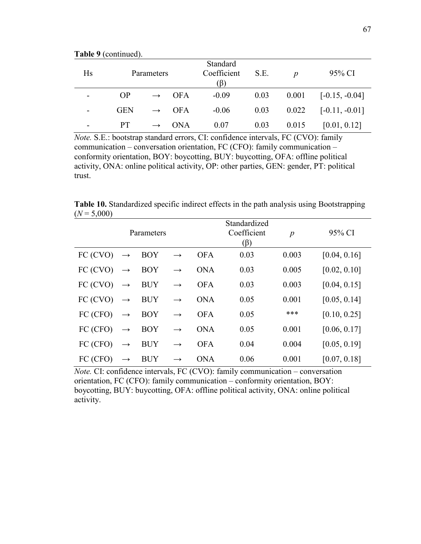**Table 9** (continued).

| Hs | Parameters |               |            | Standard<br>Coefficient<br>$(\beta)$ | S.E. | $\boldsymbol{p}$ | 95% CI           |
|----|------------|---------------|------------|--------------------------------------|------|------------------|------------------|
|    | OP         | $\rightarrow$ | <b>OFA</b> | $-0.09$                              | 0.03 | 0.001            | $[-0.15, -0.04]$ |
|    | <b>GEN</b> | $\rightarrow$ | <b>OFA</b> | $-0.06$                              | 0.03 | 0.022            | $[-0.11, -0.01]$ |
|    | <b>PT</b>  |               | <b>ONA</b> | 0.07                                 | 0.03 | 0.015            | [0.01, 0.12]     |

*Note.* S.E.: bootstrap standard errors, CI: confidence intervals, FC (CVO): family communication – conversation orientation, FC (CFO): family communication – conformity orientation, BOY: boycotting, BUY: buycotting, OFA: offline political activity, ONA: online political activity, OP: other parties, GEN: gender, PT: political trust.

**Table 10.** Standardized specific indirect effects in the path analysis using Bootstrapping  $(N = 5,000)$ 

|          |                   | Parameters |               |            | Standardized<br>Coefficient<br>$(\beta)$ | $\boldsymbol{p}$ | 95% CI       |
|----------|-------------------|------------|---------------|------------|------------------------------------------|------------------|--------------|
| FC (CVO) | $\longrightarrow$ | <b>BOY</b> | $\rightarrow$ | <b>OFA</b> | 0.03                                     | 0.003            | [0.04, 0.16] |
| FC (CVO) | $\longrightarrow$ | <b>BOY</b> | $\rightarrow$ | <b>ONA</b> | 0.03                                     | 0.005            | [0.02, 0.10] |
| FC (CVO) | $\longrightarrow$ | <b>BUY</b> | $\rightarrow$ | <b>OFA</b> | 0.03                                     | 0.003            | [0.04, 0.15] |
| FC (CVO) | $\longrightarrow$ | <b>BUY</b> | $\rightarrow$ | <b>ONA</b> | 0.05                                     | 0.001            | [0.05, 0.14] |
| FC (CFO) | $\longrightarrow$ | <b>BOY</b> | $\rightarrow$ | <b>OFA</b> | 0.05                                     | ***              | [0.10, 0.25] |
| FC (CFO) | $\longrightarrow$ | <b>BOY</b> | $\rightarrow$ | <b>ONA</b> | 0.05                                     | 0.001            | [0.06, 0.17] |
| FC (CFO) | $\longrightarrow$ | <b>BUY</b> | $\rightarrow$ | <b>OFA</b> | 0.04                                     | 0.004            | [0.05, 0.19] |
| FC (CFO) | $\rightarrow$     | <b>BUY</b> | $\rightarrow$ | <b>ONA</b> | 0.06                                     | 0.001            | [0.07, 0.18] |

*Note.* CI: confidence intervals, FC (CVO): family communication – conversation orientation, FC (CFO): family communication – conformity orientation, BOY: boycotting, BUY: buycotting, OFA: offline political activity, ONA: online political activity.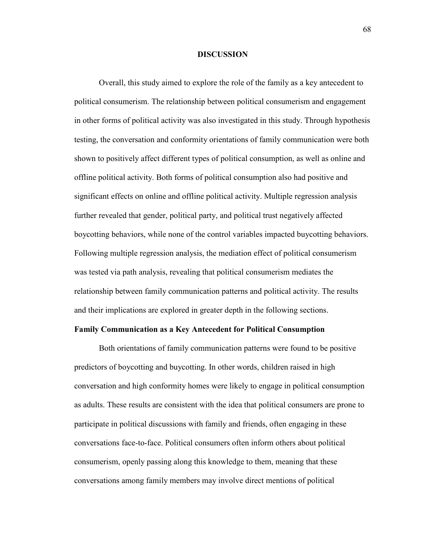#### **DISCUSSION**

Overall, this study aimed to explore the role of the family as a key antecedent to political consumerism. The relationship between political consumerism and engagement in other forms of political activity was also investigated in this study. Through hypothesis testing, the conversation and conformity orientations of family communication were both shown to positively affect different types of political consumption, as well as online and offline political activity. Both forms of political consumption also had positive and significant effects on online and offline political activity. Multiple regression analysis further revealed that gender, political party, and political trust negatively affected boycotting behaviors, while none of the control variables impacted buycotting behaviors. Following multiple regression analysis, the mediation effect of political consumerism was tested via path analysis, revealing that political consumerism mediates the relationship between family communication patterns and political activity. The results and their implications are explored in greater depth in the following sections.

## **Family Communication as a Key Antecedent for Political Consumption**

 Both orientations of family communication patterns were found to be positive predictors of boycotting and buycotting. In other words, children raised in high conversation and high conformity homes were likely to engage in political consumption as adults. These results are consistent with the idea that political consumers are prone to participate in political discussions with family and friends, often engaging in these conversations face-to-face. Political consumers often inform others about political consumerism, openly passing along this knowledge to them, meaning that these conversations among family members may involve direct mentions of political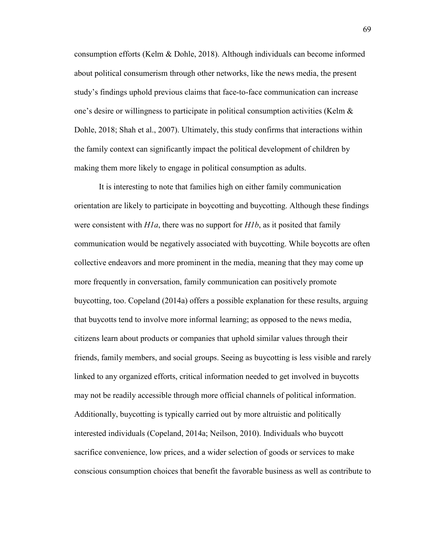consumption efforts (Kelm & Dohle, 2018). Although individuals can become informed about political consumerism through other networks, like the news media, the present study's findings uphold previous claims that face-to-face communication can increase one's desire or willingness to participate in political consumption activities (Kelm & Dohle, 2018; Shah et al., 2007). Ultimately, this study confirms that interactions within the family context can significantly impact the political development of children by making them more likely to engage in political consumption as adults.

 It is interesting to note that families high on either family communication orientation are likely to participate in boycotting and buycotting. Although these findings were consistent with *H1a*, there was no support for *H1b*, as it posited that family communication would be negatively associated with buycotting. While boycotts are often collective endeavors and more prominent in the media, meaning that they may come up more frequently in conversation, family communication can positively promote buycotting, too. Copeland (2014a) offers a possible explanation for these results, arguing that buycotts tend to involve more informal learning; as opposed to the news media, citizens learn about products or companies that uphold similar values through their friends, family members, and social groups. Seeing as buycotting is less visible and rarely linked to any organized efforts, critical information needed to get involved in buycotts may not be readily accessible through more official channels of political information. Additionally, buycotting is typically carried out by more altruistic and politically interested individuals (Copeland, 2014a; Neilson, 2010). Individuals who buycott sacrifice convenience, low prices, and a wider selection of goods or services to make conscious consumption choices that benefit the favorable business as well as contribute to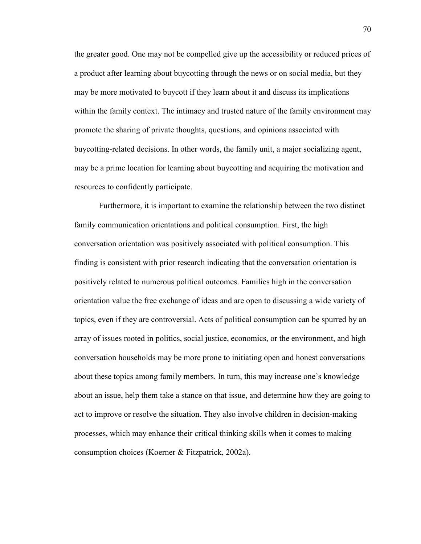the greater good. One may not be compelled give up the accessibility or reduced prices of a product after learning about buycotting through the news or on social media, but they may be more motivated to buycott if they learn about it and discuss its implications within the family context. The intimacy and trusted nature of the family environment may promote the sharing of private thoughts, questions, and opinions associated with buycotting-related decisions. In other words, the family unit, a major socializing agent, may be a prime location for learning about buycotting and acquiring the motivation and resources to confidently participate.

 Furthermore, it is important to examine the relationship between the two distinct family communication orientations and political consumption. First, the high conversation orientation was positively associated with political consumption. This finding is consistent with prior research indicating that the conversation orientation is positively related to numerous political outcomes. Families high in the conversation orientation value the free exchange of ideas and are open to discussing a wide variety of topics, even if they are controversial. Acts of political consumption can be spurred by an array of issues rooted in politics, social justice, economics, or the environment, and high conversation households may be more prone to initiating open and honest conversations about these topics among family members. In turn, this may increase one's knowledge about an issue, help them take a stance on that issue, and determine how they are going to act to improve or resolve the situation. They also involve children in decision-making processes, which may enhance their critical thinking skills when it comes to making consumption choices (Koerner & Fitzpatrick, 2002a).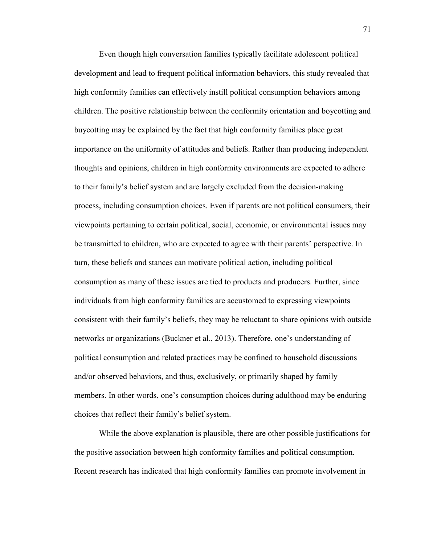Even though high conversation families typically facilitate adolescent political development and lead to frequent political information behaviors, this study revealed that high conformity families can effectively instill political consumption behaviors among children. The positive relationship between the conformity orientation and boycotting and buycotting may be explained by the fact that high conformity families place great importance on the uniformity of attitudes and beliefs. Rather than producing independent thoughts and opinions, children in high conformity environments are expected to adhere to their family's belief system and are largely excluded from the decision-making process, including consumption choices. Even if parents are not political consumers, their viewpoints pertaining to certain political, social, economic, or environmental issues may be transmitted to children, who are expected to agree with their parents' perspective. In turn, these beliefs and stances can motivate political action, including political consumption as many of these issues are tied to products and producers. Further, since individuals from high conformity families are accustomed to expressing viewpoints consistent with their family's beliefs, they may be reluctant to share opinions with outside networks or organizations (Buckner et al., 2013). Therefore, one's understanding of political consumption and related practices may be confined to household discussions and/or observed behaviors, and thus, exclusively, or primarily shaped by family members. In other words, one's consumption choices during adulthood may be enduring choices that reflect their family's belief system.

While the above explanation is plausible, there are other possible justifications for the positive association between high conformity families and political consumption. Recent research has indicated that high conformity families can promote involvement in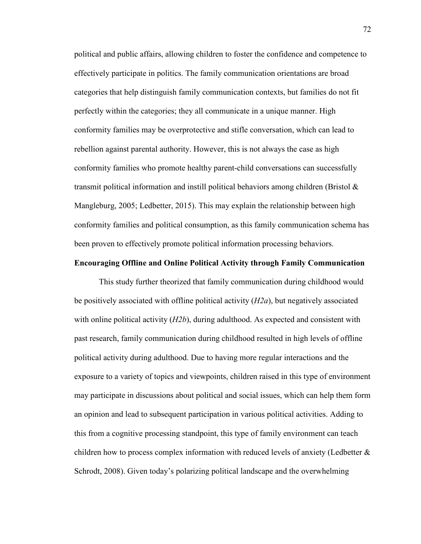political and public affairs, allowing children to foster the confidence and competence to effectively participate in politics. The family communication orientations are broad categories that help distinguish family communication contexts, but families do not fit perfectly within the categories; they all communicate in a unique manner. High conformity families may be overprotective and stifle conversation, which can lead to rebellion against parental authority. However, this is not always the case as high conformity families who promote healthy parent-child conversations can successfully transmit political information and instill political behaviors among children (Bristol  $\&$ Mangleburg, 2005; Ledbetter, 2015). This may explain the relationship between high conformity families and political consumption, as this family communication schema has been proven to effectively promote political information processing behaviors.

## **Encouraging Offline and Online Political Activity through Family Communication**

This study further theorized that family communication during childhood would be positively associated with offline political activity (*H2a*), but negatively associated with online political activity (*H2b*), during adulthood. As expected and consistent with past research, family communication during childhood resulted in high levels of offline political activity during adulthood. Due to having more regular interactions and the exposure to a variety of topics and viewpoints, children raised in this type of environment may participate in discussions about political and social issues, which can help them form an opinion and lead to subsequent participation in various political activities. Adding to this from a cognitive processing standpoint, this type of family environment can teach children how to process complex information with reduced levels of anxiety (Ledbetter  $\&$ Schrodt, 2008). Given today's polarizing political landscape and the overwhelming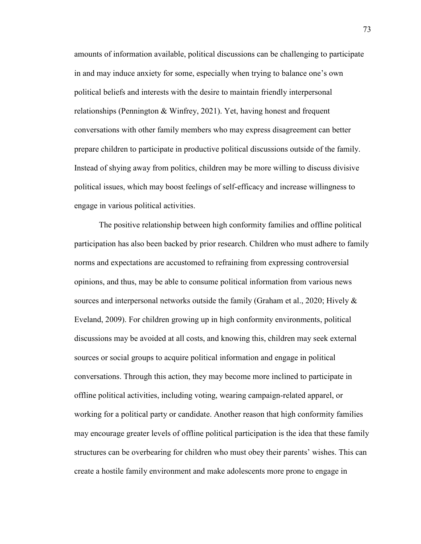amounts of information available, political discussions can be challenging to participate in and may induce anxiety for some, especially when trying to balance one's own political beliefs and interests with the desire to maintain friendly interpersonal relationships (Pennington & Winfrey, 2021). Yet, having honest and frequent conversations with other family members who may express disagreement can better prepare children to participate in productive political discussions outside of the family. Instead of shying away from politics, children may be more willing to discuss divisive political issues, which may boost feelings of self-efficacy and increase willingness to engage in various political activities.

The positive relationship between high conformity families and offline political participation has also been backed by prior research. Children who must adhere to family norms and expectations are accustomed to refraining from expressing controversial opinions, and thus, may be able to consume political information from various news sources and interpersonal networks outside the family (Graham et al., 2020; Hively & Eveland, 2009). For children growing up in high conformity environments, political discussions may be avoided at all costs, and knowing this, children may seek external sources or social groups to acquire political information and engage in political conversations. Through this action, they may become more inclined to participate in offline political activities, including voting, wearing campaign-related apparel, or working for a political party or candidate. Another reason that high conformity families may encourage greater levels of offline political participation is the idea that these family structures can be overbearing for children who must obey their parents' wishes. This can create a hostile family environment and make adolescents more prone to engage in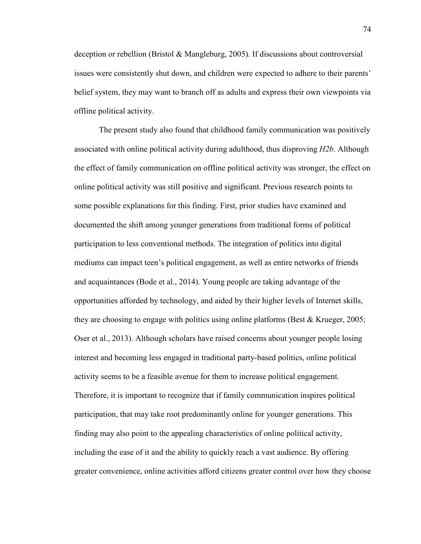deception or rebellion (Bristol & Mangleburg, 2005). If discussions about controversial issues were consistently shut down, and children were expected to adhere to their parents' belief system, they may want to branch off as adults and express their own viewpoints via offline political activity.

The present study also found that childhood family communication was positively associated with online political activity during adulthood, thus disproving *H2b*. Although the effect of family communication on offline political activity was stronger, the effect on online political activity was still positive and significant. Previous research points to some possible explanations for this finding. First, prior studies have examined and documented the shift among younger generations from traditional forms of political participation to less conventional methods. The integration of politics into digital mediums can impact teen's political engagement, as well as entire networks of friends and acquaintances (Bode et al., 2014). Young people are taking advantage of the opportunities afforded by technology, and aided by their higher levels of Internet skills, they are choosing to engage with politics using online platforms (Best & Krueger, 2005; Oser et al., 2013). Although scholars have raised concerns about younger people losing interest and becoming less engaged in traditional party-based politics, online political activity seems to be a feasible avenue for them to increase political engagement. Therefore, it is important to recognize that if family communication inspires political participation, that may take root predominantly online for younger generations. This finding may also point to the appealing characteristics of online political activity, including the ease of it and the ability to quickly reach a vast audience. By offering greater convenience, online activities afford citizens greater control over how they choose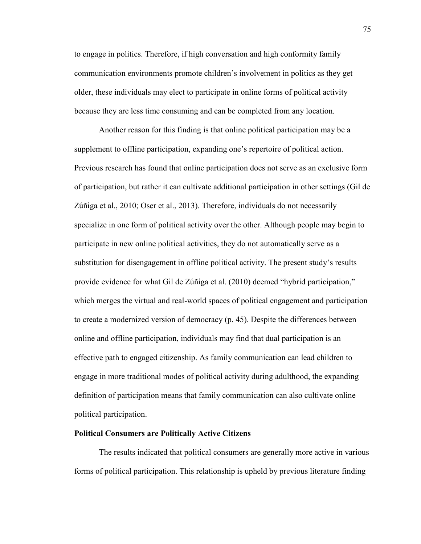to engage in politics. Therefore, if high conversation and high conformity family communication environments promote children's involvement in politics as they get older, these individuals may elect to participate in online forms of political activity because they are less time consuming and can be completed from any location.

Another reason for this finding is that online political participation may be a supplement to offline participation, expanding one's repertoire of political action. Previous research has found that online participation does not serve as an exclusive form of participation, but rather it can cultivate additional participation in other settings (Gil de Zúñiga et al., 2010; Oser et al., 2013). Therefore, individuals do not necessarily specialize in one form of political activity over the other. Although people may begin to participate in new online political activities, they do not automatically serve as a substitution for disengagement in offline political activity. The present study's results provide evidence for what Gil de Zúñiga et al. (2010) deemed "hybrid participation," which merges the virtual and real-world spaces of political engagement and participation to create a modernized version of democracy (p. 45). Despite the differences between online and offline participation, individuals may find that dual participation is an effective path to engaged citizenship. As family communication can lead children to engage in more traditional modes of political activity during adulthood, the expanding definition of participation means that family communication can also cultivate online political participation.

## **Political Consumers are Politically Active Citizens**

The results indicated that political consumers are generally more active in various forms of political participation. This relationship is upheld by previous literature finding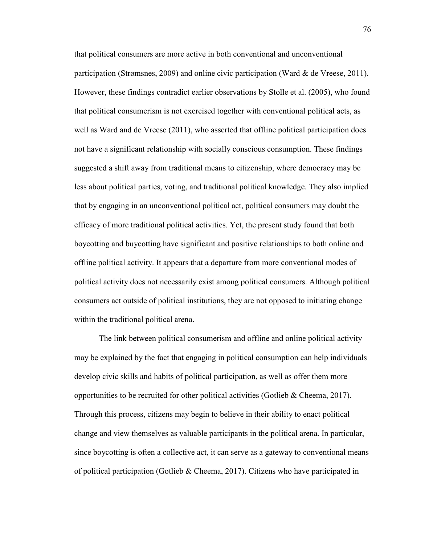that political consumers are more active in both conventional and unconventional participation (Strømsnes, 2009) and online civic participation (Ward & de Vreese, 2011). However, these findings contradict earlier observations by Stolle et al. (2005), who found that political consumerism is not exercised together with conventional political acts, as well as Ward and de Vreese (2011), who asserted that offline political participation does not have a significant relationship with socially conscious consumption. These findings suggested a shift away from traditional means to citizenship, where democracy may be less about political parties, voting, and traditional political knowledge. They also implied that by engaging in an unconventional political act, political consumers may doubt the efficacy of more traditional political activities. Yet, the present study found that both boycotting and buycotting have significant and positive relationships to both online and offline political activity. It appears that a departure from more conventional modes of political activity does not necessarily exist among political consumers. Although political consumers act outside of political institutions, they are not opposed to initiating change within the traditional political arena.

The link between political consumerism and offline and online political activity may be explained by the fact that engaging in political consumption can help individuals develop civic skills and habits of political participation, as well as offer them more opportunities to be recruited for other political activities (Gotlieb & Cheema, 2017). Through this process, citizens may begin to believe in their ability to enact political change and view themselves as valuable participants in the political arena. In particular, since boycotting is often a collective act, it can serve as a gateway to conventional means of political participation (Gotlieb & Cheema, 2017). Citizens who have participated in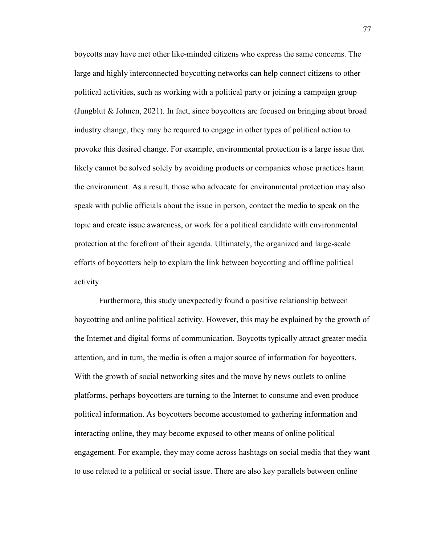boycotts may have met other like-minded citizens who express the same concerns. The large and highly interconnected boycotting networks can help connect citizens to other political activities, such as working with a political party or joining a campaign group (Jungblut & Johnen, 2021). In fact, since boycotters are focused on bringing about broad industry change, they may be required to engage in other types of political action to provoke this desired change. For example, environmental protection is a large issue that likely cannot be solved solely by avoiding products or companies whose practices harm the environment. As a result, those who advocate for environmental protection may also speak with public officials about the issue in person, contact the media to speak on the topic and create issue awareness, or work for a political candidate with environmental protection at the forefront of their agenda. Ultimately, the organized and large-scale efforts of boycotters help to explain the link between boycotting and offline political activity.

Furthermore, this study unexpectedly found a positive relationship between boycotting and online political activity. However, this may be explained by the growth of the Internet and digital forms of communication. Boycotts typically attract greater media attention, and in turn, the media is often a major source of information for boycotters. With the growth of social networking sites and the move by news outlets to online platforms, perhaps boycotters are turning to the Internet to consume and even produce political information. As boycotters become accustomed to gathering information and interacting online, they may become exposed to other means of online political engagement. For example, they may come across hashtags on social media that they want to use related to a political or social issue. There are also key parallels between online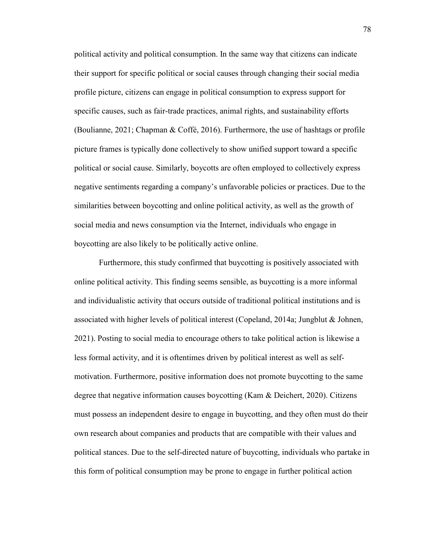political activity and political consumption. In the same way that citizens can indicate their support for specific political or social causes through changing their social media profile picture, citizens can engage in political consumption to express support for specific causes, such as fair-trade practices, animal rights, and sustainability efforts (Boulianne, 2021; Chapman & Coffé, 2016). Furthermore, the use of hashtags or profile picture frames is typically done collectively to show unified support toward a specific political or social cause. Similarly, boycotts are often employed to collectively express negative sentiments regarding a company's unfavorable policies or practices. Due to the similarities between boycotting and online political activity, as well as the growth of social media and news consumption via the Internet, individuals who engage in boycotting are also likely to be politically active online.

 Furthermore, this study confirmed that buycotting is positively associated with online political activity. This finding seems sensible, as buycotting is a more informal and individualistic activity that occurs outside of traditional political institutions and is associated with higher levels of political interest (Copeland, 2014a; Jungblut & Johnen, 2021). Posting to social media to encourage others to take political action is likewise a less formal activity, and it is oftentimes driven by political interest as well as selfmotivation. Furthermore, positive information does not promote buycotting to the same degree that negative information causes boycotting (Kam & Deichert, 2020). Citizens must possess an independent desire to engage in buycotting, and they often must do their own research about companies and products that are compatible with their values and political stances. Due to the self-directed nature of buycotting, individuals who partake in this form of political consumption may be prone to engage in further political action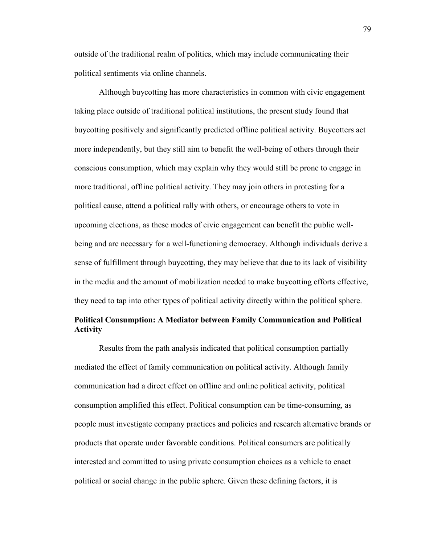outside of the traditional realm of politics, which may include communicating their political sentiments via online channels.

Although buycotting has more characteristics in common with civic engagement taking place outside of traditional political institutions, the present study found that buycotting positively and significantly predicted offline political activity. Buycotters act more independently, but they still aim to benefit the well-being of others through their conscious consumption, which may explain why they would still be prone to engage in more traditional, offline political activity. They may join others in protesting for a political cause, attend a political rally with others, or encourage others to vote in upcoming elections, as these modes of civic engagement can benefit the public wellbeing and are necessary for a well-functioning democracy. Although individuals derive a sense of fulfillment through buycotting, they may believe that due to its lack of visibility in the media and the amount of mobilization needed to make buycotting efforts effective, they need to tap into other types of political activity directly within the political sphere.

# **Political Consumption: A Mediator between Family Communication and Political Activity**

Results from the path analysis indicated that political consumption partially mediated the effect of family communication on political activity. Although family communication had a direct effect on offline and online political activity, political consumption amplified this effect. Political consumption can be time-consuming, as people must investigate company practices and policies and research alternative brands or products that operate under favorable conditions. Political consumers are politically interested and committed to using private consumption choices as a vehicle to enact political or social change in the public sphere. Given these defining factors, it is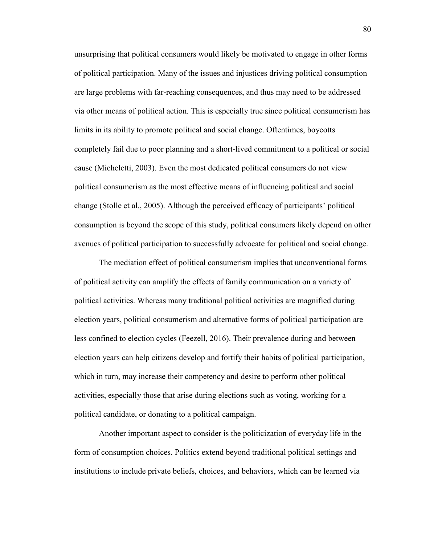unsurprising that political consumers would likely be motivated to engage in other forms of political participation. Many of the issues and injustices driving political consumption are large problems with far-reaching consequences, and thus may need to be addressed via other means of political action. This is especially true since political consumerism has limits in its ability to promote political and social change. Oftentimes, boycotts completely fail due to poor planning and a short-lived commitment to a political or social cause (Micheletti, 2003). Even the most dedicated political consumers do not view political consumerism as the most effective means of influencing political and social change (Stolle et al., 2005). Although the perceived efficacy of participants' political consumption is beyond the scope of this study, political consumers likely depend on other avenues of political participation to successfully advocate for political and social change.

 The mediation effect of political consumerism implies that unconventional forms of political activity can amplify the effects of family communication on a variety of political activities. Whereas many traditional political activities are magnified during election years, political consumerism and alternative forms of political participation are less confined to election cycles (Feezell, 2016). Their prevalence during and between election years can help citizens develop and fortify their habits of political participation, which in turn, may increase their competency and desire to perform other political activities, especially those that arise during elections such as voting, working for a political candidate, or donating to a political campaign.

 Another important aspect to consider is the politicization of everyday life in the form of consumption choices. Politics extend beyond traditional political settings and institutions to include private beliefs, choices, and behaviors, which can be learned via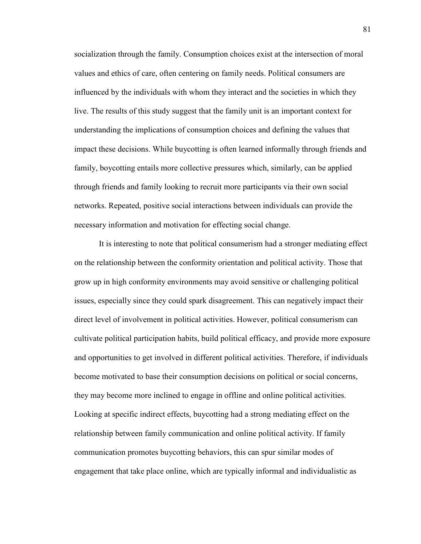socialization through the family. Consumption choices exist at the intersection of moral values and ethics of care, often centering on family needs. Political consumers are influenced by the individuals with whom they interact and the societies in which they live. The results of this study suggest that the family unit is an important context for understanding the implications of consumption choices and defining the values that impact these decisions. While buycotting is often learned informally through friends and family, boycotting entails more collective pressures which, similarly, can be applied through friends and family looking to recruit more participants via their own social networks. Repeated, positive social interactions between individuals can provide the necessary information and motivation for effecting social change.

 It is interesting to note that political consumerism had a stronger mediating effect on the relationship between the conformity orientation and political activity. Those that grow up in high conformity environments may avoid sensitive or challenging political issues, especially since they could spark disagreement. This can negatively impact their direct level of involvement in political activities. However, political consumerism can cultivate political participation habits, build political efficacy, and provide more exposure and opportunities to get involved in different political activities. Therefore, if individuals become motivated to base their consumption decisions on political or social concerns, they may become more inclined to engage in offline and online political activities. Looking at specific indirect effects, buycotting had a strong mediating effect on the relationship between family communication and online political activity. If family communication promotes buycotting behaviors, this can spur similar modes of engagement that take place online, which are typically informal and individualistic as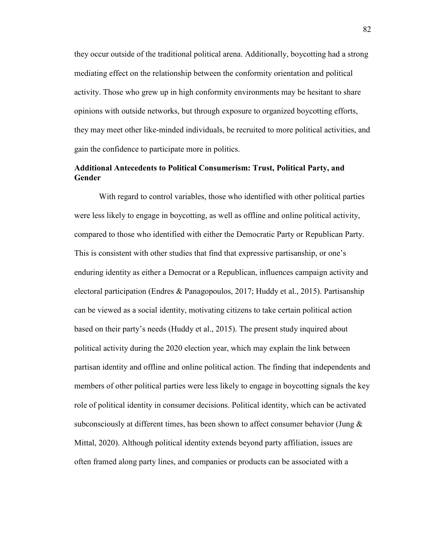they occur outside of the traditional political arena. Additionally, boycotting had a strong mediating effect on the relationship between the conformity orientation and political activity. Those who grew up in high conformity environments may be hesitant to share opinions with outside networks, but through exposure to organized boycotting efforts, they may meet other like-minded individuals, be recruited to more political activities, and gain the confidence to participate more in politics.

## **Additional Antecedents to Political Consumerism: Trust, Political Party, and Gender**

With regard to control variables, those who identified with other political parties were less likely to engage in boycotting, as well as offline and online political activity, compared to those who identified with either the Democratic Party or Republican Party. This is consistent with other studies that find that expressive partisanship, or one's enduring identity as either a Democrat or a Republican, influences campaign activity and electoral participation (Endres & Panagopoulos, 2017; Huddy et al., 2015). Partisanship can be viewed as a social identity, motivating citizens to take certain political action based on their party's needs (Huddy et al., 2015). The present study inquired about political activity during the 2020 election year, which may explain the link between partisan identity and offline and online political action. The finding that independents and members of other political parties were less likely to engage in boycotting signals the key role of political identity in consumer decisions. Political identity, which can be activated subconsciously at different times, has been shown to affect consumer behavior (Jung & Mittal, 2020). Although political identity extends beyond party affiliation, issues are often framed along party lines, and companies or products can be associated with a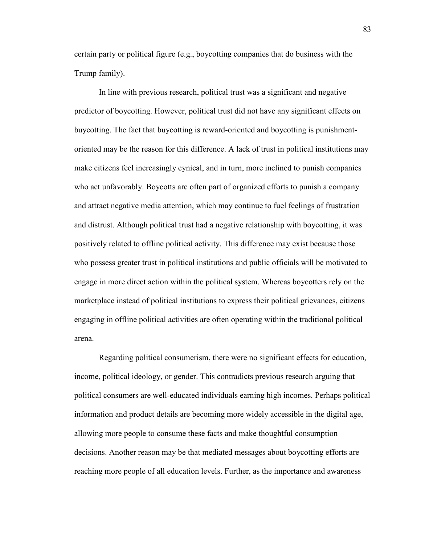certain party or political figure (e.g., boycotting companies that do business with the Trump family).

In line with previous research, political trust was a significant and negative predictor of boycotting. However, political trust did not have any significant effects on buycotting. The fact that buycotting is reward-oriented and boycotting is punishmentoriented may be the reason for this difference. A lack of trust in political institutions may make citizens feel increasingly cynical, and in turn, more inclined to punish companies who act unfavorably. Boycotts are often part of organized efforts to punish a company and attract negative media attention, which may continue to fuel feelings of frustration and distrust. Although political trust had a negative relationship with boycotting, it was positively related to offline political activity. This difference may exist because those who possess greater trust in political institutions and public officials will be motivated to engage in more direct action within the political system. Whereas boycotters rely on the marketplace instead of political institutions to express their political grievances, citizens engaging in offline political activities are often operating within the traditional political arena.

Regarding political consumerism, there were no significant effects for education, income, political ideology, or gender. This contradicts previous research arguing that political consumers are well-educated individuals earning high incomes. Perhaps political information and product details are becoming more widely accessible in the digital age, allowing more people to consume these facts and make thoughtful consumption decisions. Another reason may be that mediated messages about boycotting efforts are reaching more people of all education levels. Further, as the importance and awareness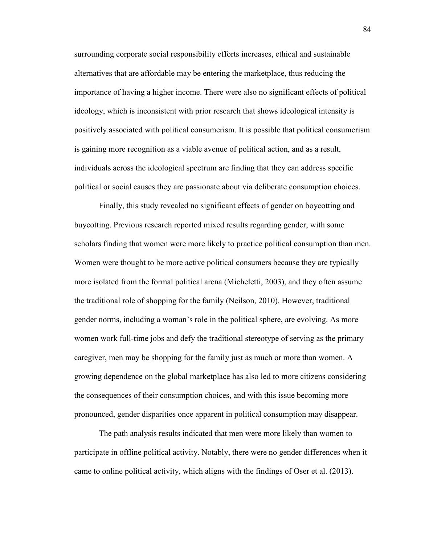surrounding corporate social responsibility efforts increases, ethical and sustainable alternatives that are affordable may be entering the marketplace, thus reducing the importance of having a higher income. There were also no significant effects of political ideology, which is inconsistent with prior research that shows ideological intensity is positively associated with political consumerism. It is possible that political consumerism is gaining more recognition as a viable avenue of political action, and as a result, individuals across the ideological spectrum are finding that they can address specific political or social causes they are passionate about via deliberate consumption choices.

Finally, this study revealed no significant effects of gender on boycotting and buycotting. Previous research reported mixed results regarding gender, with some scholars finding that women were more likely to practice political consumption than men. Women were thought to be more active political consumers because they are typically more isolated from the formal political arena (Micheletti, 2003), and they often assume the traditional role of shopping for the family (Neilson, 2010). However, traditional gender norms, including a woman's role in the political sphere, are evolving. As more women work full-time jobs and defy the traditional stereotype of serving as the primary caregiver, men may be shopping for the family just as much or more than women. A growing dependence on the global marketplace has also led to more citizens considering the consequences of their consumption choices, and with this issue becoming more pronounced, gender disparities once apparent in political consumption may disappear.

The path analysis results indicated that men were more likely than women to participate in offline political activity. Notably, there were no gender differences when it came to online political activity, which aligns with the findings of Oser et al. (2013).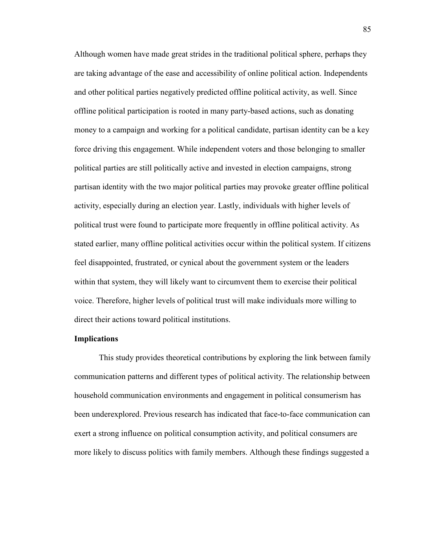Although women have made great strides in the traditional political sphere, perhaps they are taking advantage of the ease and accessibility of online political action. Independents and other political parties negatively predicted offline political activity, as well. Since offline political participation is rooted in many party-based actions, such as donating money to a campaign and working for a political candidate, partisan identity can be a key force driving this engagement. While independent voters and those belonging to smaller political parties are still politically active and invested in election campaigns, strong partisan identity with the two major political parties may provoke greater offline political activity, especially during an election year. Lastly, individuals with higher levels of political trust were found to participate more frequently in offline political activity. As stated earlier, many offline political activities occur within the political system. If citizens feel disappointed, frustrated, or cynical about the government system or the leaders within that system, they will likely want to circumvent them to exercise their political voice. Therefore, higher levels of political trust will make individuals more willing to direct their actions toward political institutions.

#### **Implications**

This study provides theoretical contributions by exploring the link between family communication patterns and different types of political activity. The relationship between household communication environments and engagement in political consumerism has been underexplored. Previous research has indicated that face-to-face communication can exert a strong influence on political consumption activity, and political consumers are more likely to discuss politics with family members. Although these findings suggested a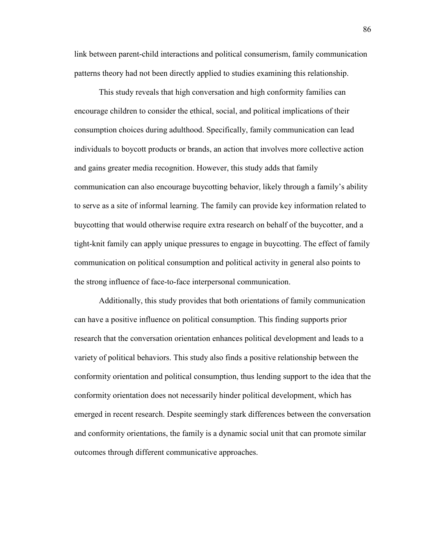link between parent-child interactions and political consumerism, family communication patterns theory had not been directly applied to studies examining this relationship.

This study reveals that high conversation and high conformity families can encourage children to consider the ethical, social, and political implications of their consumption choices during adulthood. Specifically, family communication can lead individuals to boycott products or brands, an action that involves more collective action and gains greater media recognition. However, this study adds that family communication can also encourage buycotting behavior, likely through a family's ability to serve as a site of informal learning. The family can provide key information related to buycotting that would otherwise require extra research on behalf of the buycotter, and a tight-knit family can apply unique pressures to engage in buycotting. The effect of family communication on political consumption and political activity in general also points to the strong influence of face-to-face interpersonal communication.

Additionally, this study provides that both orientations of family communication can have a positive influence on political consumption. This finding supports prior research that the conversation orientation enhances political development and leads to a variety of political behaviors. This study also finds a positive relationship between the conformity orientation and political consumption, thus lending support to the idea that the conformity orientation does not necessarily hinder political development, which has emerged in recent research. Despite seemingly stark differences between the conversation and conformity orientations, the family is a dynamic social unit that can promote similar outcomes through different communicative approaches.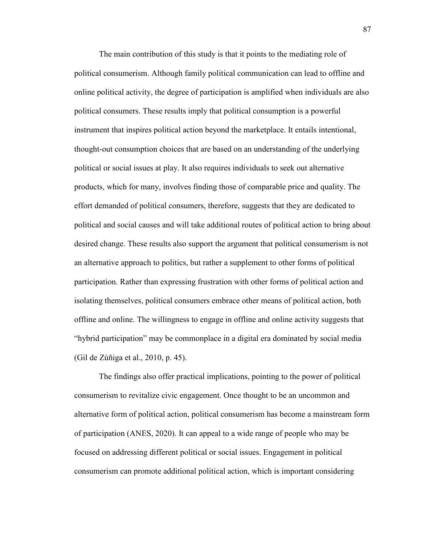The main contribution of this study is that it points to the mediating role of political consumerism. Although family political communication can lead to offline and online political activity, the degree of participation is amplified when individuals are also political consumers. These results imply that political consumption is a powerful instrument that inspires political action beyond the marketplace. It entails intentional, thought-out consumption choices that are based on an understanding of the underlying political or social issues at play. It also requires individuals to seek out alternative products, which for many, involves finding those of comparable price and quality. The effort demanded of political consumers, therefore, suggests that they are dedicated to political and social causes and will take additional routes of political action to bring about desired change. These results also support the argument that political consumerism is not an alternative approach to politics, but rather a supplement to other forms of political participation. Rather than expressing frustration with other forms of political action and isolating themselves, political consumers embrace other means of political action, both offline and online. The willingness to engage in offline and online activity suggests that "hybrid participation" may be commonplace in a digital era dominated by social media (Gil de Zúñiga et al., 2010, p. 45).

The findings also offer practical implications, pointing to the power of political consumerism to revitalize civic engagement. Once thought to be an uncommon and alternative form of political action, political consumerism has become a mainstream form of participation (ANES, 2020). It can appeal to a wide range of people who may be focused on addressing different political or social issues. Engagement in political consumerism can promote additional political action, which is important considering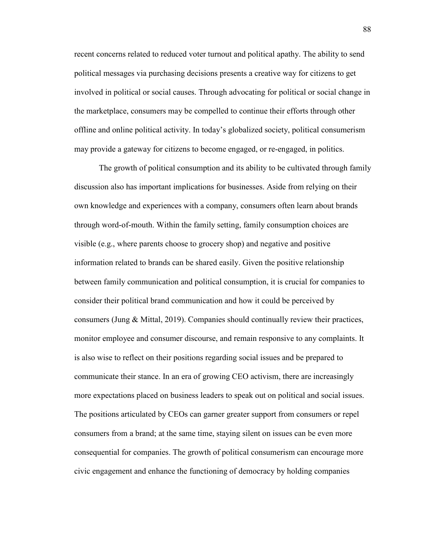recent concerns related to reduced voter turnout and political apathy. The ability to send political messages via purchasing decisions presents a creative way for citizens to get involved in political or social causes. Through advocating for political or social change in the marketplace, consumers may be compelled to continue their efforts through other offline and online political activity. In today's globalized society, political consumerism may provide a gateway for citizens to become engaged, or re-engaged, in politics.

The growth of political consumption and its ability to be cultivated through family discussion also has important implications for businesses. Aside from relying on their own knowledge and experiences with a company, consumers often learn about brands through word-of-mouth. Within the family setting, family consumption choices are visible (e.g., where parents choose to grocery shop) and negative and positive information related to brands can be shared easily. Given the positive relationship between family communication and political consumption, it is crucial for companies to consider their political brand communication and how it could be perceived by consumers (Jung & Mittal, 2019). Companies should continually review their practices, monitor employee and consumer discourse, and remain responsive to any complaints. It is also wise to reflect on their positions regarding social issues and be prepared to communicate their stance. In an era of growing CEO activism, there are increasingly more expectations placed on business leaders to speak out on political and social issues. The positions articulated by CEOs can garner greater support from consumers or repel consumers from a brand; at the same time, staying silent on issues can be even more consequential for companies. The growth of political consumerism can encourage more civic engagement and enhance the functioning of democracy by holding companies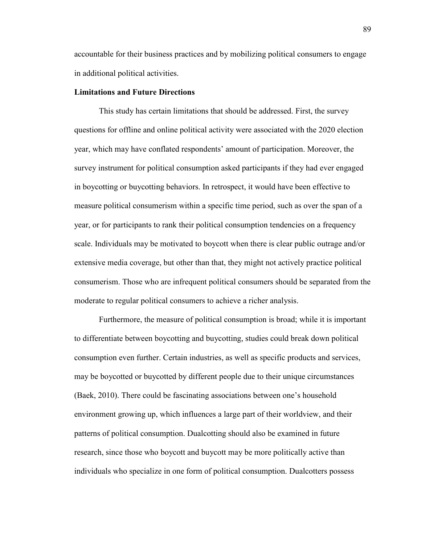accountable for their business practices and by mobilizing political consumers to engage in additional political activities.

## **Limitations and Future Directions**

This study has certain limitations that should be addressed. First, the survey questions for offline and online political activity were associated with the 2020 election year, which may have conflated respondents' amount of participation. Moreover, the survey instrument for political consumption asked participants if they had ever engaged in boycotting or buycotting behaviors. In retrospect, it would have been effective to measure political consumerism within a specific time period, such as over the span of a year, or for participants to rank their political consumption tendencies on a frequency scale. Individuals may be motivated to boycott when there is clear public outrage and/or extensive media coverage, but other than that, they might not actively practice political consumerism. Those who are infrequent political consumers should be separated from the moderate to regular political consumers to achieve a richer analysis.

Furthermore, the measure of political consumption is broad; while it is important to differentiate between boycotting and buycotting, studies could break down political consumption even further. Certain industries, as well as specific products and services, may be boycotted or buycotted by different people due to their unique circumstances (Baek, 2010). There could be fascinating associations between one's household environment growing up, which influences a large part of their worldview, and their patterns of political consumption. Dualcotting should also be examined in future research, since those who boycott and buycott may be more politically active than individuals who specialize in one form of political consumption. Dualcotters possess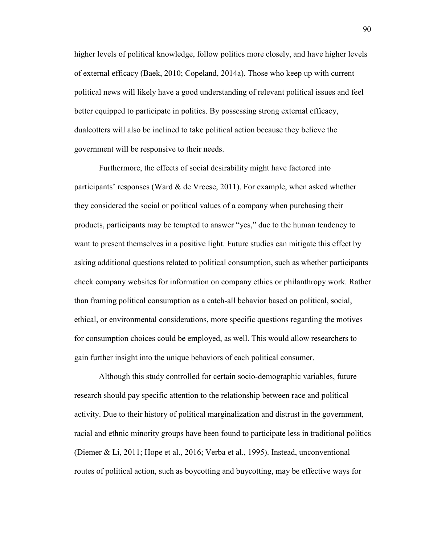higher levels of political knowledge, follow politics more closely, and have higher levels of external efficacy (Baek, 2010; Copeland, 2014a). Those who keep up with current political news will likely have a good understanding of relevant political issues and feel better equipped to participate in politics. By possessing strong external efficacy, dualcotters will also be inclined to take political action because they believe the government will be responsive to their needs.

Furthermore, the effects of social desirability might have factored into participants' responses (Ward  $\&$  de Vreese, 2011). For example, when asked whether they considered the social or political values of a company when purchasing their products, participants may be tempted to answer "yes," due to the human tendency to want to present themselves in a positive light. Future studies can mitigate this effect by asking additional questions related to political consumption, such as whether participants check company websites for information on company ethics or philanthropy work. Rather than framing political consumption as a catch-all behavior based on political, social, ethical, or environmental considerations, more specific questions regarding the motives for consumption choices could be employed, as well. This would allow researchers to gain further insight into the unique behaviors of each political consumer.

Although this study controlled for certain socio-demographic variables, future research should pay specific attention to the relationship between race and political activity. Due to their history of political marginalization and distrust in the government, racial and ethnic minority groups have been found to participate less in traditional politics (Diemer & Li, 2011; Hope et al., 2016; Verba et al., 1995). Instead, unconventional routes of political action, such as boycotting and buycotting, may be effective ways for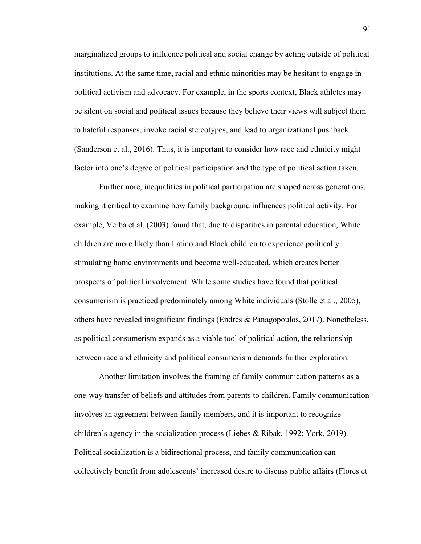marginalized groups to influence political and social change by acting outside of political institutions. At the same time, racial and ethnic minorities may be hesitant to engage in political activism and advocacy. For example, in the sports context, Black athletes may be silent on social and political issues because they believe their views will subject them to hateful responses, invoke racial stereotypes, and lead to organizational pushback (Sanderson et al., 2016). Thus, it is important to consider how race and ethnicity might factor into one's degree of political participation and the type of political action taken.

Furthermore, inequalities in political participation are shaped across generations, making it critical to examine how family background influences political activity. For example, Verba et al. (2003) found that, due to disparities in parental education, White children are more likely than Latino and Black children to experience politically stimulating home environments and become well-educated, which creates better prospects of political involvement. While some studies have found that political consumerism is practiced predominately among White individuals (Stolle et al., 2005), others have revealed insignificant findings (Endres & Panagopoulos, 2017). Nonetheless, as political consumerism expands as a viable tool of political action, the relationship between race and ethnicity and political consumerism demands further exploration.

Another limitation involves the framing of family communication patterns as a one-way transfer of beliefs and attitudes from parents to children. Family communication involves an agreement between family members, and it is important to recognize children's agency in the socialization process (Liebes & Ribak, 1992; York, 2019). Political socialization is a bidirectional process, and family communication can collectively benefit from adolescents' increased desire to discuss public affairs (Flores et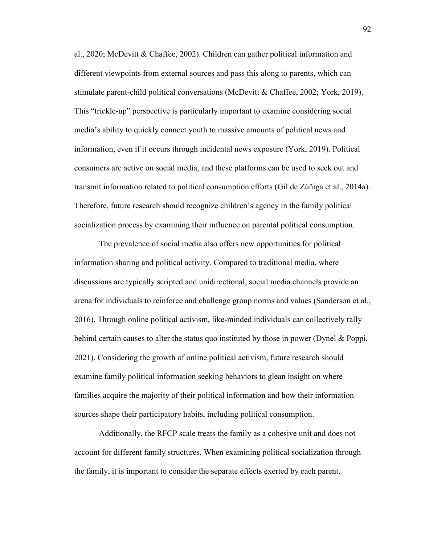al., 2020; McDevitt & Chaffee, 2002). Children can gather political information and different viewpoints from external sources and pass this along to parents, which can stimulate parent-child political conversations (McDevitt & Chaffee, 2002; York, 2019). This "trickle-up" perspective is particularly important to examine considering social media's ability to quickly connect youth to massive amounts of political news and information, even if it occurs through incidental news exposure (York, 2019). Political consumers are active on social media, and these platforms can be used to seek out and transmit information related to political consumption efforts (Gil de Zúñiga et al., 2014a). Therefore, future research should recognize children's agency in the family political socialization process by examining their influence on parental political consumption.

The prevalence of social media also offers new opportunities for political information sharing and political activity. Compared to traditional media, where discussions are typically scripted and unidirectional, social media channels provide an arena for individuals to reinforce and challenge group norms and values (Sanderson et al., 2016). Through online political activism, like-minded individuals can collectively rally behind certain causes to alter the status quo instituted by those in power (Dynel & Poppi, 2021). Considering the growth of online political activism, future research should examine family political information seeking behaviors to glean insight on where families acquire the majority of their political information and how their information sources shape their participatory habits, including political consumption.

Additionally, the RFCP scale treats the family as a cohesive unit and does not account for different family structures. When examining political socialization through the family, it is important to consider the separate effects exerted by each parent.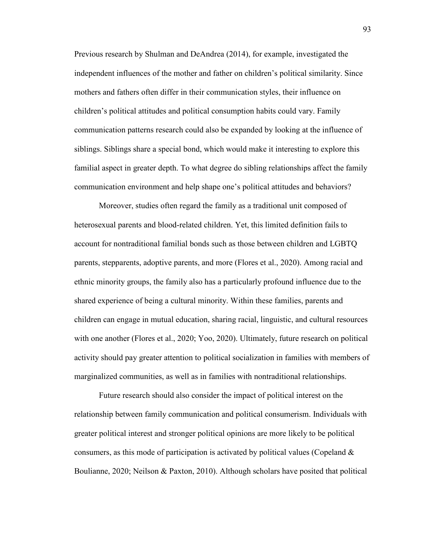Previous research by Shulman and DeAndrea (2014), for example, investigated the independent influences of the mother and father on children's political similarity. Since mothers and fathers often differ in their communication styles, their influence on children's political attitudes and political consumption habits could vary. Family communication patterns research could also be expanded by looking at the influence of siblings. Siblings share a special bond, which would make it interesting to explore this familial aspect in greater depth. To what degree do sibling relationships affect the family communication environment and help shape one's political attitudes and behaviors?

Moreover, studies often regard the family as a traditional unit composed of heterosexual parents and blood-related children. Yet, this limited definition fails to account for nontraditional familial bonds such as those between children and LGBTQ parents, stepparents, adoptive parents, and more (Flores et al., 2020). Among racial and ethnic minority groups, the family also has a particularly profound influence due to the shared experience of being a cultural minority. Within these families, parents and children can engage in mutual education, sharing racial, linguistic, and cultural resources with one another (Flores et al., 2020; Yoo, 2020). Ultimately, future research on political activity should pay greater attention to political socialization in families with members of marginalized communities, as well as in families with nontraditional relationships.

Future research should also consider the impact of political interest on the relationship between family communication and political consumerism. Individuals with greater political interest and stronger political opinions are more likely to be political consumers, as this mode of participation is activated by political values (Copeland  $\&$ Boulianne, 2020; Neilson & Paxton, 2010). Although scholars have posited that political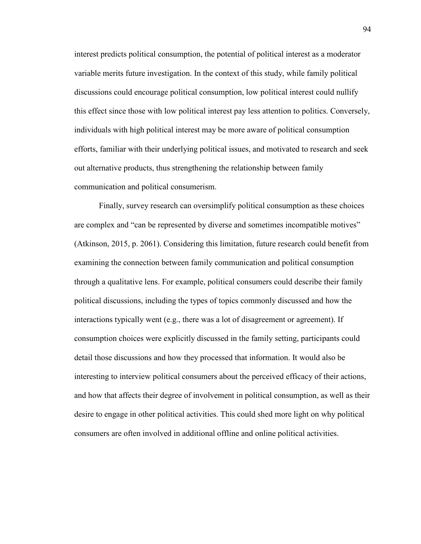interest predicts political consumption, the potential of political interest as a moderator variable merits future investigation. In the context of this study, while family political discussions could encourage political consumption, low political interest could nullify this effect since those with low political interest pay less attention to politics. Conversely, individuals with high political interest may be more aware of political consumption efforts, familiar with their underlying political issues, and motivated to research and seek out alternative products, thus strengthening the relationship between family communication and political consumerism.

Finally, survey research can oversimplify political consumption as these choices are complex and "can be represented by diverse and sometimes incompatible motives" (Atkinson, 2015, p. 2061). Considering this limitation, future research could benefit from examining the connection between family communication and political consumption through a qualitative lens. For example, political consumers could describe their family political discussions, including the types of topics commonly discussed and how the interactions typically went (e.g., there was a lot of disagreement or agreement). If consumption choices were explicitly discussed in the family setting, participants could detail those discussions and how they processed that information. It would also be interesting to interview political consumers about the perceived efficacy of their actions, and how that affects their degree of involvement in political consumption, as well as their desire to engage in other political activities. This could shed more light on why political consumers are often involved in additional offline and online political activities.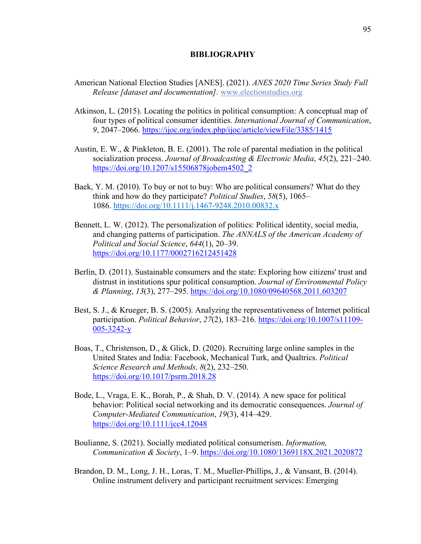## **BIBLIOGRAPHY**

- American National Election Studies [ANES]. (2021). *ANES 2020 Time Series Study Full Release [dataset and documentation].* www.electionstudies.org
- Atkinson, L. (2015). Locating the politics in political consumption: A conceptual map of four types of political consumer identities. *International Journal of Communication*, *9*, 2047–2066. https://ijoc.org/index.php/ijoc/article/viewFile/3385/1415
- Austin, E. W., & Pinkleton, B. E. (2001). The role of parental mediation in the political socialization process. *Journal of Broadcasting & Electronic Media*, *45*(2), 221–240. https://doi.org/10.1207/s15506878jobem4502\_2
- Baek, Y. M. (2010). To buy or not to buy: Who are political consumers? What do they think and how do they participate? *Political Studies*, *58*(5), 1065– 1086. https://doi.org/10.1111/j.1467-9248.2010.00832.x
- Bennett, L. W. (2012). The personalization of politics: Political identity, social media, and changing patterns of participation. *The ANNALS of the American Academy of Political and Social Science*, *644*(1), 20–39. https://doi.org/10.1177/0002716212451428
- Berlin, D. (2011). Sustainable consumers and the state: Exploring how citizens' trust and distrust in institutions spur political consumption. *Journal of Environmental Policy & Planning*, *13*(3), 277–295. https://doi.org/10.1080/09640568.2011.603207
- Best, S. J., & Krueger, B. S. (2005). Analyzing the representativeness of Internet political participation. *Political Behavior*, *27*(2), 183–216. https://doi.org/10.1007/s11109- 005-3242-y
- Boas, T., Christenson, D., & Glick, D. (2020). Recruiting large online samples in the United States and India: Facebook, Mechanical Turk, and Qualtrics. *Political Science Research and Methods, 8*(2), 232–250. https://doi.org/10.1017/psrm.2018.28
- Bode, L., Vraga, E. K., Borah, P., & Shah, D. V. (2014). A new space for political behavior: Political social networking and its democratic consequences. *Journal of Computer-Mediated Communication*, *19*(3), 414–429. https://doi.org/10.1111/jcc4.12048
- Boulianne, S. (2021). Socially mediated political consumerism. *Information, Communication & Society*, 1–9. https://doi.org/10.1080/1369118X.2021.2020872
- Brandon, D. M., Long, J. H., Loras, T. M., Mueller-Phillips, J., & Vansant, B. (2014). Online instrument delivery and participant recruitment services: Emerging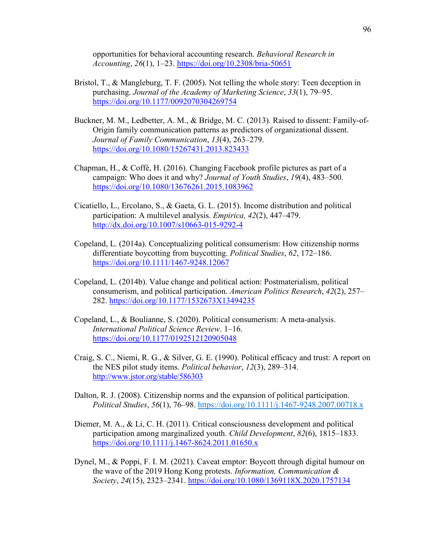opportunities for behavioral accounting research. *Behavioral Research in Accounting*, *26*(1), 1–23. https://doi.org/10.2308/bria-50651

- Bristol, T., & Mangleburg, T. F. (2005). Not telling the whole story: Teen deception in purchasing. *Journal of the Academy of Marketing Science*, *33*(1), 79–95. https://doi.org/10.1177/0092070304269754
- Buckner, M. M., Ledbetter, A. M., & Bridge, M. C. (2013). Raised to dissent: Family-of-Origin family communication patterns as predictors of organizational dissent. *Journal of Family Communication*, *13*(4), 263–279. https://doi.org/10.1080/15267431.2013.823433
- Chapman, H., & Coffé, H. (2016). Changing Facebook profile pictures as part of a campaign: Who does it and why? *Journal of Youth Studies*, *19*(4), 483–500. https://doi.org/10.1080/13676261.2015.1083962
- Cicatiello, L., Ercolano, S., & Gaeta, G. L. (2015). Income distribution and political participation: A multilevel analysis. *Empirica, 42*(2), 447–479. http://dx.doi.org/10.1007/s10663-015-9292-4
- Copeland, L. (2014a). Conceptualizing political consumerism: How citizenship norms differentiate boycotting from buycotting. *Political Studies*, *62*, 172–186. https://doi.org/10.1111/1467-9248.12067
- Copeland, L. (2014b). Value change and political action: Postmaterialism, political consumerism, and political participation. *American Politics Research*, *42*(2), 257– 282. https://doi.org/10.1177/1532673X13494235
- Copeland, L., & Boulianne, S. (2020). Political consumerism: A meta-analysis. *International Political Science Review*. 1–16. https://doi.org/10.1177/0192512120905048
- Craig, S. C., Niemi, R. G., & Silver, G. E. (1990). Political efficacy and trust: A report on the NES pilot study items. *Political behavior*, *12*(3), 289–314. http://www.jstor.org/stable/586303
- Dalton, R. J. (2008). Citizenship norms and the expansion of political participation. *Political Studies*, *56*(1), 76–98. https://doi.org/10.1111/j.1467-9248.2007.00718.x
- Diemer, M. A., & Li, C. H. (2011). Critical consciousness development and political participation among marginalized youth. *Child Development*, *82*(6), 1815–1833. https://doi.org/10.1111/j.1467-8624.2011.01650.x
- Dynel, M., & Poppi, F. I. M. (2021). Caveat emptor: Boycott through digital humour on the wave of the 2019 Hong Kong protests. *Information, Communication & Society*, *24*(15), 2323–2341. https://doi.org/10.1080/1369118X.2020.1757134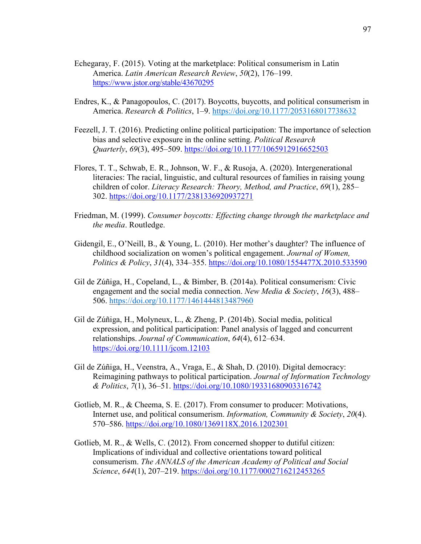- Echegaray, F. (2015). Voting at the marketplace: Political consumerism in Latin America. *Latin American Research Review*, *50*(2), 176–199. https://www.jstor.org/stable/43670295
- Endres, K., & Panagopoulos, C. (2017). Boycotts, buycotts, and political consumerism in America. *Research & Politics*, 1–9. https://doi.org/10.1177/2053168017738632
- Feezell, J. T. (2016). Predicting online political participation: The importance of selection bias and selective exposure in the online setting. *Political Research Quarterly*, *69*(3), 495–509. https://doi.org/10.1177/1065912916652503
- Flores, T. T., Schwab, E. R., Johnson, W. F., & Rusoja, A. (2020). Intergenerational literacies: The racial, linguistic, and cultural resources of families in raising young children of color. *Literacy Research: Theory, Method, and Practice*, *69*(1), 285– 302. https://doi.org/10.1177/2381336920937271
- Friedman, M. (1999). *Consumer boycotts: Effecting change through the marketplace and the media*. Routledge.
- Gidengil, E., O'Neill, B., & Young, L. (2010). Her mother's daughter? The influence of childhood socialization on women's political engagement. *Journal of Women, Politics & Policy*, *31*(4), 334–355. https://doi.org/10.1080/1554477X.2010.533590
- Gil de Zúñiga, H., Copeland, L., & Bimber, B. (2014a). Political consumerism: Civic engagement and the social media connection. *New Media & Society*, *16*(3), 488– 506. https://doi.org/10.1177/1461444813487960
- Gil de Zúñiga, H., Molyneux, L., & Zheng, P. (2014b). Social media, political expression, and political participation: Panel analysis of lagged and concurrent relationships. *Journal of Communication*, *64*(4), 612–634. https://doi.org/10.1111/jcom.12103
- Gil de Zúñiga, H., Veenstra, A., Vraga, E., & Shah, D. (2010). Digital democracy: Reimagining pathways to political participation. *Journal of Information Technology & Politics*, *7*(1), 36–51. https://doi.org/10.1080/19331680903316742
- Gotlieb, M. R., & Cheema, S. E. (2017). From consumer to producer: Motivations, Internet use, and political consumerism. *Information, Community & Society*, *20*(4). 570–586. https://doi.org/10.1080/1369118X.2016.1202301
- Gotlieb, M. R., & Wells, C. (2012). From concerned shopper to dutiful citizen: Implications of individual and collective orientations toward political consumerism. *The ANNALS of the American Academy of Political and Social Science*, *644*(1), 207–219. https://doi.org/10.1177/0002716212453265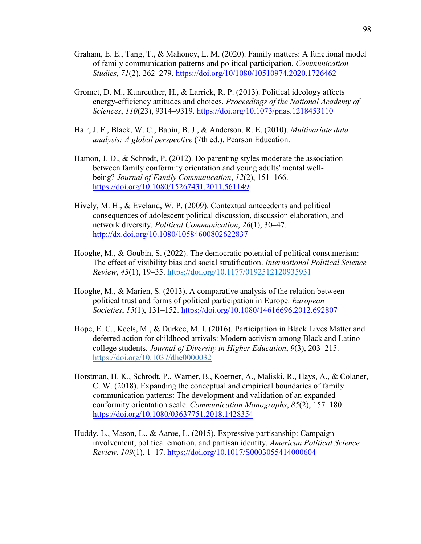- Graham, E. E., Tang, T., & Mahoney, L. M. (2020). Family matters: A functional model of family communication patterns and political participation. *Communication Studies, 71*(2), 262–279. https://doi.org/10/1080/10510974.2020.1726462
- Gromet, D. M., Kunreuther, H., & Larrick, R. P. (2013). Political ideology affects energy-efficiency attitudes and choices. *Proceedings of the National Academy of Sciences*, *110*(23), 9314–9319. https://doi.org/10.1073/pnas.1218453110
- Hair, J. F., Black, W. C., Babin, B. J., & Anderson, R. E. (2010). *Multivariate data analysis: A global perspective* (7th ed.). Pearson Education.
- Hamon, J. D., & Schrodt, P. (2012). Do parenting styles moderate the association between family conformity orientation and young adults' mental wellbeing? *Journal of Family Communication*, *12*(2), 151–166. https://doi.org/10.1080/15267431.2011.561149
- Hively, M. H., & Eveland, W. P. (2009). Contextual antecedents and political consequences of adolescent political discussion, discussion elaboration, and network diversity. *Political Communication*, *26*(1), 30–47. http://dx.doi.org/10.1080/10584600802622837
- Hooghe, M., & Goubin, S. (2022). The democratic potential of political consumerism: The effect of visibility bias and social stratification. *International Political Science Review*, *43*(1), 19–35. https://doi.org/10.1177/0192512120935931
- Hooghe, M., & Marien, S. (2013). A comparative analysis of the relation between political trust and forms of political participation in Europe. *European Societies*, *15*(1), 131–152. https://doi.org/10.1080/14616696.2012.692807
- Hope, E. C., Keels, M., & Durkee, M. I. (2016). Participation in Black Lives Matter and deferred action for childhood arrivals: Modern activism among Black and Latino college students. *Journal of Diversity in Higher Education*, *9*(3), 203–215. https://doi.org/10.1037/dhe0000032
- Horstman, H. K., Schrodt, P., Warner, B., Koerner, A., Maliski, R., Hays, A., & Colaner, C. W. (2018). Expanding the conceptual and empirical boundaries of family communication patterns: The development and validation of an expanded conformity orientation scale. *Communication Monographs*, *85*(2), 157–180. https://doi.org/10.1080/03637751.2018.1428354
- Huddy, L., Mason, L., & Aarøe, L. (2015). Expressive partisanship: Campaign involvement, political emotion, and partisan identity. *American Political Science Review*, *109*(1), 1–17. https://doi.org/10.1017/S0003055414000604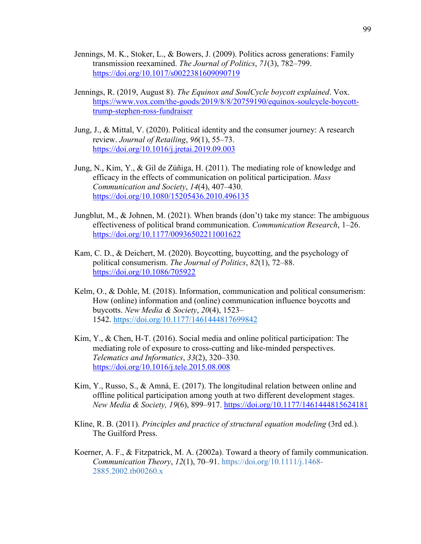- Jennings, M. K., Stoker, L., & Bowers, J. (2009). Politics across generations: Family transmission reexamined. *The Journal of Politics*, *71*(3), 782–799. https://doi.org/10.1017/s0022381609090719
- Jennings, R. (2019, August 8). *The Equinox and SoulCycle boycott explained*. Vox. https://www.vox.com/the-goods/2019/8/8/20759190/equinox-soulcycle-boycotttrump-stephen-ross-fundraiser
- Jung, J., & Mittal, V. (2020). Political identity and the consumer journey: A research review. *Journal of Retailing*, *96*(1), 55–73. https://doi.org/10.1016/j.jretai.2019.09.003
- Jung, N., Kim, Y., & Gil de Zúñiga, H. (2011). The mediating role of knowledge and efficacy in the effects of communication on political participation. *Mass Communication and Society*, *14*(4), 407–430. https://doi.org/10.1080/15205436.2010.496135
- Jungblut, M., & Johnen, M. (2021). When brands (don't) take my stance: The ambiguous effectiveness of political brand communication. *Communication Research*, 1–26. https://doi.org/10.1177/00936502211001622
- Kam, C. D., & Deichert, M. (2020). Boycotting, buycotting, and the psychology of political consumerism. *The Journal of Politics*, *82*(1), 72–88. https://doi.org/10.1086/705922
- Kelm, O., & Dohle, M. (2018). Information, communication and political consumerism: How (online) information and (online) communication influence boycotts and buycotts. *New Media & Society*, *20*(4), 1523– 1542. https://doi.org/10.1177/1461444817699842
- Kim, Y., & Chen, H-T. (2016). Social media and online political participation: The mediating role of exposure to cross-cutting and like-minded perspectives. *Telematics and Informatics*, *33*(2), 320–330. https://doi.org/10.1016/j.tele.2015.08.008
- Kim, Y., Russo, S., & Amnå, E. (2017). The longitudinal relation between online and offline political participation among youth at two different development stages. *New Media & Society, 19*(6), 899–917. https://doi.org/10.1177/1461444815624181
- Kline, R. B. (2011). *Principles and practice of structural equation modeling* (3rd ed.). The Guilford Press.
- Koerner, A. F., & Fitzpatrick, M. A. (2002a). Toward a theory of family communication. *Communication Theory*, *12*(1), 70–91. https://doi.org/10.1111/j.1468- 2885.2002.tb00260.x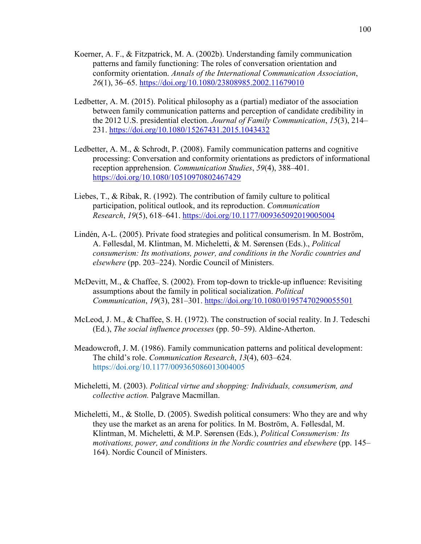- Koerner, A. F., & Fitzpatrick, M. A. (2002b). Understanding family communication patterns and family functioning: The roles of conversation orientation and conformity orientation. *Annals of the International Communication Association*, *26*(1), 36–65. https://doi.org/10.1080/23808985.2002.11679010
- Ledbetter, A. M. (2015). Political philosophy as a (partial) mediator of the association between family communication patterns and perception of candidate credibility in the 2012 U.S. presidential election. *Journal of Family Communication*, *15*(3), 214– 231. https://doi.org/10.1080/15267431.2015.1043432
- Ledbetter, A. M., & Schrodt, P. (2008). Family communication patterns and cognitive processing: Conversation and conformity orientations as predictors of informational reception apprehension*. Communication Studies*, *59*(4), 388–401. https://doi.org/10.1080/10510970802467429
- Liebes, T., & Ribak, R. (1992). The contribution of family culture to political participation, political outlook, and its reproduction. *Communication Research*, *19*(5), 618–641. https://doi.org/10.1177/009365092019005004
- Lindén, A-L. (2005). Private food strategies and political consumerism. In M. Boström, A. Føllesdal, M. Klintman, M. Micheletti, & M. Sørensen (Eds.)., *Political consumerism: Its motivations, power, and conditions in the Nordic countries and elsewhere* (pp. 203–224). Nordic Council of Ministers.
- McDevitt, M., & Chaffee, S. (2002). From top-down to trickle-up influence: Revisiting assumptions about the family in political socialization. *Political Communication*, *19*(3), 281–301. https://doi.org/10.1080/01957470290055501
- McLeod, J. M., & Chaffee, S. H. (1972). The construction of social reality. In J. Tedeschi (Ed.), *The social influence processes* (pp. 50–59). Aldine-Atherton.
- Meadowcroft, J. M. (1986). Family communication patterns and political development: The child's role. *Communication Research*, *13*(4), 603–624. https://doi.org/10.1177/009365086013004005
- Micheletti, M. (2003). *Political virtue and shopping: Individuals, consumerism, and collective action.* Palgrave Macmillan.
- Micheletti, M., & Stolle, D. (2005). Swedish political consumers: Who they are and why they use the market as an arena for politics. In M. Boström, A. Føllesdal, M. Klintman, M. Micheletti, & M.P. Sørensen (Eds.), *Political Consumerism: Its motivations, power, and conditions in the Nordic countries and elsewhere* (pp. 145– 164). Nordic Council of Ministers.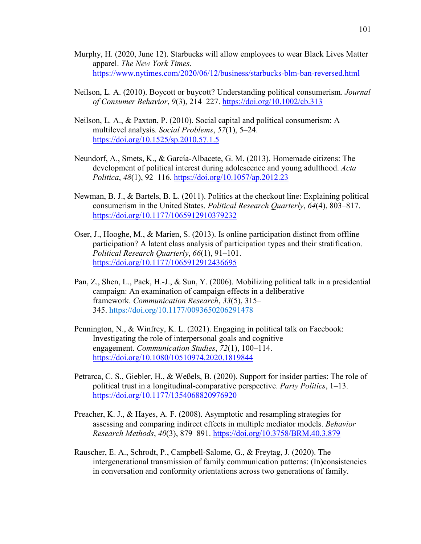- Murphy, H. (2020, June 12). Starbucks will allow employees to wear Black Lives Matter apparel. *The New York Times*. https://www.nytimes.com/2020/06/12/business/starbucks-blm-ban-reversed.html
- Neilson, L. A. (2010). Boycott or buycott? Understanding political consumerism. *Journal of Consumer Behavior*, *9*(3), 214–227. https://doi.org/10.1002/cb.313
- Neilson, L. A., & Paxton, P. (2010). Social capital and political consumerism: A multilevel analysis. *Social Problems*, *57*(1), 5–24. https://doi.org/10.1525/sp.2010.57.1.5
- Neundorf, A., Smets, K., & García-Albacete, G. M. (2013). Homemade citizens: The development of political interest during adolescence and young adulthood. *Acta Politica*, *48*(1), 92–116. https://doi.org/10.1057/ap.2012.23
- Newman, B. J., & Bartels, B. L. (2011). Politics at the checkout line: Explaining political consumerism in the United States. *Political Research Quarterly*, *64*(4), 803–817. https://doi.org/10.1177/1065912910379232
- Oser, J., Hooghe, M., & Marien, S. (2013). Is online participation distinct from offline participation? A latent class analysis of participation types and their stratification. *Political Research Quarterly*, *66*(1), 91–101. https://doi.org/10.1177/1065912912436695
- Pan, Z., Shen, L., Paek, H.-J., & Sun, Y. (2006). Mobilizing political talk in a presidential campaign: An examination of campaign effects in a deliberative framework. *Communication Research*, *33*(5), 315– 345. https://doi.org/10.1177/0093650206291478
- Pennington, N., & Winfrey, K. L. (2021). Engaging in political talk on Facebook: Investigating the role of interpersonal goals and cognitive engagement. *Communication Studies*, *72*(1), 100–114. https://doi.org/10.1080/10510974.2020.1819844
- Petrarca, C. S., Giebler, H., & Weßels, B. (2020). Support for insider parties: The role of political trust in a longitudinal-comparative perspective. *Party Politics*, 1–13. https://doi.org/10.1177/1354068820976920
- Preacher, K. J., & Hayes, A. F. (2008). Asymptotic and resampling strategies for assessing and comparing indirect effects in multiple mediator models. *Behavior Research Methods*, *40*(3), 879–891. https://doi.org/10.3758/BRM.40.3.879
- Rauscher, E. A., Schrodt, P., Campbell-Salome, G., & Freytag, J. (2020). The intergenerational transmission of family communication patterns: (In)consistencies in conversation and conformity orientations across two generations of family.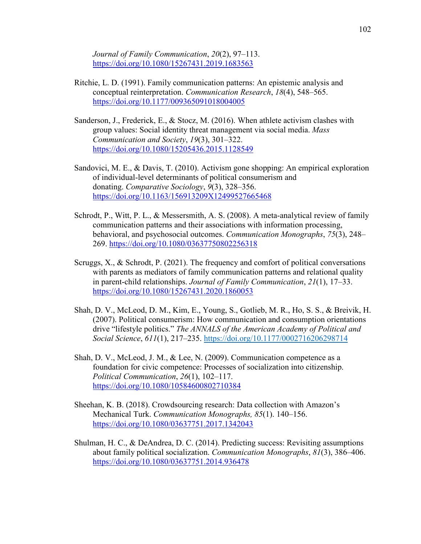*Journal of Family Communication*, *20*(2), 97–113. https://doi.org/10.1080/15267431.2019.1683563

- Ritchie, L. D. (1991). Family communication patterns: An epistemic analysis and conceptual reinterpretation. *Communication Research*, *18*(4), 548–565. https://doi.org/10.1177/009365091018004005
- Sanderson, J., Frederick, E., & Stocz, M. (2016). When athlete activism clashes with group values: Social identity threat management via social media. *Mass Communication and Society*, *19*(3), 301–322. https://doi.org/10.1080/15205436.2015.1128549
- Sandovici, M. E., & Davis, T. (2010). Activism gone shopping: An empirical exploration of individual-level determinants of political consumerism and donating. *Comparative Sociology*, *9*(3), 328–356. https://doi.org/10.1163/156913209X12499527665468
- Schrodt, P., Witt, P. L., & Messersmith, A. S. (2008). A meta-analytical review of family communication patterns and their associations with information processing, behavioral, and psychosocial outcomes. *Communication Monographs*, *75*(3), 248– 269. https://doi.org/10.1080/03637750802256318
- Scruggs, X., & Schrodt, P. (2021). The frequency and comfort of political conversations with parents as mediators of family communication patterns and relational quality in parent-child relationships. *Journal of Family Communication*, *21*(1), 17–33. https://doi.org/10.1080/15267431.2020.1860053
- Shah, D. V., McLeod, D. M., Kim, E., Young, S., Gotlieb, M. R., Ho, S. S., & Breivik, H. (2007). Political consumerism: How communication and consumption orientations drive "lifestyle politics." *The ANNALS of the American Academy of Political and Social Science*, *611*(1), 217–235. https://doi.org/10.1177/0002716206298714
- Shah, D. V., McLeod, J. M., & Lee, N. (2009). Communication competence as a foundation for civic competence: Processes of socialization into citizenship. *Political Communication*, *26*(1), 102–117. https://doi.org/10.1080/10584600802710384
- Sheehan, K. B. (2018). Crowdsourcing research: Data collection with Amazon's Mechanical Turk. *Communication Monographs, 85*(1). 140–156. https://doi.org/10.1080/03637751.2017.1342043
- Shulman, H. C., & DeAndrea, D. C. (2014). Predicting success: Revisiting assumptions about family political socialization. *Communication Monographs*, *81*(3), 386–406. https://doi.org/10.1080/03637751.2014.936478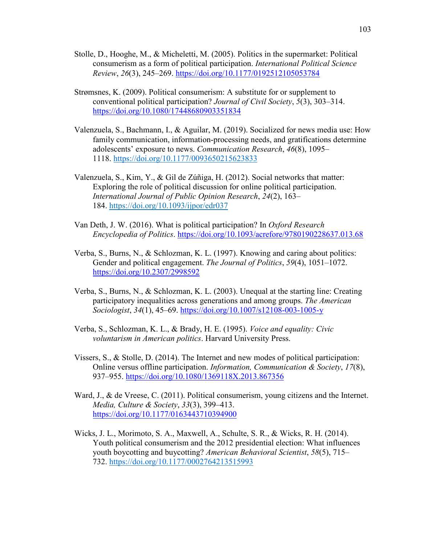- Stolle, D., Hooghe, M., & Micheletti, M. (2005). Politics in the supermarket: Political consumerism as a form of political participation. *International Political Science Review*, *26*(3), 245–269. https://doi.org/10.1177/0192512105053784
- Strømsnes, K. (2009). Political consumerism: A substitute for or supplement to conventional political participation? *Journal of Civil Society*, *5*(3), 303–314. https://doi.org/10.1080/17448680903351834
- Valenzuela, S., Bachmann, I., & Aguilar, M. (2019). Socialized for news media use: How family communication, information-processing needs, and gratifications determine adolescents' exposure to news. *Communication Research*, *46*(8), 1095– 1118. https://doi.org/10.1177/0093650215623833
- Valenzuela, S., Kim, Y., & Gil de Zúñiga, H. (2012). Social networks that matter: Exploring the role of political discussion for online political participation. *International Journal of Public Opinion Research*, *24*(2), 163– 184. https://doi.org/10.1093/ijpor/edr037
- Van Deth, J. W. (2016). What is political participation? In *Oxford Research Encyclopedia of Politics*. https://doi.org/10.1093/acrefore/9780190228637.013.68
- Verba, S., Burns, N., & Schlozman, K. L. (1997). Knowing and caring about politics: Gender and political engagement. *The Journal of Politics*, *59*(4), 1051–1072. https://doi.org/10.2307/2998592
- Verba, S., Burns, N., & Schlozman, K. L. (2003). Unequal at the starting line: Creating participatory inequalities across generations and among groups. *The American Sociologist*, *34*(1), 45–69. https://doi.org/10.1007/s12108-003-1005-y
- Verba, S., Schlozman, K. L., & Brady, H. E. (1995). *Voice and equality: Civic voluntarism in American politics*. Harvard University Press.
- Vissers, S., & Stolle, D. (2014). The Internet and new modes of political participation: Online versus offline participation. *Information, Communication & Society*, *17*(8), 937–955. https://doi.org/10.1080/1369118X.2013.867356
- Ward, J., & de Vreese, C. (2011). Political consumerism, young citizens and the Internet. *Media, Culture & Society*, *33*(3), 399–413. https://doi.org/10.1177/0163443710394900
- Wicks, J. L., Morimoto, S. A., Maxwell, A., Schulte, S. R., & Wicks, R. H. (2014). Youth political consumerism and the 2012 presidential election: What influences youth boycotting and buycotting? *American Behavioral Scientist*, *58*(5), 715– 732. https://doi.org/10.1177/0002764213515993